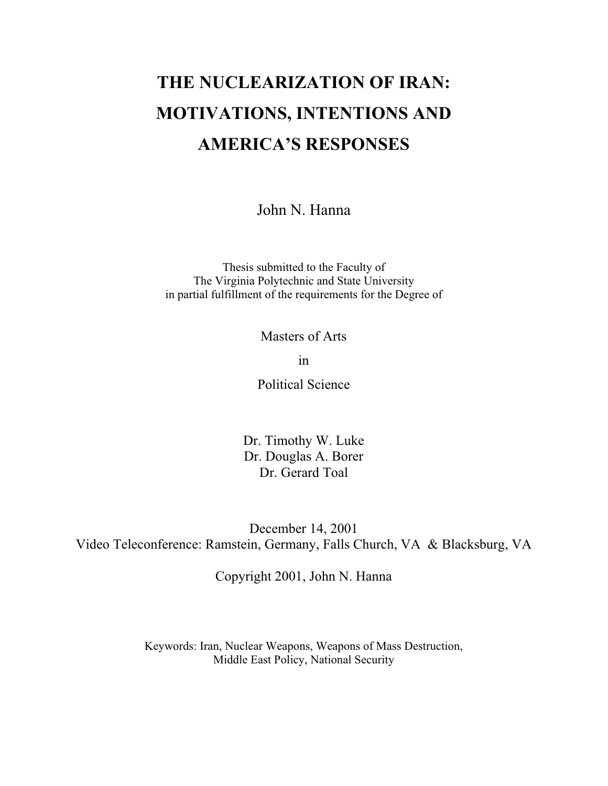# **THE NUCLEARIZATION OF IRAN: MOTIVATIONS, INTENTIONS AND AMERICA'S RESPONSES**

John N. Hanna

Thesis submitted to the Faculty of The Virginia Polytechnic and State University in partial fulfillment of the requirements for the Degree of

Masters of Arts

in

Political Science

Dr. Timothy W. Luke Dr. Douglas A. Borer Dr. Gerard Toal

December 14, 2001 Video Teleconference: Ramstein, Germany, Falls Church, VA & Blacksburg, VA

Copyright 2001, John N. Hanna

Keywords: Iran, Nuclear Weapons, Weapons of Mass Destruction, Middle East Policy, National Security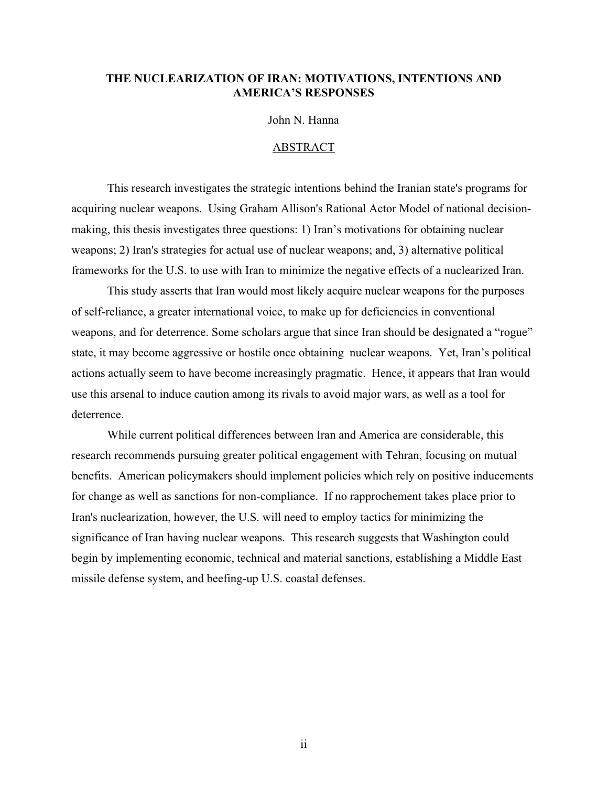### **THE NUCLEARIZATION OF IRAN: MOTIVATIONS, INTENTIONS AND AMERICA'S RESPONSES**

John N. Hanna

#### ABSTRACT

This research investigates the strategic intentions behind the Iranian state's programs for acquiring nuclear weapons. Using Graham Allison's Rational Actor Model of national decisionmaking, this thesis investigates three questions: 1) Iran's motivations for obtaining nuclear weapons; 2) Iran's strategies for actual use of nuclear weapons; and, 3) alternative political frameworks for the U.S. to use with Iran to minimize the negative effects of a nuclearized Iran.

This study asserts that Iran would most likely acquire nuclear weapons for the purposes of self-reliance, a greater international voice, to make up for deficiencies in conventional weapons, and for deterrence. Some scholars argue that since Iran should be designated a "rogue" state, it may become aggressive or hostile once obtaining nuclear weapons. Yet, Iran's political actions actually seem to have become increasingly pragmatic. Hence, it appears that Iran would use this arsenal to induce caution among its rivals to avoid major wars, as well as a tool for deterrence.

While current political differences between Iran and America are considerable, this research recommends pursuing greater political engagement with Tehran, focusing on mutual benefits. American policymakers should implement policies which rely on positive inducements for change as well as sanctions for non-compliance. If no rapprochement takes place prior to Iran's nuclearization, however, the U.S. will need to employ tactics for minimizing the significance of Iran having nuclear weapons. This research suggests that Washington could begin by implementing economic, technical and material sanctions, establishing a Middle East missile defense system, and beefing-up U.S. coastal defenses.

ii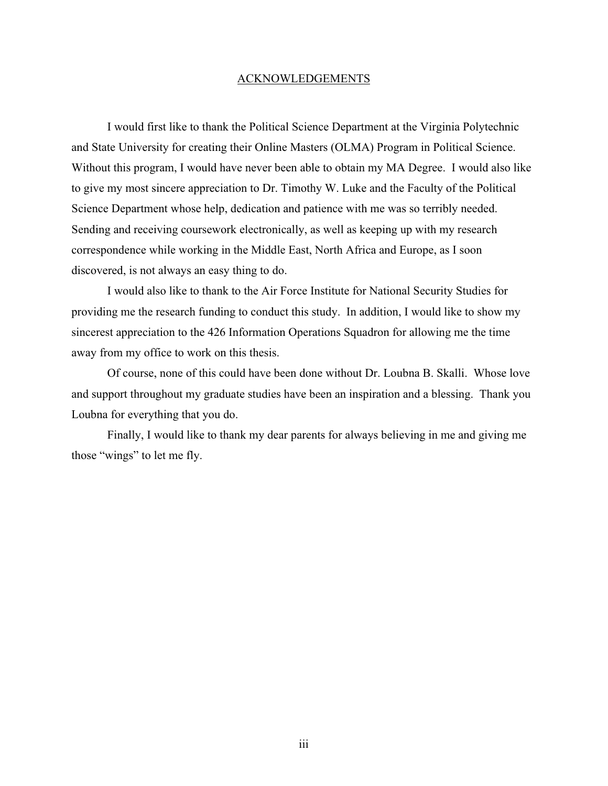#### ACKNOWLEDGEMENTS

I would first like to thank the Political Science Department at the Virginia Polytechnic and State University for creating their Online Masters (OLMA) Program in Political Science. Without this program, I would have never been able to obtain my MA Degree. I would also like to give my most sincere appreciation to Dr. Timothy W. Luke and the Faculty of the Political Science Department whose help, dedication and patience with me was so terribly needed. Sending and receiving coursework electronically, as well as keeping up with my research correspondence while working in the Middle East, North Africa and Europe, as I soon discovered, is not always an easy thing to do.

I would also like to thank to the Air Force Institute for National Security Studies for providing me the research funding to conduct this study. In addition, I would like to show my sincerest appreciation to the 426 Information Operations Squadron for allowing me the time away from my office to work on this thesis.

Of course, none of this could have been done without Dr. Loubna B. Skalli. Whose love and support throughout my graduate studies have been an inspiration and a blessing. Thank you Loubna for everything that you do.

Finally, I would like to thank my dear parents for always believing in me and giving me those "wings" to let me fly.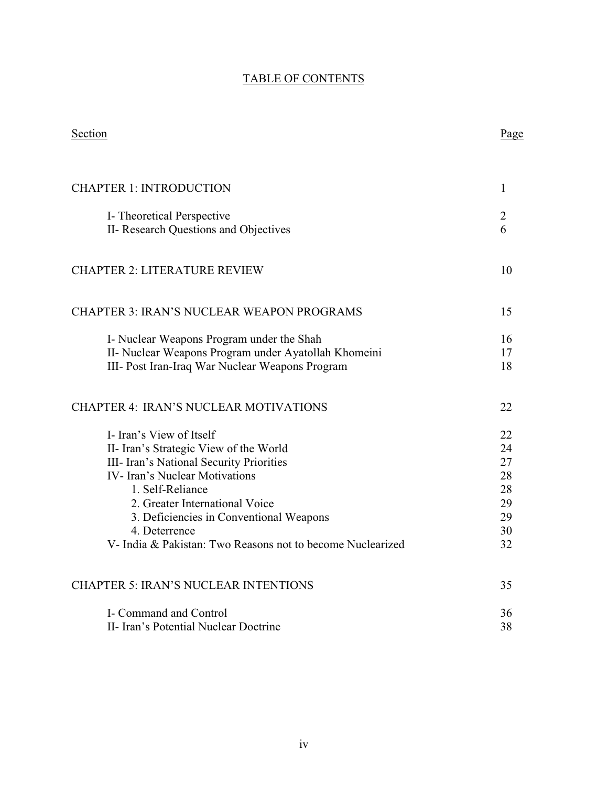# TABLE OF CONTENTS

| Section                                                    | Page         |
|------------------------------------------------------------|--------------|
| <b>CHAPTER 1: INTRODUCTION</b>                             | $\mathbf{1}$ |
|                                                            |              |
| I- Theoretical Perspective                                 | 2            |
| II- Research Questions and Objectives                      | 6            |
| <b>CHAPTER 2: LITERATURE REVIEW</b>                        | 10           |
| <b>CHAPTER 3: IRAN'S NUCLEAR WEAPON PROGRAMS</b>           | 15           |
| I- Nuclear Weapons Program under the Shah                  | 16           |
| II- Nuclear Weapons Program under Ayatollah Khomeini       | 17           |
| III- Post Iran-Iraq War Nuclear Weapons Program            | 18           |
| <b>CHAPTER 4: IRAN'S NUCLEAR MOTIVATIONS</b>               | 22           |
| I- Iran's View of Itself                                   | 22           |
| II- Iran's Strategic View of the World                     | 24           |
| III- Iran's National Security Priorities                   | 27           |
| <b>IV-</b> Iran's Nuclear Motivations                      | 28           |
| 1. Self-Reliance                                           | 28           |
| 2. Greater International Voice                             | 29           |
| 3. Deficiencies in Conventional Weapons                    | 29           |
| 4. Deterrence                                              | 30           |
| V- India & Pakistan: Two Reasons not to become Nuclearized | 32           |
| <b>CHAPTER 5: IRAN'S NUCLEAR INTENTIONS</b>                | 35           |
| I- Command and Control                                     | 36           |
| II- Iran's Potential Nuclear Doctrine                      | 38           |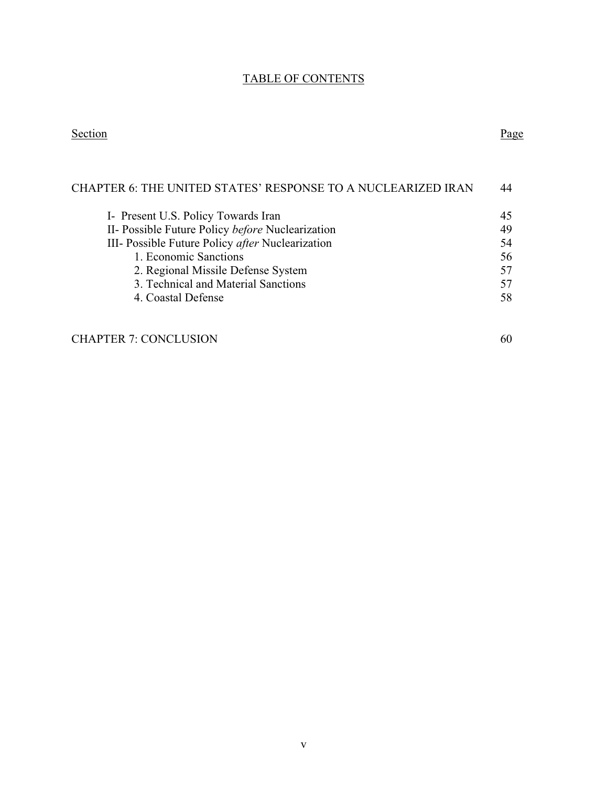# TABLE OF CONTENTS

#### Section Page

| CHAPTER 6: THE UNITED STATES' RESPONSE TO A NUCLEARIZED IRAN | 44 |
|--------------------------------------------------------------|----|
| I- Present U.S. Policy Towards Iran                          | 45 |
| II- Possible Future Policy before Nuclearization             | 49 |
| III- Possible Future Policy after Nuclearization             | 54 |
| 1. Economic Sanctions                                        | 56 |
| 2. Regional Missile Defense System                           | 57 |
| 3. Technical and Material Sanctions                          | 57 |
| 4. Coastal Defense                                           | 58 |
|                                                              |    |

# CHAPTER 7: CONCLUSION 60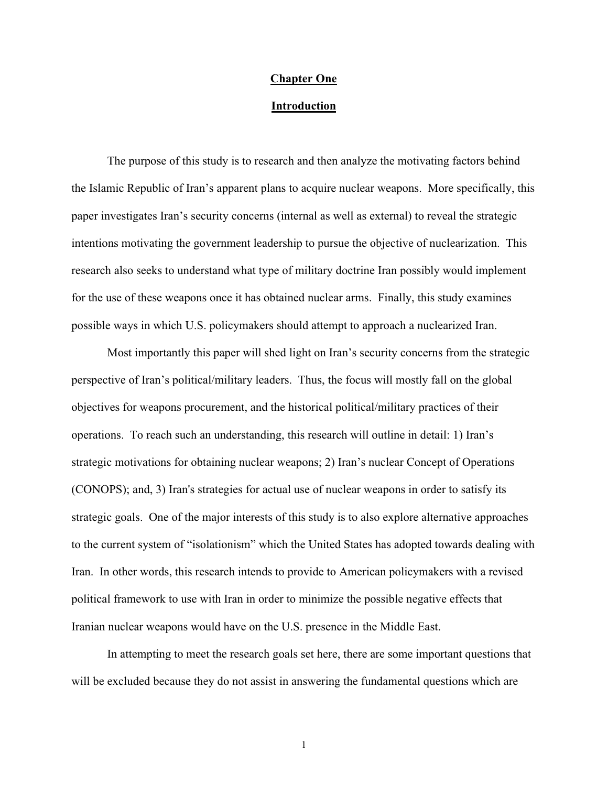#### **Chapter One**

#### **Introduction**

The purpose of this study is to research and then analyze the motivating factors behind the Islamic Republic of Iran's apparent plans to acquire nuclear weapons. More specifically, this paper investigates Iran's security concerns (internal as well as external) to reveal the strategic intentions motivating the government leadership to pursue the objective of nuclearization. This research also seeks to understand what type of military doctrine Iran possibly would implement for the use of these weapons once it has obtained nuclear arms. Finally, this study examines possible ways in which U.S. policymakers should attempt to approach a nuclearized Iran.

Most importantly this paper will shed light on Iran's security concerns from the strategic perspective of Iran's political/military leaders. Thus, the focus will mostly fall on the global objectives for weapons procurement, and the historical political/military practices of their operations. To reach such an understanding, this research will outline in detail: 1) Iran's strategic motivations for obtaining nuclear weapons; 2) Iran's nuclear Concept of Operations (CONOPS); and, 3) Iran's strategies for actual use of nuclear weapons in order to satisfy its strategic goals. One of the major interests of this study is to also explore alternative approaches to the current system of "isolationism" which the United States has adopted towards dealing with Iran. In other words, this research intends to provide to American policymakers with a revised political framework to use with Iran in order to minimize the possible negative effects that Iranian nuclear weapons would have on the U.S. presence in the Middle East.

In attempting to meet the research goals set here, there are some important questions that will be excluded because they do not assist in answering the fundamental questions which are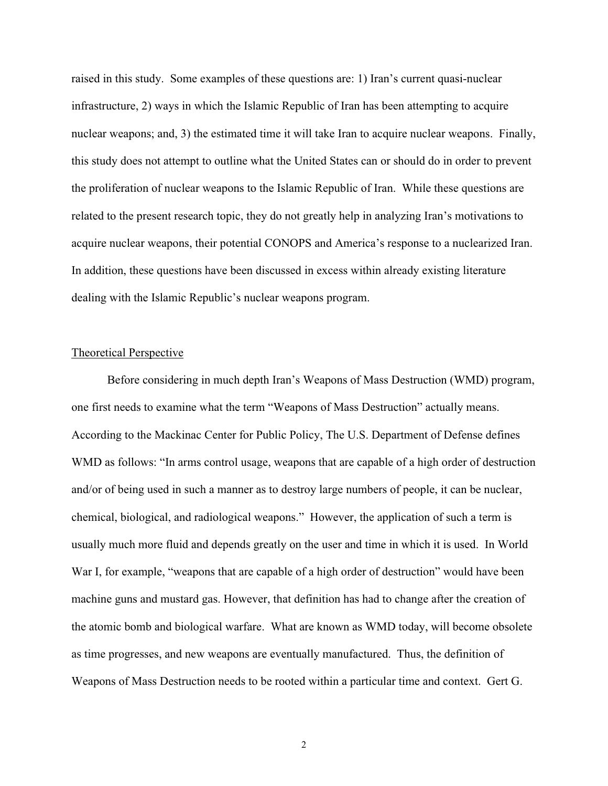raised in this study. Some examples of these questions are: 1) Iran's current quasi-nuclear infrastructure, 2) ways in which the Islamic Republic of Iran has been attempting to acquire nuclear weapons; and, 3) the estimated time it will take Iran to acquire nuclear weapons. Finally, this study does not attempt to outline what the United States can or should do in order to prevent the proliferation of nuclear weapons to the Islamic Republic of Iran. While these questions are related to the present research topic, they do not greatly help in analyzing Iran's motivations to acquire nuclear weapons, their potential CONOPS and America's response to a nuclearized Iran. In addition, these questions have been discussed in excess within already existing literature dealing with the Islamic Republic's nuclear weapons program.

#### Theoretical Perspective

Before considering in much depth Iran's Weapons of Mass Destruction (WMD) program, one first needs to examine what the term "Weapons of Mass Destruction" actually means. According to the Mackinac Center for Public Policy, The U.S. Department of Defense defines WMD as follows: "In arms control usage, weapons that are capable of a high order of destruction and/or of being used in such a manner as to destroy large numbers of people, it can be nuclear, chemical, biological, and radiological weapons." However, the application of such a term is usually much more fluid and depends greatly on the user and time in which it is used. In World War I, for example, "weapons that are capable of a high order of destruction" would have been machine guns and mustard gas. However, that definition has had to change after the creation of the atomic bomb and biological warfare. What are known as WMD today, will become obsolete as time progresses, and new weapons are eventually manufactured. Thus, the definition of Weapons of Mass Destruction needs to be rooted within a particular time and context. Gert G.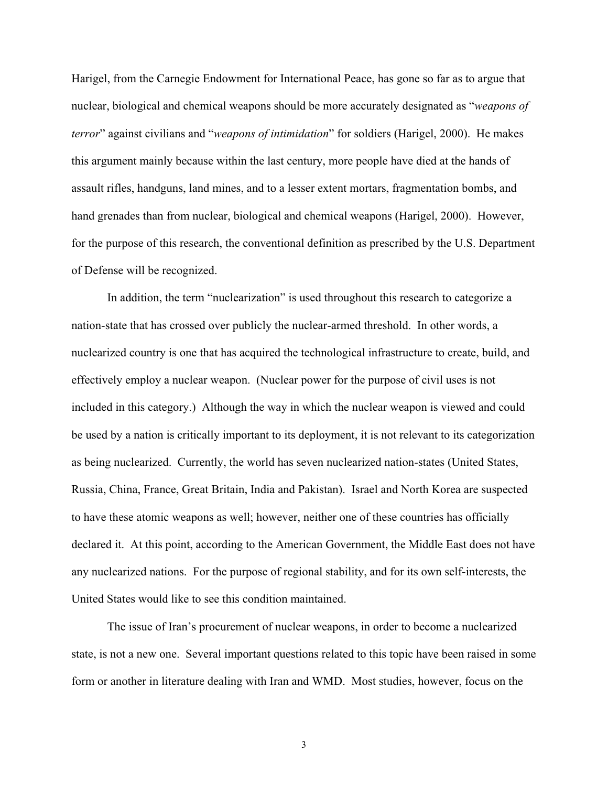Harigel, from the Carnegie Endowment for International Peace, has gone so far as to argue that nuclear, biological and chemical weapons should be more accurately designated as "*weapons of terror*" against civilians and "*weapons of intimidation*" for soldiers (Harigel, 2000). He makes this argument mainly because within the last century, more people have died at the hands of assault rifles, handguns, land mines, and to a lesser extent mortars, fragmentation bombs, and hand grenades than from nuclear, biological and chemical weapons (Harigel, 2000). However, for the purpose of this research, the conventional definition as prescribed by the U.S. Department of Defense will be recognized.

In addition, the term "nuclearization" is used throughout this research to categorize a nation-state that has crossed over publicly the nuclear-armed threshold. In other words, a nuclearized country is one that has acquired the technological infrastructure to create, build, and effectively employ a nuclear weapon. (Nuclear power for the purpose of civil uses is not included in this category.) Although the way in which the nuclear weapon is viewed and could be used by a nation is critically important to its deployment, it is not relevant to its categorization as being nuclearized. Currently, the world has seven nuclearized nation-states (United States, Russia, China, France, Great Britain, India and Pakistan). Israel and North Korea are suspected to have these atomic weapons as well; however, neither one of these countries has officially declared it. At this point, according to the American Government, the Middle East does not have any nuclearized nations. For the purpose of regional stability, and for its own self-interests, the United States would like to see this condition maintained.

The issue of Iran's procurement of nuclear weapons, in order to become a nuclearized state, is not a new one. Several important questions related to this topic have been raised in some form or another in literature dealing with Iran and WMD. Most studies, however, focus on the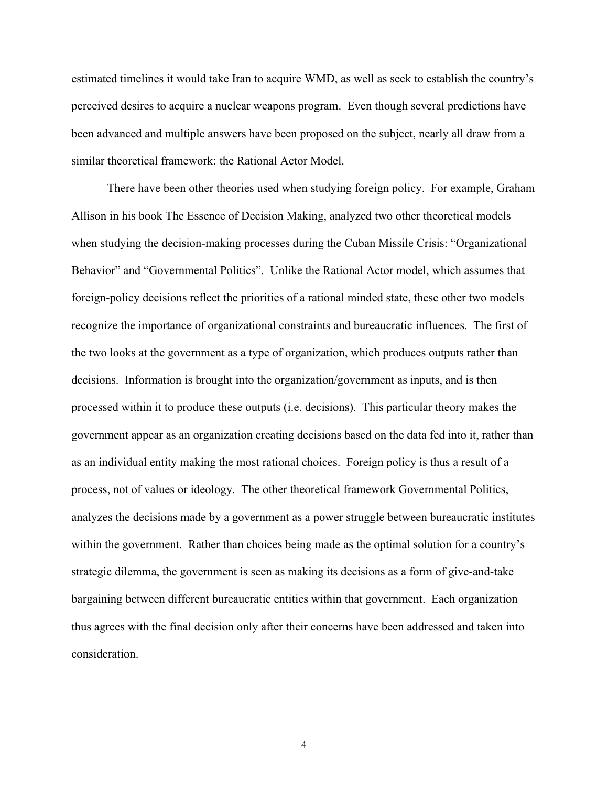estimated timelines it would take Iran to acquire WMD, as well as seek to establish the country's perceived desires to acquire a nuclear weapons program. Even though several predictions have been advanced and multiple answers have been proposed on the subject, nearly all draw from a similar theoretical framework: the Rational Actor Model.

There have been other theories used when studying foreign policy. For example, Graham Allison in his book The Essence of Decision Making, analyzed two other theoretical models when studying the decision-making processes during the Cuban Missile Crisis: "Organizational Behavior" and "Governmental Politics". Unlike the Rational Actor model, which assumes that foreign-policy decisions reflect the priorities of a rational minded state, these other two models recognize the importance of organizational constraints and bureaucratic influences. The first of the two looks at the government as a type of organization, which produces outputs rather than decisions. Information is brought into the organization/government as inputs, and is then processed within it to produce these outputs (i.e. decisions). This particular theory makes the government appear as an organization creating decisions based on the data fed into it, rather than as an individual entity making the most rational choices. Foreign policy is thus a result of a process, not of values or ideology. The other theoretical framework Governmental Politics, analyzes the decisions made by a government as a power struggle between bureaucratic institutes within the government. Rather than choices being made as the optimal solution for a country's strategic dilemma, the government is seen as making its decisions as a form of give-and-take bargaining between different bureaucratic entities within that government. Each organization thus agrees with the final decision only after their concerns have been addressed and taken into consideration.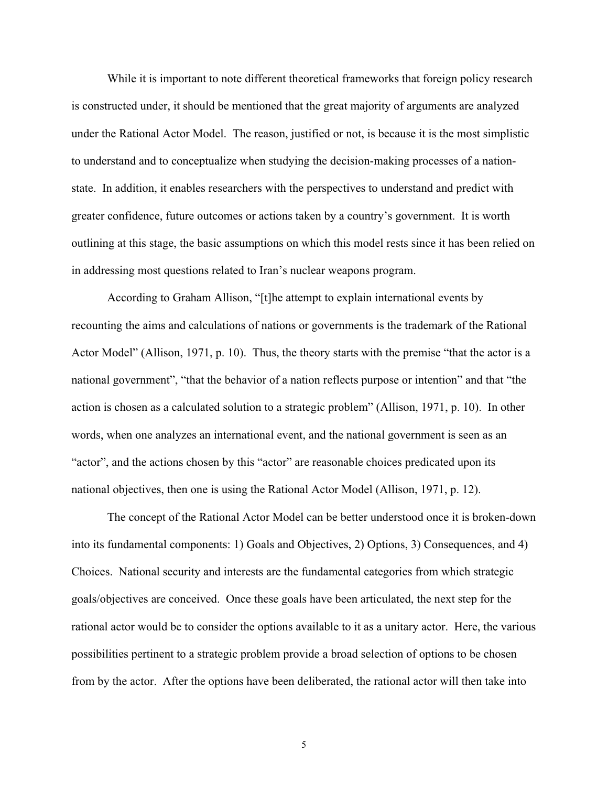While it is important to note different theoretical frameworks that foreign policy research is constructed under, it should be mentioned that the great majority of arguments are analyzed under the Rational Actor Model. The reason, justified or not, is because it is the most simplistic to understand and to conceptualize when studying the decision-making processes of a nationstate. In addition, it enables researchers with the perspectives to understand and predict with greater confidence, future outcomes or actions taken by a country's government. It is worth outlining at this stage, the basic assumptions on which this model rests since it has been relied on in addressing most questions related to Iran's nuclear weapons program.

According to Graham Allison, "[t]he attempt to explain international events by recounting the aims and calculations of nations or governments is the trademark of the Rational Actor Model" (Allison, 1971, p. 10). Thus, the theory starts with the premise "that the actor is a national government", "that the behavior of a nation reflects purpose or intention" and that "the action is chosen as a calculated solution to a strategic problem" (Allison, 1971, p. 10). In other words, when one analyzes an international event, and the national government is seen as an "actor", and the actions chosen by this "actor" are reasonable choices predicated upon its national objectives, then one is using the Rational Actor Model (Allison, 1971, p. 12).

The concept of the Rational Actor Model can be better understood once it is broken-down into its fundamental components: 1) Goals and Objectives, 2) Options, 3) Consequences, and 4) Choices. National security and interests are the fundamental categories from which strategic goals/objectives are conceived. Once these goals have been articulated, the next step for the rational actor would be to consider the options available to it as a unitary actor. Here, the various possibilities pertinent to a strategic problem provide a broad selection of options to be chosen from by the actor. After the options have been deliberated, the rational actor will then take into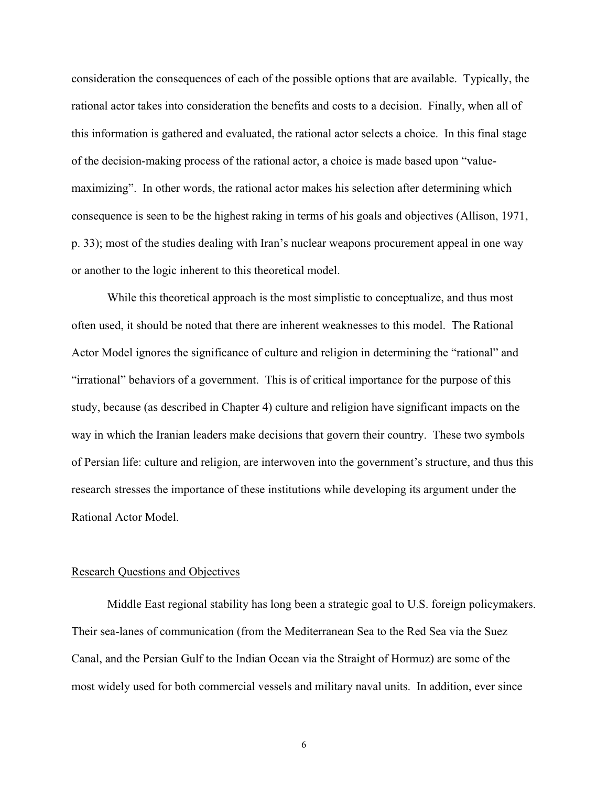consideration the consequences of each of the possible options that are available. Typically, the rational actor takes into consideration the benefits and costs to a decision. Finally, when all of this information is gathered and evaluated, the rational actor selects a choice. In this final stage of the decision-making process of the rational actor, a choice is made based upon "valuemaximizing". In other words, the rational actor makes his selection after determining which consequence is seen to be the highest raking in terms of his goals and objectives (Allison, 1971, p. 33); most of the studies dealing with Iran's nuclear weapons procurement appeal in one way or another to the logic inherent to this theoretical model.

While this theoretical approach is the most simplistic to conceptualize, and thus most often used, it should be noted that there are inherent weaknesses to this model. The Rational Actor Model ignores the significance of culture and religion in determining the "rational" and "irrational" behaviors of a government. This is of critical importance for the purpose of this study, because (as described in Chapter 4) culture and religion have significant impacts on the way in which the Iranian leaders make decisions that govern their country. These two symbols of Persian life: culture and religion, are interwoven into the government's structure, and thus this research stresses the importance of these institutions while developing its argument under the Rational Actor Model.

#### Research Questions and Objectives

Middle East regional stability has long been a strategic goal to U.S. foreign policymakers. Their sea-lanes of communication (from the Mediterranean Sea to the Red Sea via the Suez Canal, and the Persian Gulf to the Indian Ocean via the Straight of Hormuz) are some of the most widely used for both commercial vessels and military naval units. In addition, ever since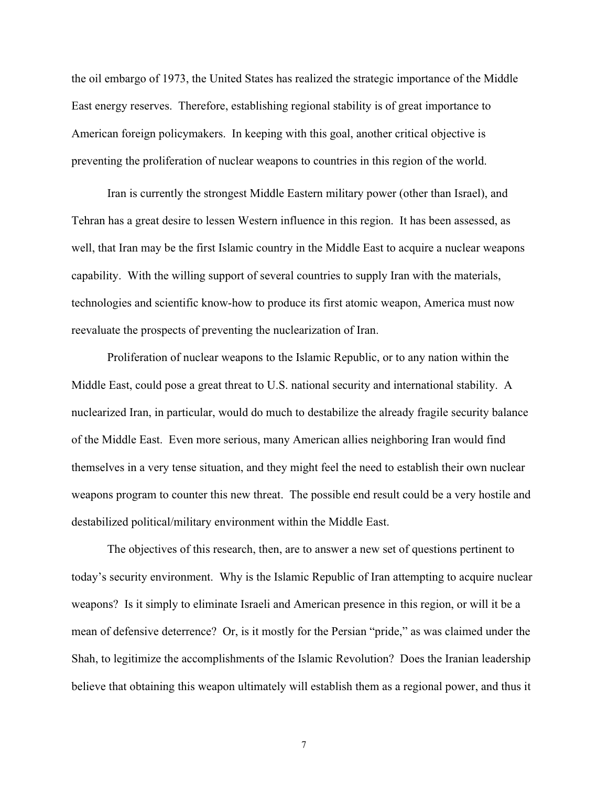the oil embargo of 1973, the United States has realized the strategic importance of the Middle East energy reserves. Therefore, establishing regional stability is of great importance to American foreign policymakers. In keeping with this goal, another critical objective is preventing the proliferation of nuclear weapons to countries in this region of the world.

Iran is currently the strongest Middle Eastern military power (other than Israel), and Tehran has a great desire to lessen Western influence in this region. It has been assessed, as well, that Iran may be the first Islamic country in the Middle East to acquire a nuclear weapons capability. With the willing support of several countries to supply Iran with the materials, technologies and scientific know-how to produce its first atomic weapon, America must now reevaluate the prospects of preventing the nuclearization of Iran.

Proliferation of nuclear weapons to the Islamic Republic, or to any nation within the Middle East, could pose a great threat to U.S. national security and international stability. A nuclearized Iran, in particular, would do much to destabilize the already fragile security balance of the Middle East. Even more serious, many American allies neighboring Iran would find themselves in a very tense situation, and they might feel the need to establish their own nuclear weapons program to counter this new threat. The possible end result could be a very hostile and destabilized political/military environment within the Middle East.

The objectives of this research, then, are to answer a new set of questions pertinent to today's security environment. Why is the Islamic Republic of Iran attempting to acquire nuclear weapons? Is it simply to eliminate Israeli and American presence in this region, or will it be a mean of defensive deterrence? Or, is it mostly for the Persian "pride," as was claimed under the Shah, to legitimize the accomplishments of the Islamic Revolution? Does the Iranian leadership believe that obtaining this weapon ultimately will establish them as a regional power, and thus it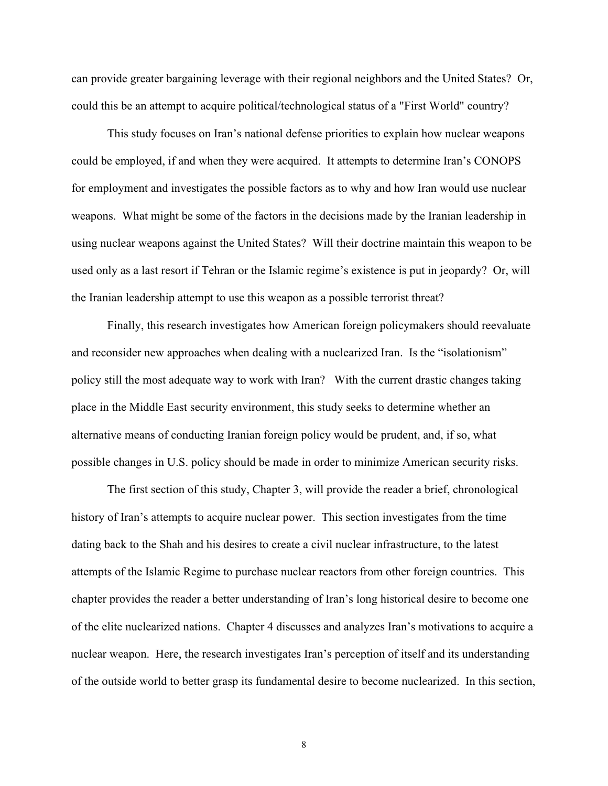can provide greater bargaining leverage with their regional neighbors and the United States? Or, could this be an attempt to acquire political/technological status of a "First World" country?

This study focuses on Iran's national defense priorities to explain how nuclear weapons could be employed, if and when they were acquired. It attempts to determine Iran's CONOPS for employment and investigates the possible factors as to why and how Iran would use nuclear weapons. What might be some of the factors in the decisions made by the Iranian leadership in using nuclear weapons against the United States? Will their doctrine maintain this weapon to be used only as a last resort if Tehran or the Islamic regime's existence is put in jeopardy? Or, will the Iranian leadership attempt to use this weapon as a possible terrorist threat?

Finally, this research investigates how American foreign policymakers should reevaluate and reconsider new approaches when dealing with a nuclearized Iran. Is the "isolationism" policy still the most adequate way to work with Iran? With the current drastic changes taking place in the Middle East security environment, this study seeks to determine whether an alternative means of conducting Iranian foreign policy would be prudent, and, if so, what possible changes in U.S. policy should be made in order to minimize American security risks.

The first section of this study, Chapter 3, will provide the reader a brief, chronological history of Iran's attempts to acquire nuclear power. This section investigates from the time dating back to the Shah and his desires to create a civil nuclear infrastructure, to the latest attempts of the Islamic Regime to purchase nuclear reactors from other foreign countries. This chapter provides the reader a better understanding of Iran's long historical desire to become one of the elite nuclearized nations. Chapter 4 discusses and analyzes Iran's motivations to acquire a nuclear weapon. Here, the research investigates Iran's perception of itself and its understanding of the outside world to better grasp its fundamental desire to become nuclearized. In this section,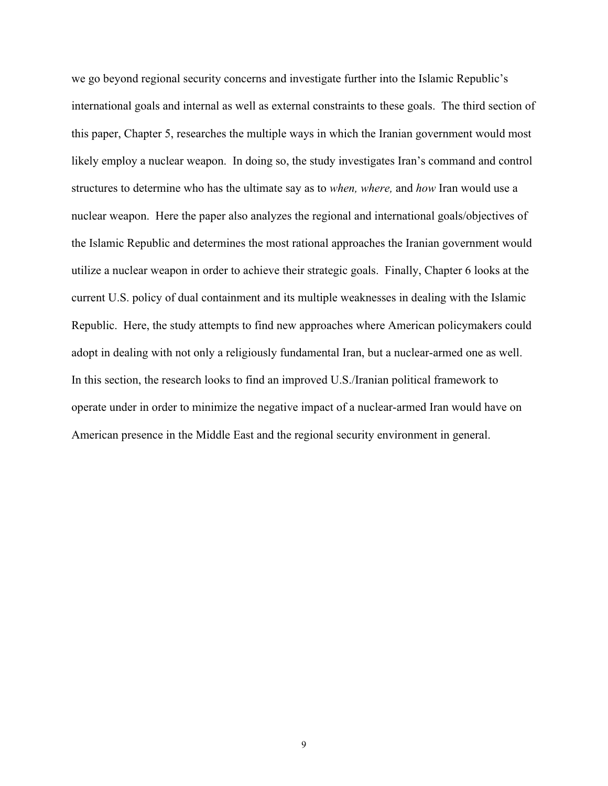we go beyond regional security concerns and investigate further into the Islamic Republic's international goals and internal as well as external constraints to these goals. The third section of this paper, Chapter 5, researches the multiple ways in which the Iranian government would most likely employ a nuclear weapon. In doing so, the study investigates Iran's command and control structures to determine who has the ultimate say as to *when, where,* and *how* Iran would use a nuclear weapon. Here the paper also analyzes the regional and international goals/objectives of the Islamic Republic and determines the most rational approaches the Iranian government would utilize a nuclear weapon in order to achieve their strategic goals. Finally, Chapter 6 looks at the current U.S. policy of dual containment and its multiple weaknesses in dealing with the Islamic Republic. Here, the study attempts to find new approaches where American policymakers could adopt in dealing with not only a religiously fundamental Iran, but a nuclear-armed one as well. In this section, the research looks to find an improved U.S./Iranian political framework to operate under in order to minimize the negative impact of a nuclear-armed Iran would have on American presence in the Middle East and the regional security environment in general.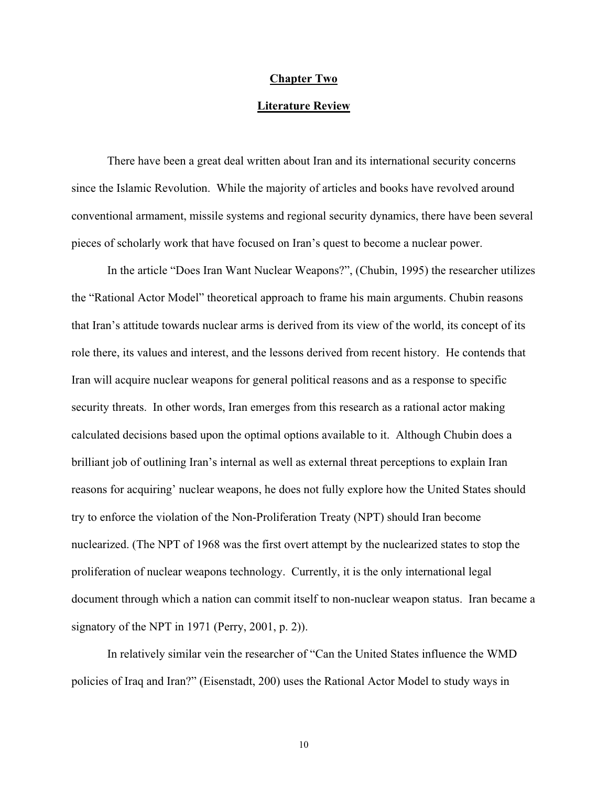#### **Chapter Two**

#### **Literature Review**

There have been a great deal written about Iran and its international security concerns since the Islamic Revolution. While the majority of articles and books have revolved around conventional armament, missile systems and regional security dynamics, there have been several pieces of scholarly work that have focused on Iran's quest to become a nuclear power.

In the article "Does Iran Want Nuclear Weapons?", (Chubin, 1995) the researcher utilizes the "Rational Actor Model" theoretical approach to frame his main arguments. Chubin reasons that Iran's attitude towards nuclear arms is derived from its view of the world, its concept of its role there, its values and interest, and the lessons derived from recent history. He contends that Iran will acquire nuclear weapons for general political reasons and as a response to specific security threats. In other words, Iran emerges from this research as a rational actor making calculated decisions based upon the optimal options available to it. Although Chubin does a brilliant job of outlining Iran's internal as well as external threat perceptions to explain Iran reasons for acquiring' nuclear weapons, he does not fully explore how the United States should try to enforce the violation of the Non-Proliferation Treaty (NPT) should Iran become nuclearized. (The NPT of 1968 was the first overt attempt by the nuclearized states to stop the proliferation of nuclear weapons technology. Currently, it is the only international legal document through which a nation can commit itself to non-nuclear weapon status. Iran became a signatory of the NPT in 1971 (Perry, 2001, p. 2)).

In relatively similar vein the researcher of "Can the United States influence the WMD policies of Iraq and Iran?" (Eisenstadt, 200) uses the Rational Actor Model to study ways in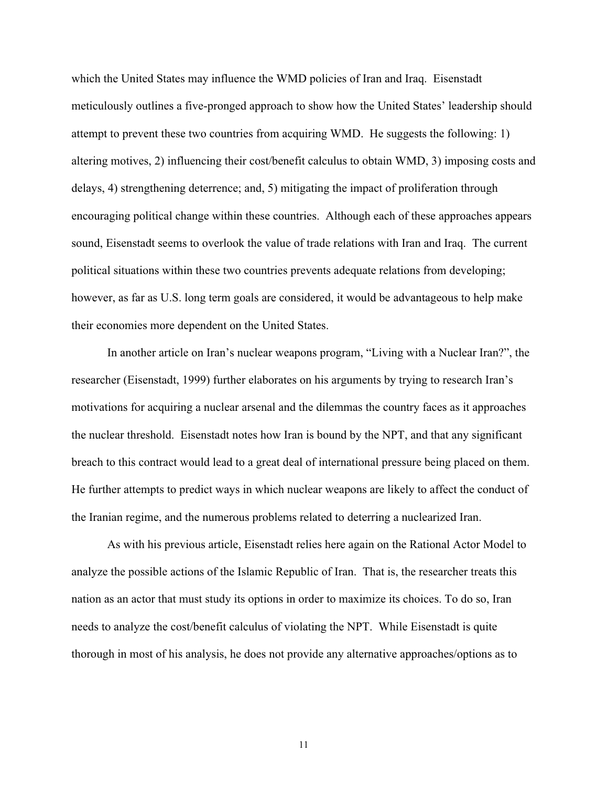which the United States may influence the WMD policies of Iran and Iraq. Eisenstadt meticulously outlines a five-pronged approach to show how the United States' leadership should attempt to prevent these two countries from acquiring WMD. He suggests the following: 1) altering motives, 2) influencing their cost/benefit calculus to obtain WMD, 3) imposing costs and delays, 4) strengthening deterrence; and, 5) mitigating the impact of proliferation through encouraging political change within these countries. Although each of these approaches appears sound, Eisenstadt seems to overlook the value of trade relations with Iran and Iraq. The current political situations within these two countries prevents adequate relations from developing; however, as far as U.S. long term goals are considered, it would be advantageous to help make their economies more dependent on the United States.

In another article on Iran's nuclear weapons program, "Living with a Nuclear Iran?", the researcher (Eisenstadt, 1999) further elaborates on his arguments by trying to research Iran's motivations for acquiring a nuclear arsenal and the dilemmas the country faces as it approaches the nuclear threshold. Eisenstadt notes how Iran is bound by the NPT, and that any significant breach to this contract would lead to a great deal of international pressure being placed on them. He further attempts to predict ways in which nuclear weapons are likely to affect the conduct of the Iranian regime, and the numerous problems related to deterring a nuclearized Iran.

As with his previous article, Eisenstadt relies here again on the Rational Actor Model to analyze the possible actions of the Islamic Republic of Iran. That is, the researcher treats this nation as an actor that must study its options in order to maximize its choices. To do so, Iran needs to analyze the cost/benefit calculus of violating the NPT. While Eisenstadt is quite thorough in most of his analysis, he does not provide any alternative approaches/options as to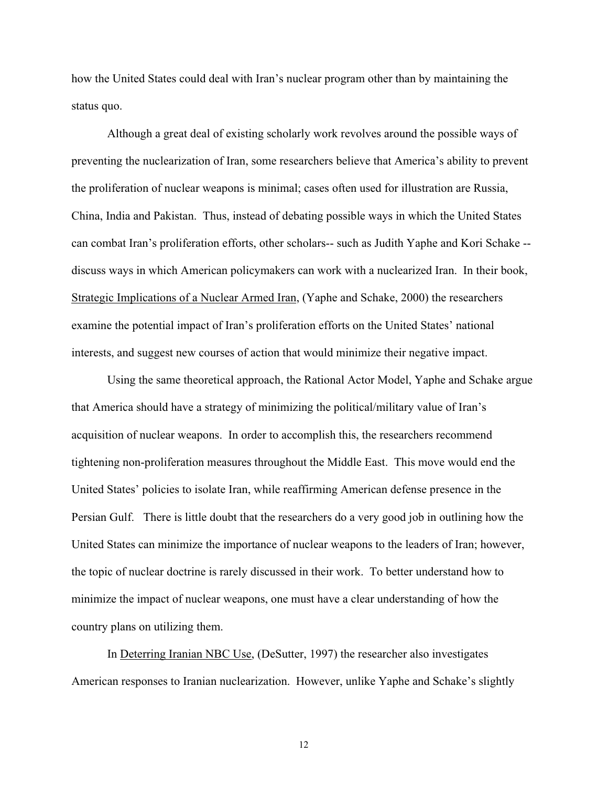how the United States could deal with Iran's nuclear program other than by maintaining the status quo.

Although a great deal of existing scholarly work revolves around the possible ways of preventing the nuclearization of Iran, some researchers believe that America's ability to prevent the proliferation of nuclear weapons is minimal; cases often used for illustration are Russia, China, India and Pakistan. Thus, instead of debating possible ways in which the United States can combat Iran's proliferation efforts, other scholars-- such as Judith Yaphe and Kori Schake - discuss ways in which American policymakers can work with a nuclearized Iran. In their book, Strategic Implications of a Nuclear Armed Iran, (Yaphe and Schake, 2000) the researchers examine the potential impact of Iran's proliferation efforts on the United States' national interests, and suggest new courses of action that would minimize their negative impact.

Using the same theoretical approach, the Rational Actor Model, Yaphe and Schake argue that America should have a strategy of minimizing the political/military value of Iran's acquisition of nuclear weapons. In order to accomplish this, the researchers recommend tightening non-proliferation measures throughout the Middle East. This move would end the United States' policies to isolate Iran, while reaffirming American defense presence in the Persian Gulf. There is little doubt that the researchers do a very good job in outlining how the United States can minimize the importance of nuclear weapons to the leaders of Iran; however, the topic of nuclear doctrine is rarely discussed in their work. To better understand how to minimize the impact of nuclear weapons, one must have a clear understanding of how the country plans on utilizing them.

In Deterring Iranian NBC Use, (DeSutter, 1997) the researcher also investigates American responses to Iranian nuclearization. However, unlike Yaphe and Schake's slightly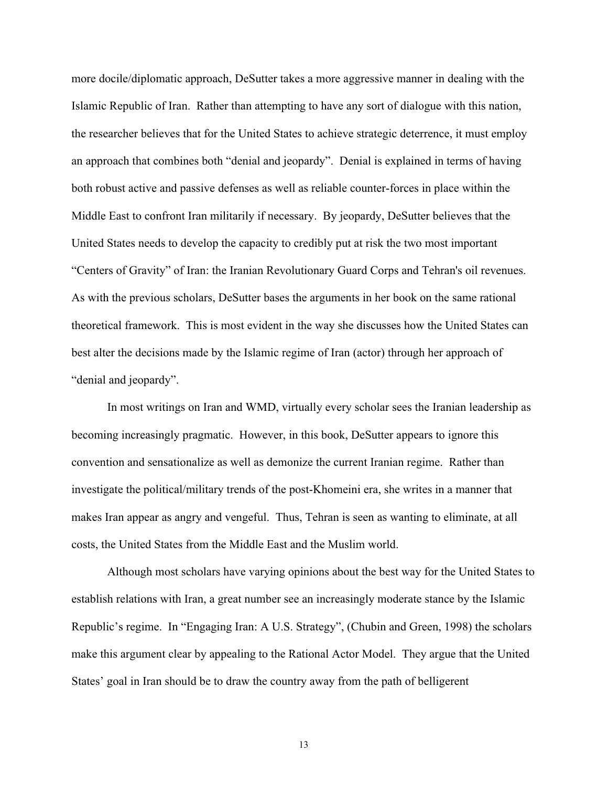more docile/diplomatic approach, DeSutter takes a more aggressive manner in dealing with the Islamic Republic of Iran. Rather than attempting to have any sort of dialogue with this nation, the researcher believes that for the United States to achieve strategic deterrence, it must employ an approach that combines both "denial and jeopardy". Denial is explained in terms of having both robust active and passive defenses as well as reliable counter-forces in place within the Middle East to confront Iran militarily if necessary. By jeopardy, DeSutter believes that the United States needs to develop the capacity to credibly put at risk the two most important "Centers of Gravity" of Iran: the Iranian Revolutionary Guard Corps and Tehran's oil revenues. As with the previous scholars, DeSutter bases the arguments in her book on the same rational theoretical framework. This is most evident in the way she discusses how the United States can best alter the decisions made by the Islamic regime of Iran (actor) through her approach of "denial and jeopardy".

In most writings on Iran and WMD, virtually every scholar sees the Iranian leadership as becoming increasingly pragmatic. However, in this book, DeSutter appears to ignore this convention and sensationalize as well as demonize the current Iranian regime. Rather than investigate the political/military trends of the post-Khomeini era, she writes in a manner that makes Iran appear as angry and vengeful. Thus, Tehran is seen as wanting to eliminate, at all costs, the United States from the Middle East and the Muslim world.

Although most scholars have varying opinions about the best way for the United States to establish relations with Iran, a great number see an increasingly moderate stance by the Islamic Republic's regime. In "Engaging Iran: A U.S. Strategy", (Chubin and Green, 1998) the scholars make this argument clear by appealing to the Rational Actor Model. They argue that the United States' goal in Iran should be to draw the country away from the path of belligerent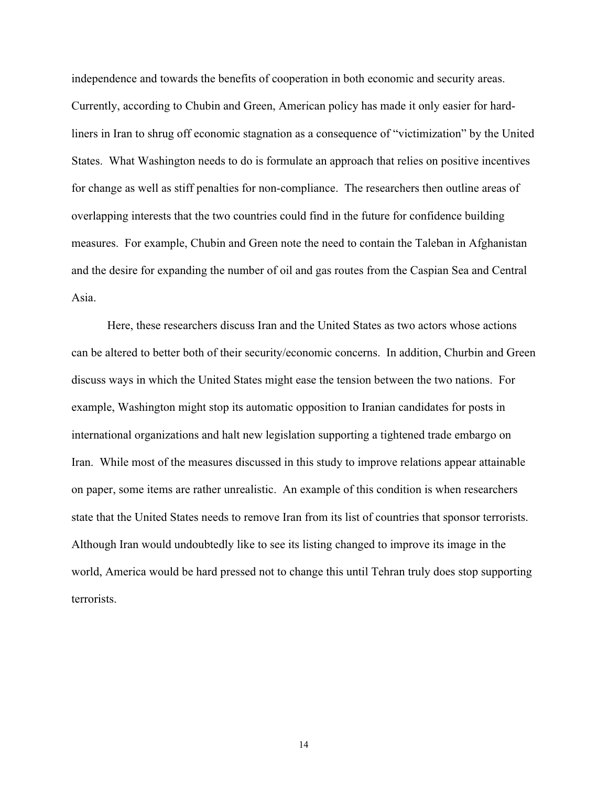independence and towards the benefits of cooperation in both economic and security areas. Currently, according to Chubin and Green, American policy has made it only easier for hardliners in Iran to shrug off economic stagnation as a consequence of "victimization" by the United States. What Washington needs to do is formulate an approach that relies on positive incentives for change as well as stiff penalties for non-compliance. The researchers then outline areas of overlapping interests that the two countries could find in the future for confidence building measures. For example, Chubin and Green note the need to contain the Taleban in Afghanistan and the desire for expanding the number of oil and gas routes from the Caspian Sea and Central Asia.

Here, these researchers discuss Iran and the United States as two actors whose actions can be altered to better both of their security/economic concerns. In addition, Churbin and Green discuss ways in which the United States might ease the tension between the two nations. For example, Washington might stop its automatic opposition to Iranian candidates for posts in international organizations and halt new legislation supporting a tightened trade embargo on Iran. While most of the measures discussed in this study to improve relations appear attainable on paper, some items are rather unrealistic. An example of this condition is when researchers state that the United States needs to remove Iran from its list of countries that sponsor terrorists. Although Iran would undoubtedly like to see its listing changed to improve its image in the world, America would be hard pressed not to change this until Tehran truly does stop supporting terrorists.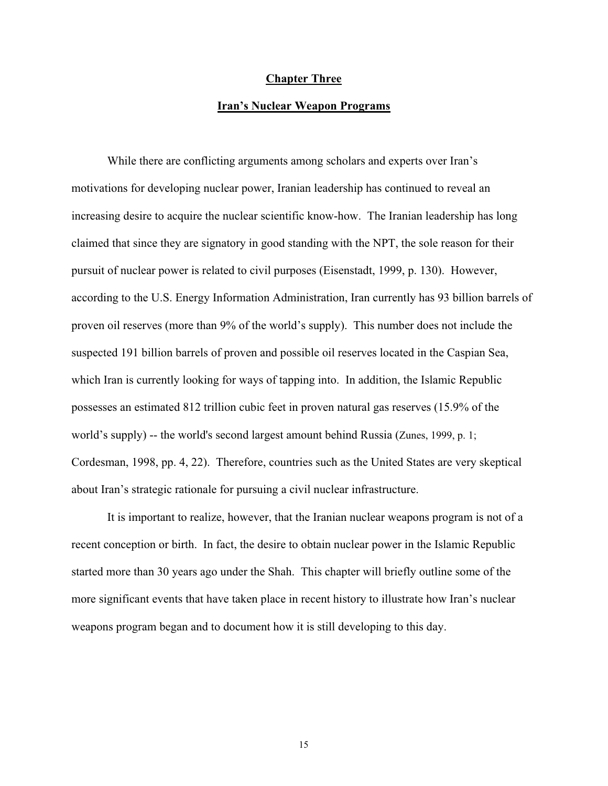#### **Chapter Three**

#### **Iran's Nuclear Weapon Programs**

While there are conflicting arguments among scholars and experts over Iran's motivations for developing nuclear power, Iranian leadership has continued to reveal an increasing desire to acquire the nuclear scientific know-how. The Iranian leadership has long claimed that since they are signatory in good standing with the NPT, the sole reason for their pursuit of nuclear power is related to civil purposes (Eisenstadt, 1999, p. 130). However, according to the U.S. Energy Information Administration, Iran currently has 93 billion barrels of proven oil reserves (more than 9% of the world's supply). This number does not include the suspected 191 billion barrels of proven and possible oil reserves located in the Caspian Sea, which Iran is currently looking for ways of tapping into. In addition, the Islamic Republic possesses an estimated 812 trillion cubic feet in proven natural gas reserves (15.9% of the world's supply) -- the world's second largest amount behind Russia (Zunes, 1999, p. 1; Cordesman, 1998, pp. 4, 22). Therefore, countries such as the United States are very skeptical about Iran's strategic rationale for pursuing a civil nuclear infrastructure.

It is important to realize, however, that the Iranian nuclear weapons program is not of a recent conception or birth. In fact, the desire to obtain nuclear power in the Islamic Republic started more than 30 years ago under the Shah. This chapter will briefly outline some of the more significant events that have taken place in recent history to illustrate how Iran's nuclear weapons program began and to document how it is still developing to this day.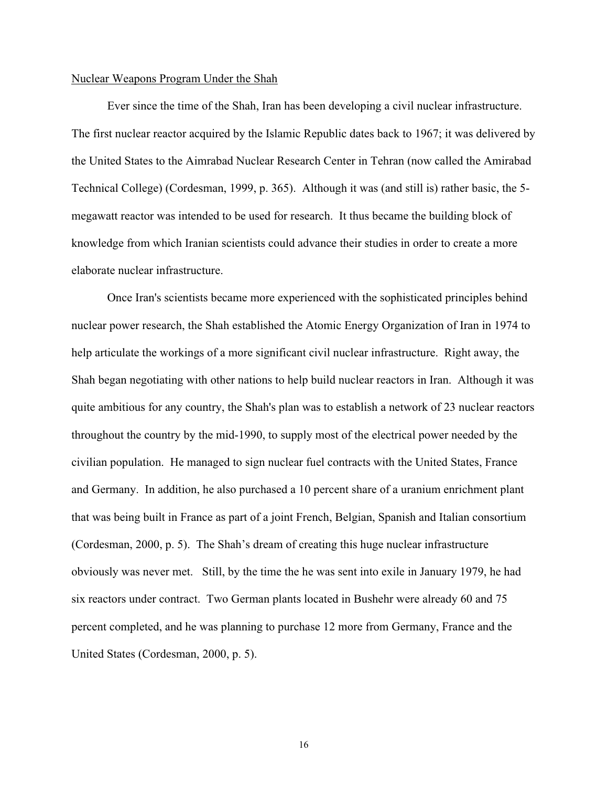#### Nuclear Weapons Program Under the Shah

Ever since the time of the Shah, Iran has been developing a civil nuclear infrastructure. The first nuclear reactor acquired by the Islamic Republic dates back to 1967; it was delivered by the United States to the Aimrabad Nuclear Research Center in Tehran (now called the Amirabad Technical College) (Cordesman, 1999, p. 365). Although it was (and still is) rather basic, the 5 megawatt reactor was intended to be used for research. It thus became the building block of knowledge from which Iranian scientists could advance their studies in order to create a more elaborate nuclear infrastructure.

Once Iran's scientists became more experienced with the sophisticated principles behind nuclear power research, the Shah established the Atomic Energy Organization of Iran in 1974 to help articulate the workings of a more significant civil nuclear infrastructure. Right away, the Shah began negotiating with other nations to help build nuclear reactors in Iran. Although it was quite ambitious for any country, the Shah's plan was to establish a network of 23 nuclear reactors throughout the country by the mid-1990, to supply most of the electrical power needed by the civilian population. He managed to sign nuclear fuel contracts with the United States, France and Germany. In addition, he also purchased a 10 percent share of a uranium enrichment plant that was being built in France as part of a joint French, Belgian, Spanish and Italian consortium (Cordesman, 2000, p. 5). The Shah's dream of creating this huge nuclear infrastructure obviously was never met. Still, by the time the he was sent into exile in January 1979, he had six reactors under contract. Two German plants located in Bushehr were already 60 and 75 percent completed, and he was planning to purchase 12 more from Germany, France and the United States (Cordesman, 2000, p. 5).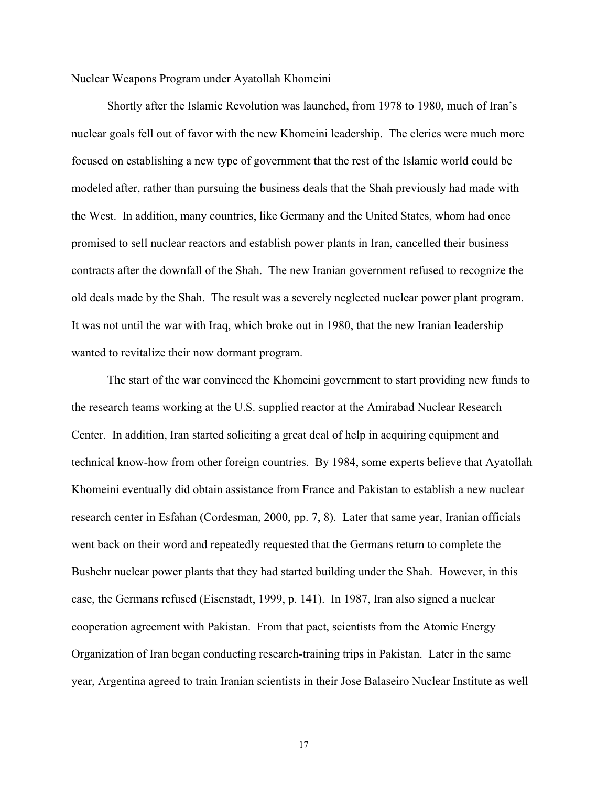#### Nuclear Weapons Program under Ayatollah Khomeini

Shortly after the Islamic Revolution was launched, from 1978 to 1980, much of Iran's nuclear goals fell out of favor with the new Khomeini leadership. The clerics were much more focused on establishing a new type of government that the rest of the Islamic world could be modeled after, rather than pursuing the business deals that the Shah previously had made with the West. In addition, many countries, like Germany and the United States, whom had once promised to sell nuclear reactors and establish power plants in Iran, cancelled their business contracts after the downfall of the Shah. The new Iranian government refused to recognize the old deals made by the Shah. The result was a severely neglected nuclear power plant program. It was not until the war with Iraq, which broke out in 1980, that the new Iranian leadership wanted to revitalize their now dormant program.

The start of the war convinced the Khomeini government to start providing new funds to the research teams working at the U.S. supplied reactor at the Amirabad Nuclear Research Center. In addition, Iran started soliciting a great deal of help in acquiring equipment and technical know-how from other foreign countries. By 1984, some experts believe that Ayatollah Khomeini eventually did obtain assistance from France and Pakistan to establish a new nuclear research center in Esfahan (Cordesman, 2000, pp. 7, 8). Later that same year, Iranian officials went back on their word and repeatedly requested that the Germans return to complete the Bushehr nuclear power plants that they had started building under the Shah. However, in this case, the Germans refused (Eisenstadt, 1999, p. 141). In 1987, Iran also signed a nuclear cooperation agreement with Pakistan. From that pact, scientists from the Atomic Energy Organization of Iran began conducting research-training trips in Pakistan. Later in the same year, Argentina agreed to train Iranian scientists in their Jose Balaseiro Nuclear Institute as well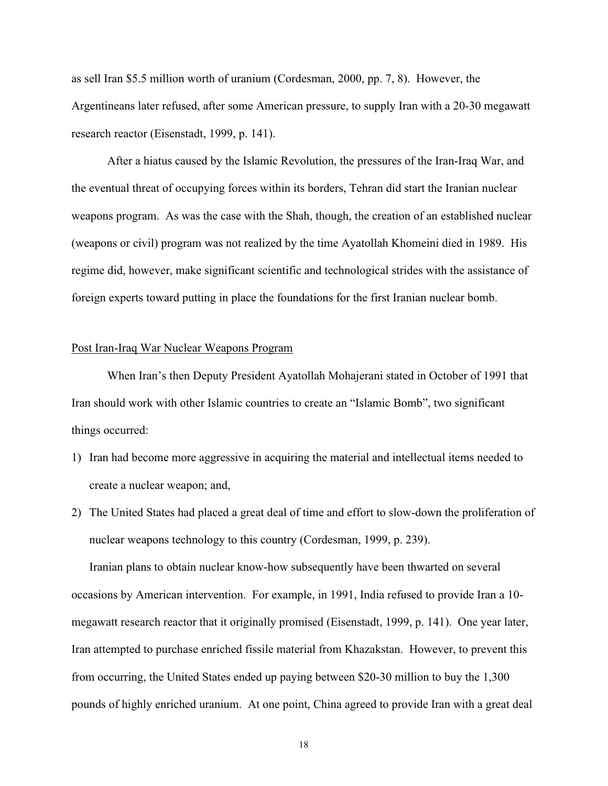as sell Iran \$5.5 million worth of uranium (Cordesman, 2000, pp. 7, 8). However, the Argentineans later refused, after some American pressure, to supply Iran with a 20-30 megawatt research reactor (Eisenstadt, 1999, p. 141).

After a hiatus caused by the Islamic Revolution, the pressures of the Iran-Iraq War, and the eventual threat of occupying forces within its borders, Tehran did start the Iranian nuclear weapons program. As was the case with the Shah, though, the creation of an established nuclear (weapons or civil) program was not realized by the time Ayatollah Khomeini died in 1989. His regime did, however, make significant scientific and technological strides with the assistance of foreign experts toward putting in place the foundations for the first Iranian nuclear bomb.

#### Post Iran-Iraq War Nuclear Weapons Program

When Iran's then Deputy President Ayatollah Mohajerani stated in October of 1991 that Iran should work with other Islamic countries to create an "Islamic Bomb", two significant things occurred:

- 1) Iran had become more aggressive in acquiring the material and intellectual items needed to create a nuclear weapon; and,
- 2) The United States had placed a great deal of time and effort to slow-down the proliferation of nuclear weapons technology to this country (Cordesman, 1999, p. 239).

Iranian plans to obtain nuclear know-how subsequently have been thwarted on several occasions by American intervention. For example, in 1991, India refused to provide Iran a 10 megawatt research reactor that it originally promised (Eisenstadt, 1999, p. 141). One year later, Iran attempted to purchase enriched fissile material from Khazakstan. However, to prevent this from occurring, the United States ended up paying between \$20-30 million to buy the 1,300 pounds of highly enriched uranium. At one point, China agreed to provide Iran with a great deal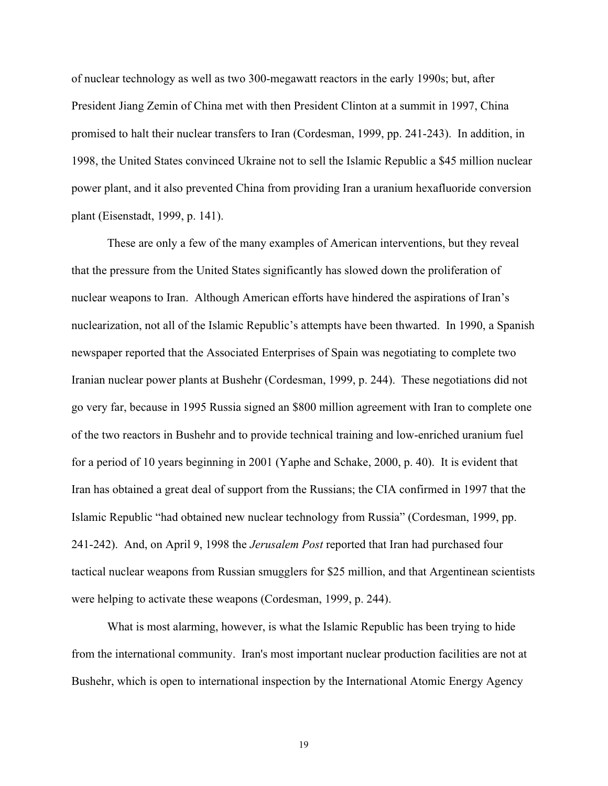of nuclear technology as well as two 300-megawatt reactors in the early 1990s; but, after President Jiang Zemin of China met with then President Clinton at a summit in 1997, China promised to halt their nuclear transfers to Iran (Cordesman, 1999, pp. 241-243). In addition, in 1998, the United States convinced Ukraine not to sell the Islamic Republic a \$45 million nuclear power plant, and it also prevented China from providing Iran a uranium hexafluoride conversion plant (Eisenstadt, 1999, p. 141).

These are only a few of the many examples of American interventions, but they reveal that the pressure from the United States significantly has slowed down the proliferation of nuclear weapons to Iran. Although American efforts have hindered the aspirations of Iran's nuclearization, not all of the Islamic Republic's attempts have been thwarted. In 1990, a Spanish newspaper reported that the Associated Enterprises of Spain was negotiating to complete two Iranian nuclear power plants at Bushehr (Cordesman, 1999, p. 244). These negotiations did not go very far, because in 1995 Russia signed an \$800 million agreement with Iran to complete one of the two reactors in Bushehr and to provide technical training and low-enriched uranium fuel for a period of 10 years beginning in 2001 (Yaphe and Schake, 2000, p. 40). It is evident that Iran has obtained a great deal of support from the Russians; the CIA confirmed in 1997 that the Islamic Republic "had obtained new nuclear technology from Russia" (Cordesman, 1999, pp. 241-242). And, on April 9, 1998 the *Jerusalem Post* reported that Iran had purchased four tactical nuclear weapons from Russian smugglers for \$25 million, and that Argentinean scientists were helping to activate these weapons (Cordesman, 1999, p. 244).

What is most alarming, however, is what the Islamic Republic has been trying to hide from the international community. Iran's most important nuclear production facilities are not at Bushehr, which is open to international inspection by the International Atomic Energy Agency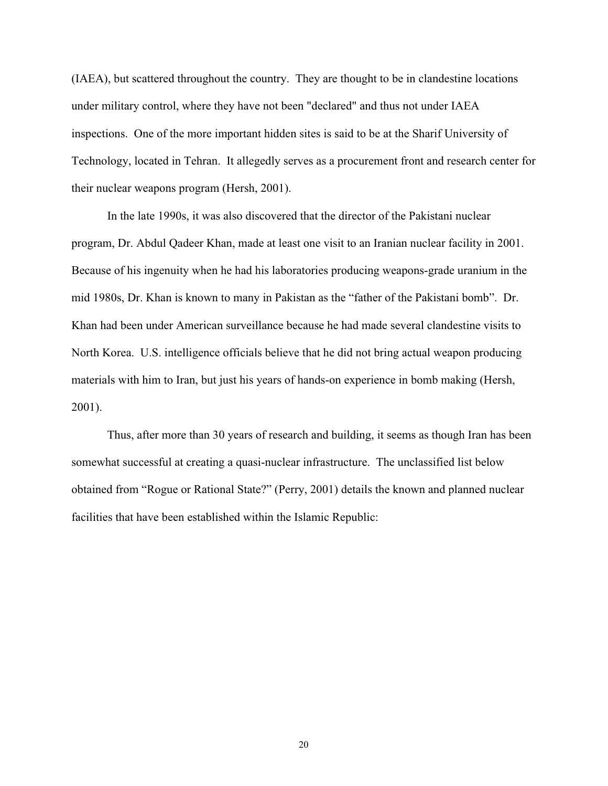(IAEA), but scattered throughout the country. They are thought to be in clandestine locations under military control, where they have not been "declared" and thus not under IAEA inspections. One of the more important hidden sites is said to be at the Sharif University of Technology, located in Tehran. It allegedly serves as a procurement front and research center for their nuclear weapons program (Hersh, 2001).

In the late 1990s, it was also discovered that the director of the Pakistani nuclear program, Dr. Abdul Qadeer Khan, made at least one visit to an Iranian nuclear facility in 2001. Because of his ingenuity when he had his laboratories producing weapons-grade uranium in the mid 1980s, Dr. Khan is known to many in Pakistan as the "father of the Pakistani bomb". Dr. Khan had been under American surveillance because he had made several clandestine visits to North Korea. U.S. intelligence officials believe that he did not bring actual weapon producing materials with him to Iran, but just his years of hands-on experience in bomb making (Hersh, 2001).

Thus, after more than 30 years of research and building, it seems as though Iran has been somewhat successful at creating a quasi-nuclear infrastructure. The unclassified list below obtained from "Rogue or Rational State?" (Perry, 2001) details the known and planned nuclear facilities that have been established within the Islamic Republic: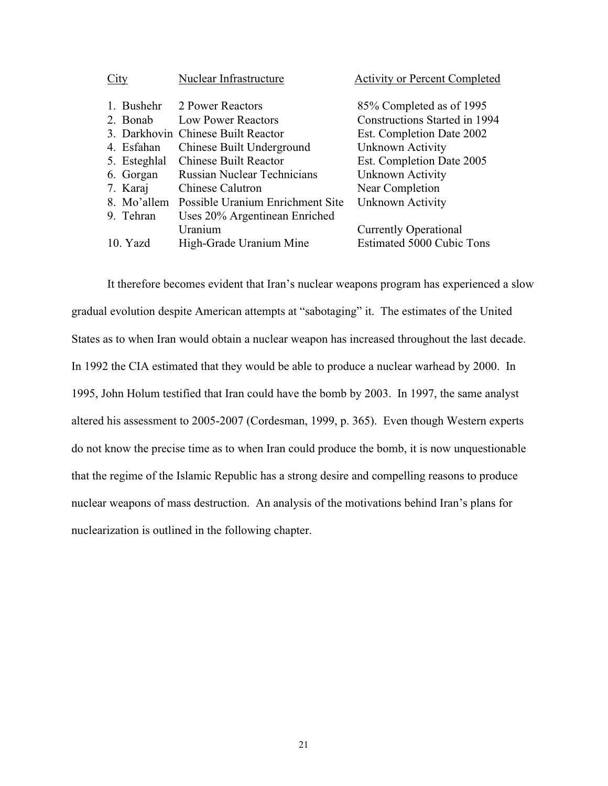| City         | Nuclear Infrastructure             | <b>Activity or Percent Completed</b> |
|--------------|------------------------------------|--------------------------------------|
|              |                                    |                                      |
|              | 1. Bushehr 2 Power Reactors        | 85% Completed as of 1995             |
| 2. Bonab     | <b>Low Power Reactors</b>          | <b>Constructions Started in 1994</b> |
|              | 3. Darkhovin Chinese Built Reactor | Est. Completion Date 2002            |
| 4. Esfahan   | Chinese Built Underground          | Unknown Activity                     |
| 5. Esteghlal | <b>Chinese Built Reactor</b>       | Est. Completion Date 2005            |
| 6. Gorgan    | <b>Russian Nuclear Technicians</b> | Unknown Activity                     |
| 7. Karaj     | <b>Chinese Calutron</b>            | Near Completion                      |
| 8. Mo'allem  | Possible Uranium Enrichment Site   | Unknown Activity                     |
| 9. Tehran    | Uses 20% Argentinean Enriched      |                                      |
|              | Uranium                            | <b>Currently Operational</b>         |
| 10. Yazd     | High-Grade Uranium Mine            | <b>Estimated 5000 Cubic Tons</b>     |

It therefore becomes evident that Iran's nuclear weapons program has experienced a slow gradual evolution despite American attempts at "sabotaging" it. The estimates of the United States as to when Iran would obtain a nuclear weapon has increased throughout the last decade. In 1992 the CIA estimated that they would be able to produce a nuclear warhead by 2000. In 1995, John Holum testified that Iran could have the bomb by 2003. In 1997, the same analyst altered his assessment to 2005-2007 (Cordesman, 1999, p. 365). Even though Western experts do not know the precise time as to when Iran could produce the bomb, it is now unquestionable that the regime of the Islamic Republic has a strong desire and compelling reasons to produce nuclear weapons of mass destruction. An analysis of the motivations behind Iran's plans for nuclearization is outlined in the following chapter.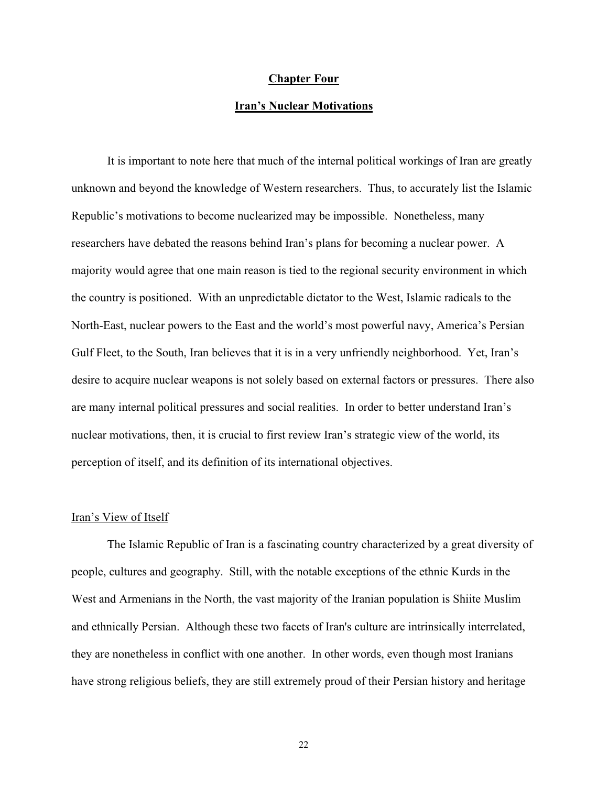#### **Chapter Four**

#### **Iran's Nuclear Motivations**

It is important to note here that much of the internal political workings of Iran are greatly unknown and beyond the knowledge of Western researchers. Thus, to accurately list the Islamic Republic's motivations to become nuclearized may be impossible. Nonetheless, many researchers have debated the reasons behind Iran's plans for becoming a nuclear power. A majority would agree that one main reason is tied to the regional security environment in which the country is positioned. With an unpredictable dictator to the West, Islamic radicals to the North-East, nuclear powers to the East and the world's most powerful navy, America's Persian Gulf Fleet, to the South, Iran believes that it is in a very unfriendly neighborhood. Yet, Iran's desire to acquire nuclear weapons is not solely based on external factors or pressures. There also are many internal political pressures and social realities. In order to better understand Iran's nuclear motivations, then, it is crucial to first review Iran's strategic view of the world, its perception of itself, and its definition of its international objectives.

### Iran's View of Itself

The Islamic Republic of Iran is a fascinating country characterized by a great diversity of people, cultures and geography. Still, with the notable exceptions of the ethnic Kurds in the West and Armenians in the North, the vast majority of the Iranian population is Shiite Muslim and ethnically Persian. Although these two facets of Iran's culture are intrinsically interrelated, they are nonetheless in conflict with one another. In other words, even though most Iranians have strong religious beliefs, they are still extremely proud of their Persian history and heritage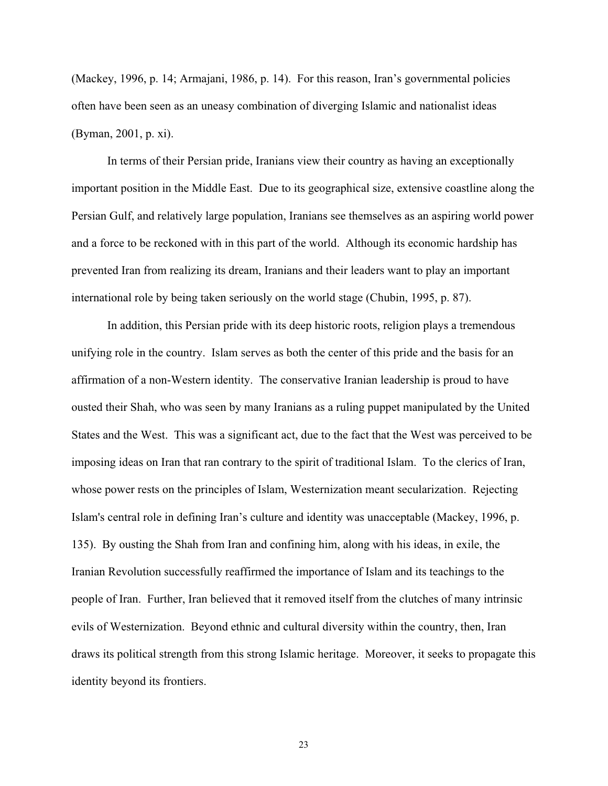(Mackey, 1996, p. 14; Armajani, 1986, p. 14). For this reason, Iran's governmental policies often have been seen as an uneasy combination of diverging Islamic and nationalist ideas (Byman, 2001, p. xi).

In terms of their Persian pride, Iranians view their country as having an exceptionally important position in the Middle East. Due to its geographical size, extensive coastline along the Persian Gulf, and relatively large population, Iranians see themselves as an aspiring world power and a force to be reckoned with in this part of the world. Although its economic hardship has prevented Iran from realizing its dream, Iranians and their leaders want to play an important international role by being taken seriously on the world stage (Chubin, 1995, p. 87).

In addition, this Persian pride with its deep historic roots, religion plays a tremendous unifying role in the country. Islam serves as both the center of this pride and the basis for an affirmation of a non-Western identity. The conservative Iranian leadership is proud to have ousted their Shah, who was seen by many Iranians as a ruling puppet manipulated by the United States and the West. This was a significant act, due to the fact that the West was perceived to be imposing ideas on Iran that ran contrary to the spirit of traditional Islam. To the clerics of Iran, whose power rests on the principles of Islam, Westernization meant secularization. Rejecting Islam's central role in defining Iran's culture and identity was unacceptable (Mackey, 1996, p. 135). By ousting the Shah from Iran and confining him, along with his ideas, in exile, the Iranian Revolution successfully reaffirmed the importance of Islam and its teachings to the people of Iran. Further, Iran believed that it removed itself from the clutches of many intrinsic evils of Westernization. Beyond ethnic and cultural diversity within the country, then, Iran draws its political strength from this strong Islamic heritage. Moreover, it seeks to propagate this identity beyond its frontiers.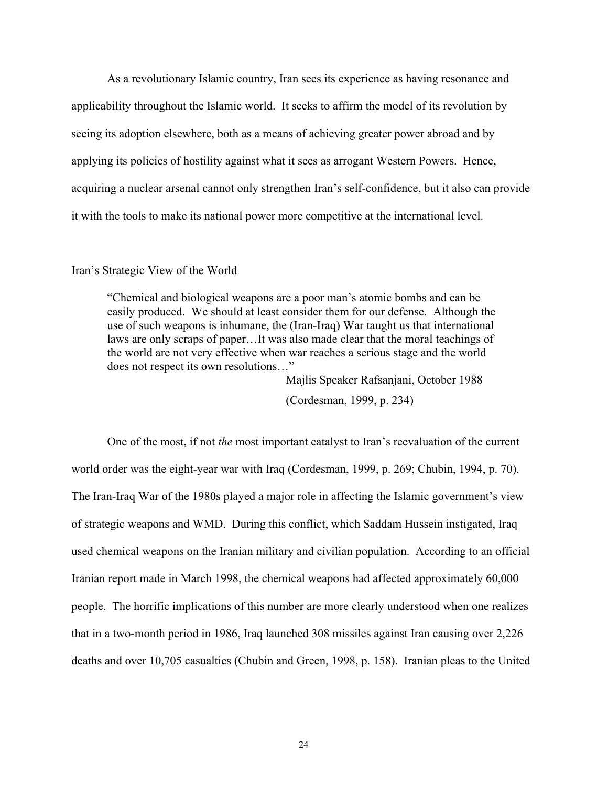As a revolutionary Islamic country, Iran sees its experience as having resonance and applicability throughout the Islamic world. It seeks to affirm the model of its revolution by seeing its adoption elsewhere, both as a means of achieving greater power abroad and by applying its policies of hostility against what it sees as arrogant Western Powers. Hence, acquiring a nuclear arsenal cannot only strengthen Iran's self-confidence, but it also can provide it with the tools to make its national power more competitive at the international level.

#### Iran's Strategic View of the World

"Chemical and biological weapons are a poor man's atomic bombs and can be easily produced. We should at least consider them for our defense. Although the use of such weapons is inhumane, the (Iran-Iraq) War taught us that international laws are only scraps of paper…It was also made clear that the moral teachings of the world are not very effective when war reaches a serious stage and the world does not respect its own resolutions…"

> Majlis Speaker Rafsanjani, October 1988 (Cordesman, 1999, p. 234)

One of the most, if not *the* most important catalyst to Iran's reevaluation of the current world order was the eight-year war with Iraq (Cordesman, 1999, p. 269; Chubin, 1994, p. 70). The Iran-Iraq War of the 1980s played a major role in affecting the Islamic government's view of strategic weapons and WMD. During this conflict, which Saddam Hussein instigated, Iraq used chemical weapons on the Iranian military and civilian population. According to an official Iranian report made in March 1998, the chemical weapons had affected approximately 60,000 people. The horrific implications of this number are more clearly understood when one realizes that in a two-month period in 1986, Iraq launched 308 missiles against Iran causing over 2,226 deaths and over 10,705 casualties (Chubin and Green, 1998, p. 158). Iranian pleas to the United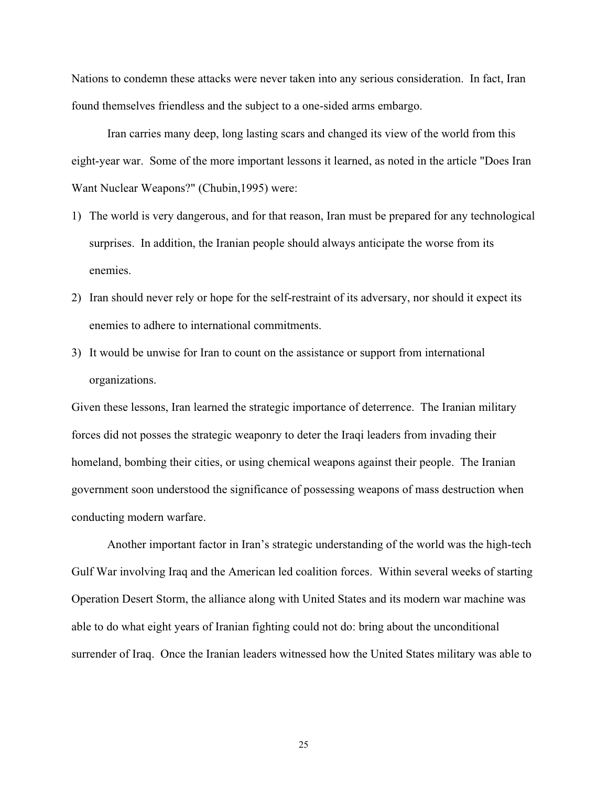Nations to condemn these attacks were never taken into any serious consideration. In fact, Iran found themselves friendless and the subject to a one-sided arms embargo.

Iran carries many deep, long lasting scars and changed its view of the world from this eight-year war. Some of the more important lessons it learned, as noted in the article "Does Iran Want Nuclear Weapons?" (Chubin,1995) were:

- 1) The world is very dangerous, and for that reason, Iran must be prepared for any technological surprises. In addition, the Iranian people should always anticipate the worse from its enemies.
- 2) Iran should never rely or hope for the self-restraint of its adversary, nor should it expect its enemies to adhere to international commitments.
- 3) It would be unwise for Iran to count on the assistance or support from international organizations.

Given these lessons, Iran learned the strategic importance of deterrence. The Iranian military forces did not posses the strategic weaponry to deter the Iraqi leaders from invading their homeland, bombing their cities, or using chemical weapons against their people. The Iranian government soon understood the significance of possessing weapons of mass destruction when conducting modern warfare.

Another important factor in Iran's strategic understanding of the world was the high-tech Gulf War involving Iraq and the American led coalition forces. Within several weeks of starting Operation Desert Storm, the alliance along with United States and its modern war machine was able to do what eight years of Iranian fighting could not do: bring about the unconditional surrender of Iraq. Once the Iranian leaders witnessed how the United States military was able to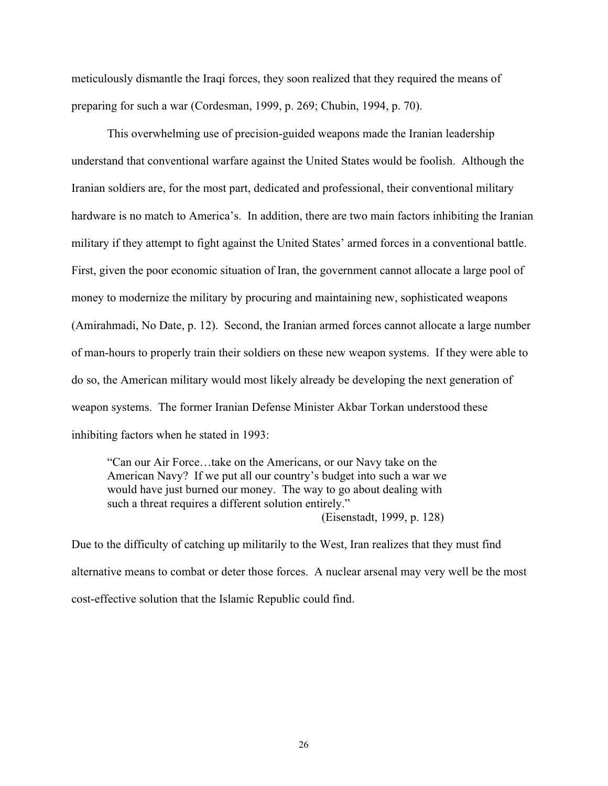meticulously dismantle the Iraqi forces, they soon realized that they required the means of preparing for such a war (Cordesman, 1999, p. 269; Chubin, 1994, p. 70).

This overwhelming use of precision-guided weapons made the Iranian leadership understand that conventional warfare against the United States would be foolish. Although the Iranian soldiers are, for the most part, dedicated and professional, their conventional military hardware is no match to America's. In addition, there are two main factors inhibiting the Iranian military if they attempt to fight against the United States' armed forces in a conventional battle. First, given the poor economic situation of Iran, the government cannot allocate a large pool of money to modernize the military by procuring and maintaining new, sophisticated weapons (Amirahmadi, No Date, p. 12). Second, the Iranian armed forces cannot allocate a large number of man-hours to properly train their soldiers on these new weapon systems. If they were able to do so, the American military would most likely already be developing the next generation of weapon systems. The former Iranian Defense Minister Akbar Torkan understood these inhibiting factors when he stated in 1993:

"Can our Air Force…take on the Americans, or our Navy take on the American Navy? If we put all our country's budget into such a war we would have just burned our money. The way to go about dealing with such a threat requires a different solution entirely." (Eisenstadt, 1999, p. 128)

Due to the difficulty of catching up militarily to the West, Iran realizes that they must find alternative means to combat or deter those forces. A nuclear arsenal may very well be the most cost-effective solution that the Islamic Republic could find.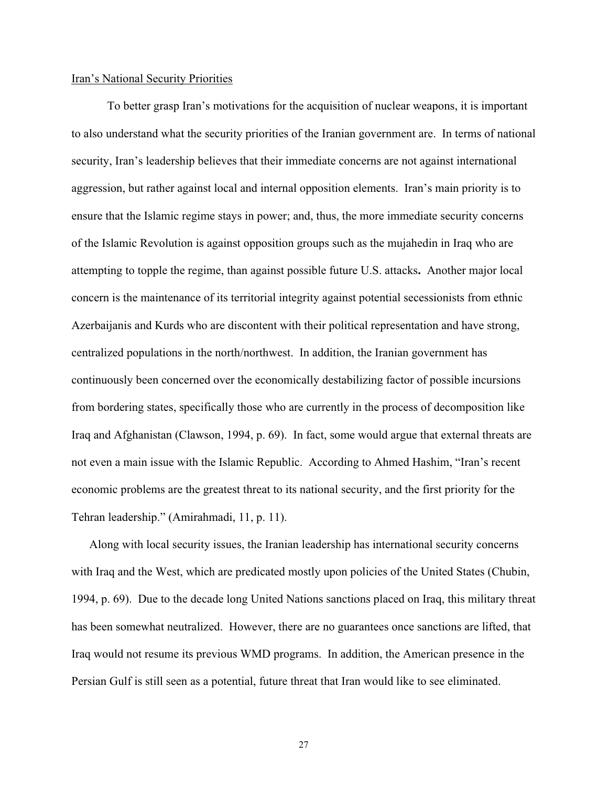#### Iran's National Security Priorities

To better grasp Iran's motivations for the acquisition of nuclear weapons, it is important to also understand what the security priorities of the Iranian government are. In terms of national security, Iran's leadership believes that their immediate concerns are not against international aggression, but rather against local and internal opposition elements. Iran's main priority is to ensure that the Islamic regime stays in power; and, thus, the more immediate security concerns of the Islamic Revolution is against opposition groups such as the mujahedin in Iraq who are attempting to topple the regime, than against possible future U.S. attacks**.** Another major local concern is the maintenance of its territorial integrity against potential secessionists from ethnic Azerbaijanis and Kurds who are discontent with their political representation and have strong, centralized populations in the north/northwest. In addition, the Iranian government has continuously been concerned over the economically destabilizing factor of possible incursions from bordering states, specifically those who are currently in the process of decomposition like Iraq and Afghanistan (Clawson, 1994, p. 69). In fact, some would argue that external threats are not even a main issue with the Islamic Republic. According to Ahmed Hashim, "Iran's recent economic problems are the greatest threat to its national security, and the first priority for the Tehran leadership." (Amirahmadi, 11, p. 11).

Along with local security issues, the Iranian leadership has international security concerns with Iraq and the West, which are predicated mostly upon policies of the United States (Chubin, 1994, p. 69). Due to the decade long United Nations sanctions placed on Iraq, this military threat has been somewhat neutralized. However, there are no guarantees once sanctions are lifted, that Iraq would not resume its previous WMD programs. In addition, the American presence in the Persian Gulf is still seen as a potential, future threat that Iran would like to see eliminated.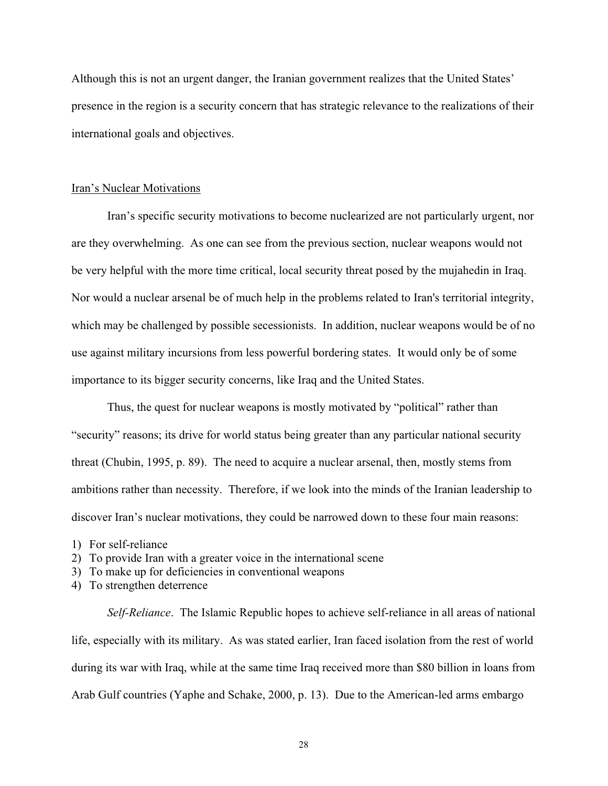Although this is not an urgent danger, the Iranian government realizes that the United States' presence in the region is a security concern that has strategic relevance to the realizations of their international goals and objectives.

#### Iran's Nuclear Motivations

Iran's specific security motivations to become nuclearized are not particularly urgent, nor are they overwhelming. As one can see from the previous section, nuclear weapons would not be very helpful with the more time critical, local security threat posed by the mujahedin in Iraq. Nor would a nuclear arsenal be of much help in the problems related to Iran's territorial integrity, which may be challenged by possible secessionists. In addition, nuclear weapons would be of no use against military incursions from less powerful bordering states. It would only be of some importance to its bigger security concerns, like Iraq and the United States.

Thus, the quest for nuclear weapons is mostly motivated by "political" rather than "security" reasons; its drive for world status being greater than any particular national security threat (Chubin, 1995, p. 89). The need to acquire a nuclear arsenal, then, mostly stems from ambitions rather than necessity. Therefore, if we look into the minds of the Iranian leadership to discover Iran's nuclear motivations, they could be narrowed down to these four main reasons:

- 1) For self-reliance
- 2) To provide Iran with a greater voice in the international scene
- 3) To make up for deficiencies in conventional weapons
- 4) To strengthen deterrence

*Self-Reliance*.The Islamic Republic hopes to achieve self-reliance in all areas of national life, especially with its military. As was stated earlier, Iran faced isolation from the rest of world during its war with Iraq, while at the same time Iraq received more than \$80 billion in loans from Arab Gulf countries (Yaphe and Schake, 2000, p. 13). Due to the American-led arms embargo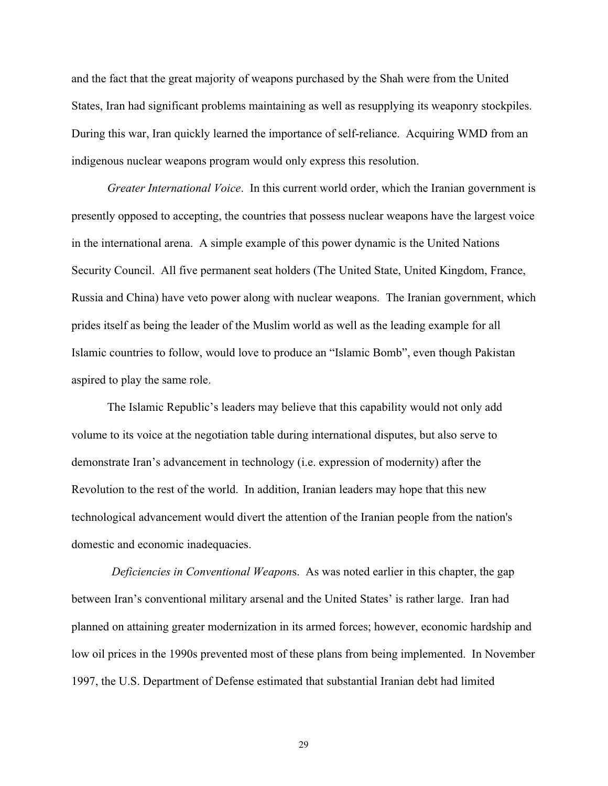and the fact that the great majority of weapons purchased by the Shah were from the United States, Iran had significant problems maintaining as well as resupplying its weaponry stockpiles. During this war, Iran quickly learned the importance of self-reliance. Acquiring WMD from an indigenous nuclear weapons program would only express this resolution.

*Greater International Voice*. In this current world order, which the Iranian government is presently opposed to accepting, the countries that possess nuclear weapons have the largest voice in the international arena. A simple example of this power dynamic is the United Nations Security Council. All five permanent seat holders (The United State, United Kingdom, France, Russia and China) have veto power along with nuclear weapons. The Iranian government, which prides itself as being the leader of the Muslim world as well as the leading example for all Islamic countries to follow, would love to produce an "Islamic Bomb", even though Pakistan aspired to play the same role.

The Islamic Republic's leaders may believe that this capability would not only add volume to its voice at the negotiation table during international disputes, but also serve to demonstrate Iran's advancement in technology (i.e. expression of modernity) after the Revolution to the rest of the world. In addition, Iranian leaders may hope that this new technological advancement would divert the attention of the Iranian people from the nation's domestic and economic inadequacies.

*Deficiencies in Conventional Weapon*s.As was noted earlier in this chapter, the gap between Iran's conventional military arsenal and the United States' is rather large. Iran had planned on attaining greater modernization in its armed forces; however, economic hardship and low oil prices in the 1990s prevented most of these plans from being implemented. In November 1997, the U.S. Department of Defense estimated that substantial Iranian debt had limited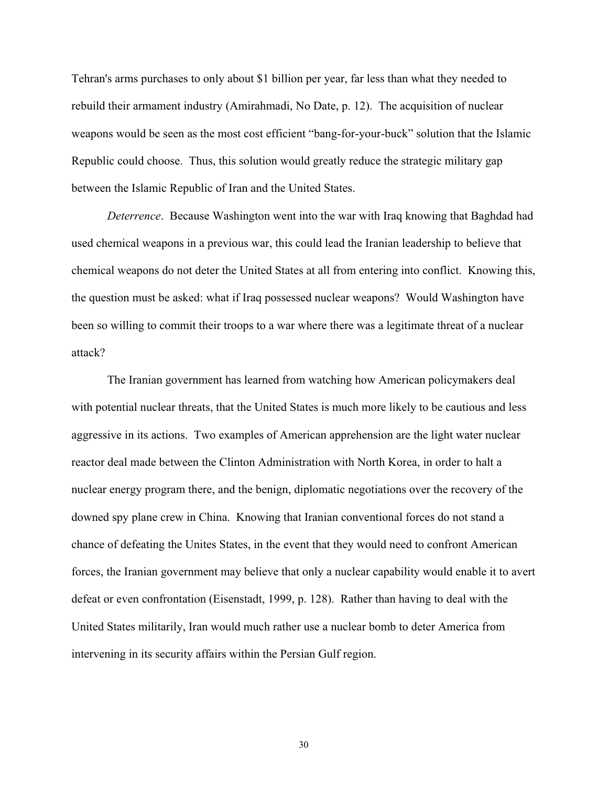Tehran's arms purchases to only about \$1 billion per year, far less than what they needed to rebuild their armament industry (Amirahmadi, No Date, p. 12). The acquisition of nuclear weapons would be seen as the most cost efficient "bang-for-your-buck" solution that the Islamic Republic could choose. Thus, this solution would greatly reduce the strategic military gap between the Islamic Republic of Iran and the United States.

*Deterrence*. Because Washington went into the war with Iraq knowing that Baghdad had used chemical weapons in a previous war, this could lead the Iranian leadership to believe that chemical weapons do not deter the United States at all from entering into conflict. Knowing this, the question must be asked: what if Iraq possessed nuclear weapons? Would Washington have been so willing to commit their troops to a war where there was a legitimate threat of a nuclear attack?

The Iranian government has learned from watching how American policymakers deal with potential nuclear threats, that the United States is much more likely to be cautious and less aggressive in its actions. Two examples of American apprehension are the light water nuclear reactor deal made between the Clinton Administration with North Korea, in order to halt a nuclear energy program there, and the benign, diplomatic negotiations over the recovery of the downed spy plane crew in China. Knowing that Iranian conventional forces do not stand a chance of defeating the Unites States, in the event that they would need to confront American forces, the Iranian government may believe that only a nuclear capability would enable it to avert defeat or even confrontation (Eisenstadt, 1999, p. 128). Rather than having to deal with the United States militarily, Iran would much rather use a nuclear bomb to deter America from intervening in its security affairs within the Persian Gulf region.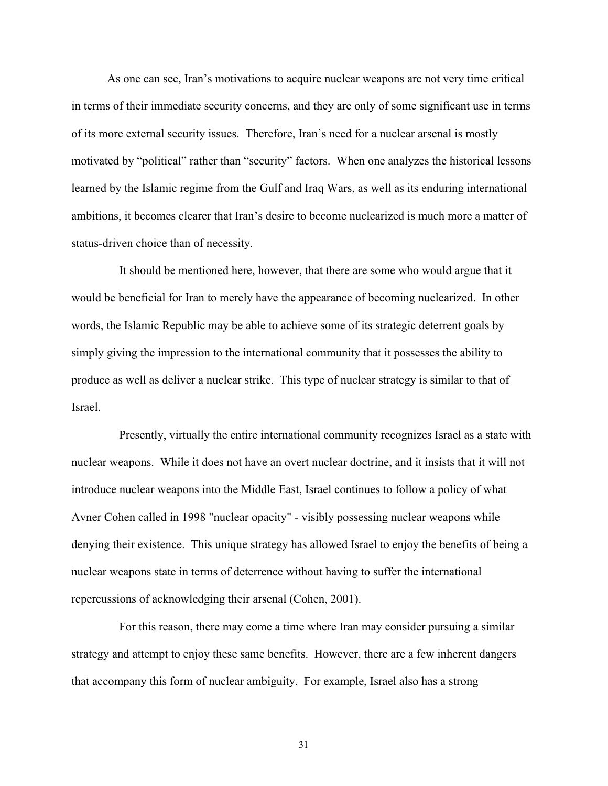As one can see, Iran's motivations to acquire nuclear weapons are not very time critical in terms of their immediate security concerns, and they are only of some significant use in terms of its more external security issues. Therefore, Iran's need for a nuclear arsenal is mostly motivated by "political" rather than "security" factors. When one analyzes the historical lessons learned by the Islamic regime from the Gulf and Iraq Wars, as well as its enduring international ambitions, it becomes clearer that Iran's desire to become nuclearized is much more a matter of status-driven choice than of necessity.

It should be mentioned here, however, that there are some who would argue that it would be beneficial for Iran to merely have the appearance of becoming nuclearized. In other words, the Islamic Republic may be able to achieve some of its strategic deterrent goals by simply giving the impression to the international community that it possesses the ability to produce as well as deliver a nuclear strike. This type of nuclear strategy is similar to that of Israel.

Presently, virtually the entire international community recognizes Israel as a state with nuclear weapons. While it does not have an overt nuclear doctrine, and it insists that it will not introduce nuclear weapons into the Middle East, Israel continues to follow a policy of what Avner Cohen called in 1998 "nuclear opacity" - visibly possessing nuclear weapons while denying their existence. This unique strategy has allowed Israel to enjoy the benefits of being a nuclear weapons state in terms of deterrence without having to suffer the international repercussions of acknowledging their arsenal (Cohen, 2001).

For this reason, there may come a time where Iran may consider pursuing a similar strategy and attempt to enjoy these same benefits. However, there are a few inherent dangers that accompany this form of nuclear ambiguity. For example, Israel also has a strong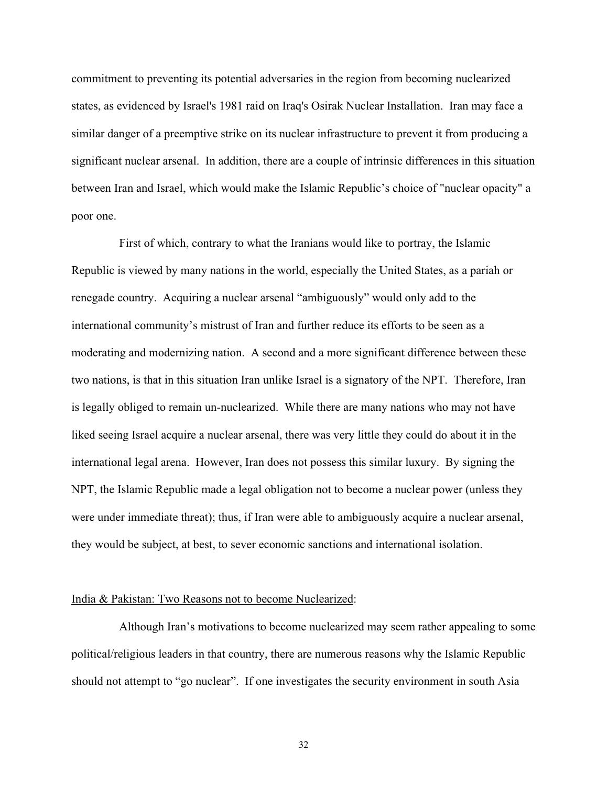commitment to preventing its potential adversaries in the region from becoming nuclearized states, as evidenced by Israel's 1981 raid on Iraq's Osirak Nuclear Installation. Iran may face a similar danger of a preemptive strike on its nuclear infrastructure to prevent it from producing a significant nuclear arsenal. In addition, there are a couple of intrinsic differences in this situation between Iran and Israel, which would make the Islamic Republic's choice of "nuclear opacity" a poor one.

First of which, contrary to what the Iranians would like to portray, the Islamic Republic is viewed by many nations in the world, especially the United States, as a pariah or renegade country. Acquiring a nuclear arsenal "ambiguously" would only add to the international community's mistrust of Iran and further reduce its efforts to be seen as a moderating and modernizing nation. A second and a more significant difference between these two nations, is that in this situation Iran unlike Israel is a signatory of the NPT. Therefore, Iran is legally obliged to remain un-nuclearized. While there are many nations who may not have liked seeing Israel acquire a nuclear arsenal, there was very little they could do about it in the international legal arena. However, Iran does not possess this similar luxury. By signing the NPT, the Islamic Republic made a legal obligation not to become a nuclear power (unless they were under immediate threat); thus, if Iran were able to ambiguously acquire a nuclear arsenal, they would be subject, at best, to sever economic sanctions and international isolation.

#### India & Pakistan: Two Reasons not to become Nuclearized:

Although Iran's motivations to become nuclearized may seem rather appealing to some political/religious leaders in that country, there are numerous reasons why the Islamic Republic should not attempt to "go nuclear". If one investigates the security environment in south Asia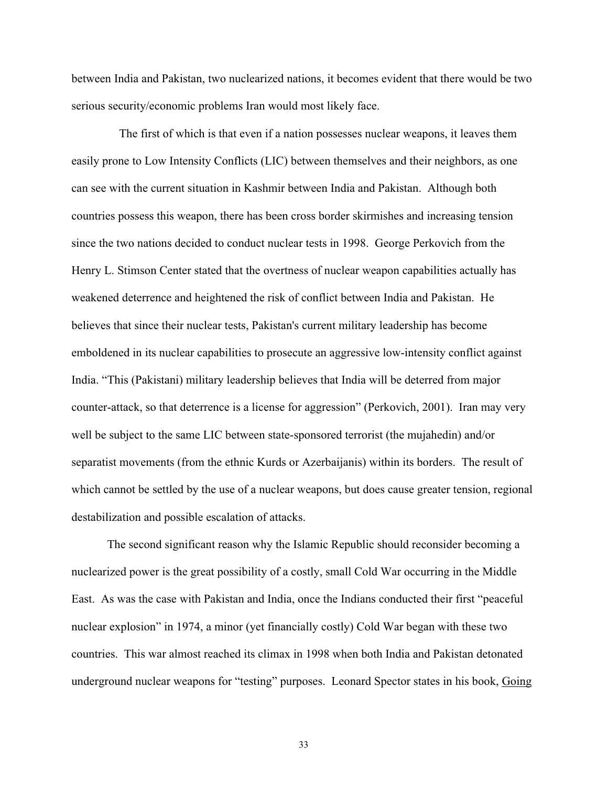between India and Pakistan, two nuclearized nations, it becomes evident that there would be two serious security/economic problems Iran would most likely face.

The first of which is that even if a nation possesses nuclear weapons, it leaves them easily prone to Low Intensity Conflicts (LIC) between themselves and their neighbors, as one can see with the current situation in Kashmir between India and Pakistan. Although both countries possess this weapon, there has been cross border skirmishes and increasing tension since the two nations decided to conduct nuclear tests in 1998. George Perkovich from the Henry L. Stimson Center stated that the overtness of nuclear weapon capabilities actually has weakened deterrence and heightened the risk of conflict between India and Pakistan. He believes that since their nuclear tests, Pakistan's current military leadership has become emboldened in its nuclear capabilities to prosecute an aggressive low-intensity conflict against India. "This (Pakistani) military leadership believes that India will be deterred from major counter-attack, so that deterrence is a license for aggression" (Perkovich, 2001). Iran may very well be subject to the same LIC between state-sponsored terrorist (the mujahedin) and/or separatist movements (from the ethnic Kurds or Azerbaijanis) within its borders. The result of which cannot be settled by the use of a nuclear weapons, but does cause greater tension, regional destabilization and possible escalation of attacks.

The second significant reason why the Islamic Republic should reconsider becoming a nuclearized power is the great possibility of a costly, small Cold War occurring in the Middle East. As was the case with Pakistan and India, once the Indians conducted their first "peaceful nuclear explosion" in 1974, a minor (yet financially costly) Cold War began with these two countries. This war almost reached its climax in 1998 when both India and Pakistan detonated underground nuclear weapons for "testing" purposes. Leonard Spector states in his book, Going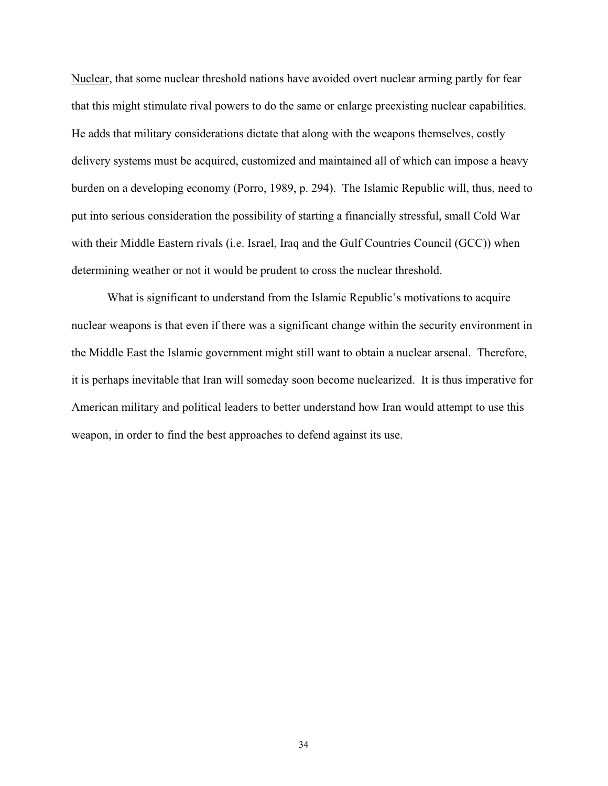Nuclear, that some nuclear threshold nations have avoided overt nuclear arming partly for fear that this might stimulate rival powers to do the same or enlarge preexisting nuclear capabilities. He adds that military considerations dictate that along with the weapons themselves, costly delivery systems must be acquired, customized and maintained all of which can impose a heavy burden on a developing economy (Porro, 1989, p. 294). The Islamic Republic will, thus, need to put into serious consideration the possibility of starting a financially stressful, small Cold War with their Middle Eastern rivals (i.e. Israel, Iraq and the Gulf Countries Council (GCC)) when determining weather or not it would be prudent to cross the nuclear threshold.

What is significant to understand from the Islamic Republic's motivations to acquire nuclear weapons is that even if there was a significant change within the security environment in the Middle East the Islamic government might still want to obtain a nuclear arsenal. Therefore, it is perhaps inevitable that Iran will someday soon become nuclearized. It is thus imperative for American military and political leaders to better understand how Iran would attempt to use this weapon, in order to find the best approaches to defend against its use.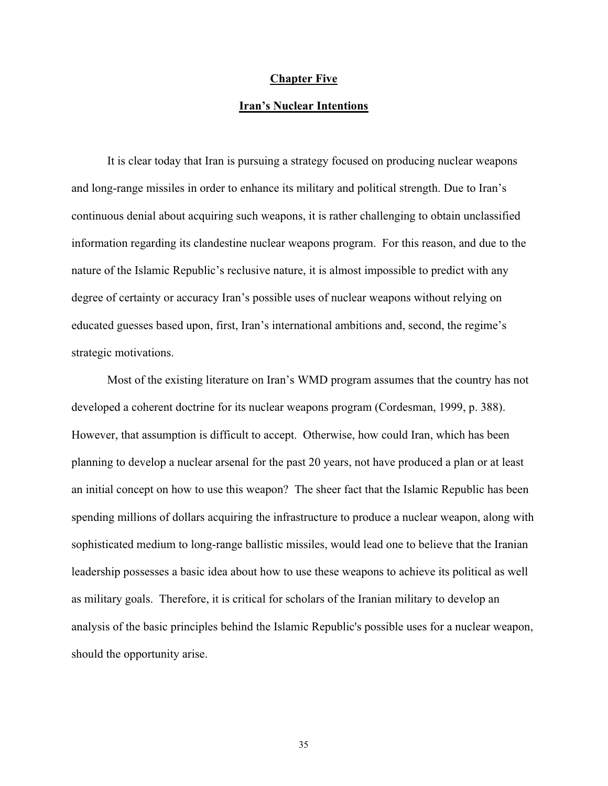### **Chapter Five**

## **Iran's Nuclear Intentions**

It is clear today that Iran is pursuing a strategy focused on producing nuclear weapons and long-range missiles in order to enhance its military and political strength. Due to Iran's continuous denial about acquiring such weapons, it is rather challenging to obtain unclassified information regarding its clandestine nuclear weapons program. For this reason, and due to the nature of the Islamic Republic's reclusive nature, it is almost impossible to predict with any degree of certainty or accuracy Iran's possible uses of nuclear weapons without relying on educated guesses based upon, first, Iran's international ambitions and, second, the regime's strategic motivations.

Most of the existing literature on Iran's WMD program assumes that the country has not developed a coherent doctrine for its nuclear weapons program (Cordesman, 1999, p. 388). However, that assumption is difficult to accept. Otherwise, how could Iran, which has been planning to develop a nuclear arsenal for the past 20 years, not have produced a plan or at least an initial concept on how to use this weapon? The sheer fact that the Islamic Republic has been spending millions of dollars acquiring the infrastructure to produce a nuclear weapon, along with sophisticated medium to long-range ballistic missiles, would lead one to believe that the Iranian leadership possesses a basic idea about how to use these weapons to achieve its political as well as military goals. Therefore, it is critical for scholars of the Iranian military to develop an analysis of the basic principles behind the Islamic Republic's possible uses for a nuclear weapon, should the opportunity arise.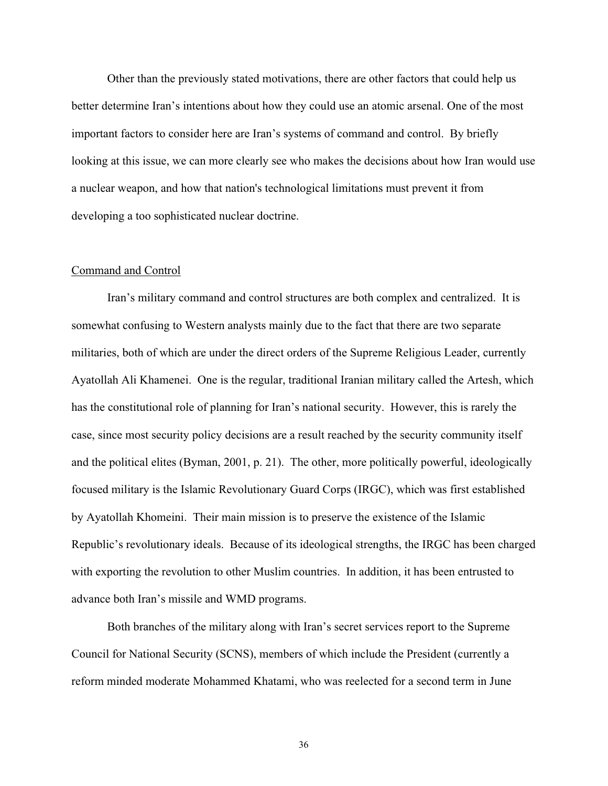Other than the previously stated motivations, there are other factors that could help us better determine Iran's intentions about how they could use an atomic arsenal. One of the most important factors to consider here are Iran's systems of command and control. By briefly looking at this issue, we can more clearly see who makes the decisions about how Iran would use a nuclear weapon, and how that nation's technological limitations must prevent it from developing a too sophisticated nuclear doctrine.

#### Command and Control

Iran's military command and control structures are both complex and centralized. It is somewhat confusing to Western analysts mainly due to the fact that there are two separate militaries, both of which are under the direct orders of the Supreme Religious Leader, currently Ayatollah Ali Khamenei. One is the regular, traditional Iranian military called the Artesh, which has the constitutional role of planning for Iran's national security. However, this is rarely the case, since most security policy decisions are a result reached by the security community itself and the political elites (Byman, 2001, p. 21). The other, more politically powerful, ideologically focused military is the Islamic Revolutionary Guard Corps (IRGC), which was first established by Ayatollah Khomeini. Their main mission is to preserve the existence of the Islamic Republic's revolutionary ideals. Because of its ideological strengths, the IRGC has been charged with exporting the revolution to other Muslim countries. In addition, it has been entrusted to advance both Iran's missile and WMD programs.

Both branches of the military along with Iran's secret services report to the Supreme Council for National Security (SCNS), members of which include the President (currently a reform minded moderate Mohammed Khatami, who was reelected for a second term in June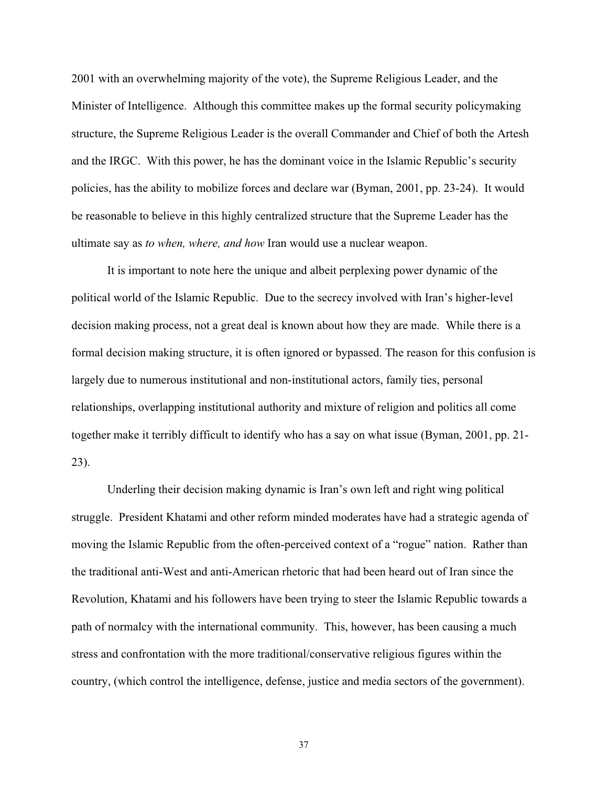2001 with an overwhelming majority of the vote), the Supreme Religious Leader, and the Minister of Intelligence. Although this committee makes up the formal security policymaking structure, the Supreme Religious Leader is the overall Commander and Chief of both the Artesh and the IRGC. With this power, he has the dominant voice in the Islamic Republic's security policies, has the ability to mobilize forces and declare war (Byman, 2001, pp. 23-24). It would be reasonable to believe in this highly centralized structure that the Supreme Leader has the ultimate say as *to when, where, and how* Iran would use a nuclear weapon.

It is important to note here the unique and albeit perplexing power dynamic of the political world of the Islamic Republic. Due to the secrecy involved with Iran's higher-level decision making process, not a great deal is known about how they are made. While there is a formal decision making structure, it is often ignored or bypassed. The reason for this confusion is largely due to numerous institutional and non-institutional actors, family ties, personal relationships, overlapping institutional authority and mixture of religion and politics all come together make it terribly difficult to identify who has a say on what issue (Byman, 2001, pp. 21- 23).

Underling their decision making dynamic is Iran's own left and right wing political struggle. President Khatami and other reform minded moderates have had a strategic agenda of moving the Islamic Republic from the often-perceived context of a "rogue" nation. Rather than the traditional anti-West and anti-American rhetoric that had been heard out of Iran since the Revolution, Khatami and his followers have been trying to steer the Islamic Republic towards a path of normalcy with the international community. This, however, has been causing a much stress and confrontation with the more traditional/conservative religious figures within the country, (which control the intelligence, defense, justice and media sectors of the government).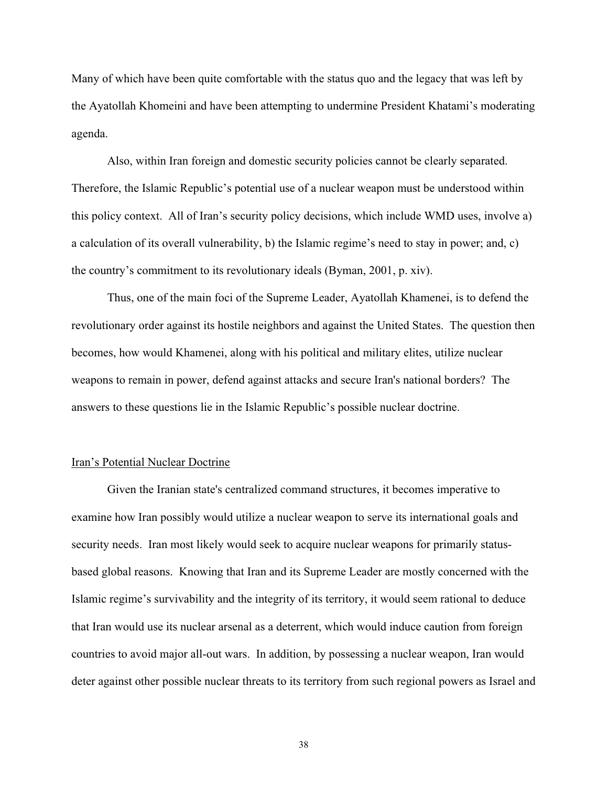Many of which have been quite comfortable with the status quo and the legacy that was left by the Ayatollah Khomeini and have been attempting to undermine President Khatami's moderating agenda.

Also, within Iran foreign and domestic security policies cannot be clearly separated. Therefore, the Islamic Republic's potential use of a nuclear weapon must be understood within this policy context. All of Iran's security policy decisions, which include WMD uses, involve a) a calculation of its overall vulnerability, b) the Islamic regime's need to stay in power; and, c) the country's commitment to its revolutionary ideals (Byman, 2001, p. xiv).

Thus, one of the main foci of the Supreme Leader, Ayatollah Khamenei, is to defend the revolutionary order against its hostile neighbors and against the United States. The question then becomes, how would Khamenei, along with his political and military elites, utilize nuclear weapons to remain in power, defend against attacks and secure Iran's national borders? The answers to these questions lie in the Islamic Republic's possible nuclear doctrine.

### Iran's Potential Nuclear Doctrine

Given the Iranian state's centralized command structures, it becomes imperative to examine how Iran possibly would utilize a nuclear weapon to serve its international goals and security needs. Iran most likely would seek to acquire nuclear weapons for primarily statusbased global reasons. Knowing that Iran and its Supreme Leader are mostly concerned with the Islamic regime's survivability and the integrity of its territory, it would seem rational to deduce that Iran would use its nuclear arsenal as a deterrent, which would induce caution from foreign countries to avoid major all-out wars. In addition, by possessing a nuclear weapon, Iran would deter against other possible nuclear threats to its territory from such regional powers as Israel and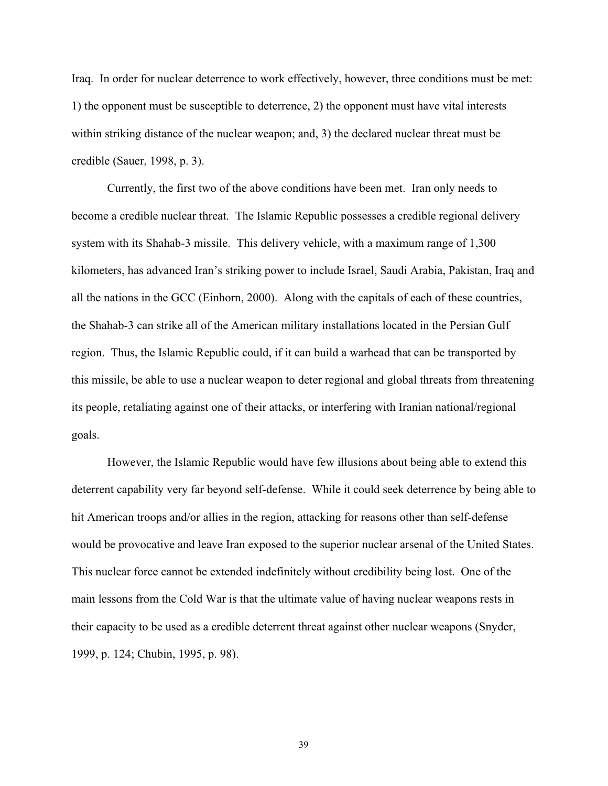Iraq. In order for nuclear deterrence to work effectively, however, three conditions must be met: 1) the opponent must be susceptible to deterrence, 2) the opponent must have vital interests within striking distance of the nuclear weapon; and, 3) the declared nuclear threat must be credible (Sauer, 1998, p. 3).

Currently, the first two of the above conditions have been met. Iran only needs to become a credible nuclear threat. The Islamic Republic possesses a credible regional delivery system with its Shahab-3 missile. This delivery vehicle, with a maximum range of 1,300 kilometers, has advanced Iran's striking power to include Israel, Saudi Arabia, Pakistan, Iraq and all the nations in the GCC (Einhorn, 2000). Along with the capitals of each of these countries, the Shahab-3 can strike all of the American military installations located in the Persian Gulf region. Thus, the Islamic Republic could, if it can build a warhead that can be transported by this missile, be able to use a nuclear weapon to deter regional and global threats from threatening its people, retaliating against one of their attacks, or interfering with Iranian national/regional goals.

However, the Islamic Republic would have few illusions about being able to extend this deterrent capability very far beyond self-defense. While it could seek deterrence by being able to hit American troops and/or allies in the region, attacking for reasons other than self-defense would be provocative and leave Iran exposed to the superior nuclear arsenal of the United States. This nuclear force cannot be extended indefinitely without credibility being lost. One of the main lessons from the Cold War is that the ultimate value of having nuclear weapons rests in their capacity to be used as a credible deterrent threat against other nuclear weapons (Snyder, 1999, p. 124; Chubin, 1995, p. 98).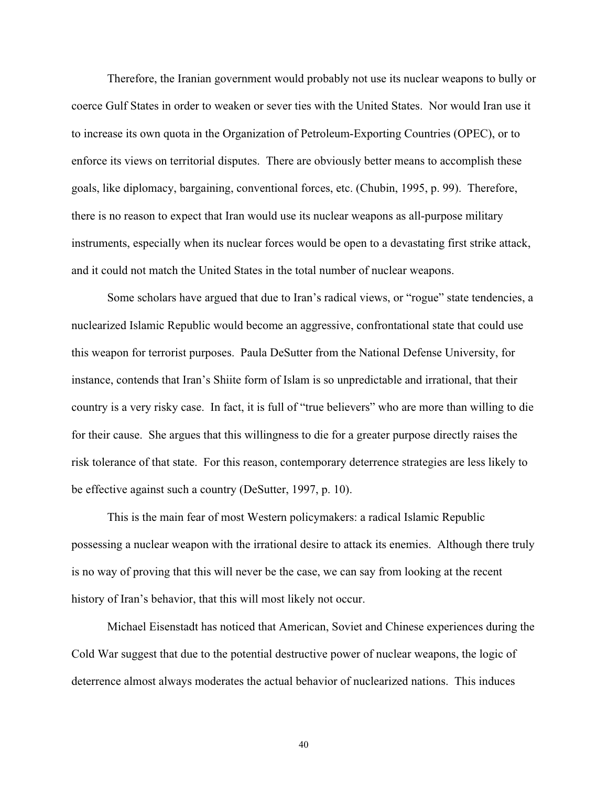Therefore, the Iranian government would probably not use its nuclear weapons to bully or coerce Gulf States in order to weaken or sever ties with the United States. Nor would Iran use it to increase its own quota in the Organization of Petroleum-Exporting Countries (OPEC), or to enforce its views on territorial disputes. There are obviously better means to accomplish these goals, like diplomacy, bargaining, conventional forces, etc. (Chubin, 1995, p. 99). Therefore, there is no reason to expect that Iran would use its nuclear weapons as all-purpose military instruments, especially when its nuclear forces would be open to a devastating first strike attack, and it could not match the United States in the total number of nuclear weapons.

Some scholars have argued that due to Iran's radical views, or "rogue" state tendencies, a nuclearized Islamic Republic would become an aggressive, confrontational state that could use this weapon for terrorist purposes. Paula DeSutter from the National Defense University, for instance, contends that Iran's Shiite form of Islam is so unpredictable and irrational, that their country is a very risky case. In fact, it is full of "true believers" who are more than willing to die for their cause. She argues that this willingness to die for a greater purpose directly raises the risk tolerance of that state. For this reason, contemporary deterrence strategies are less likely to be effective against such a country (DeSutter, 1997, p. 10).

This is the main fear of most Western policymakers: a radical Islamic Republic possessing a nuclear weapon with the irrational desire to attack its enemies. Although there truly is no way of proving that this will never be the case, we can say from looking at the recent history of Iran's behavior, that this will most likely not occur.

Michael Eisenstadt has noticed that American, Soviet and Chinese experiences during the Cold War suggest that due to the potential destructive power of nuclear weapons, the logic of deterrence almost always moderates the actual behavior of nuclearized nations. This induces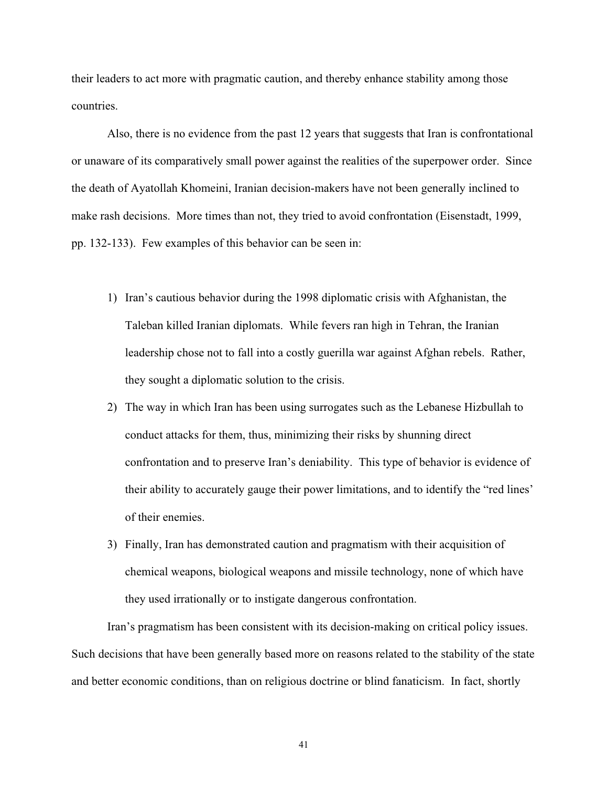their leaders to act more with pragmatic caution, and thereby enhance stability among those countries.

Also, there is no evidence from the past 12 years that suggests that Iran is confrontational or unaware of its comparatively small power against the realities of the superpower order. Since the death of Ayatollah Khomeini, Iranian decision-makers have not been generally inclined to make rash decisions. More times than not, they tried to avoid confrontation (Eisenstadt, 1999, pp. 132-133). Few examples of this behavior can be seen in:

- 1) Iran's cautious behavior during the 1998 diplomatic crisis with Afghanistan, the Taleban killed Iranian diplomats. While fevers ran high in Tehran, the Iranian leadership chose not to fall into a costly guerilla war against Afghan rebels. Rather, they sought a diplomatic solution to the crisis.
- 2) The way in which Iran has been using surrogates such as the Lebanese Hizbullah to conduct attacks for them, thus, minimizing their risks by shunning direct confrontation and to preserve Iran's deniability. This type of behavior is evidence of their ability to accurately gauge their power limitations, and to identify the "red lines' of their enemies.
- 3) Finally, Iran has demonstrated caution and pragmatism with their acquisition of chemical weapons, biological weapons and missile technology, none of which have they used irrationally or to instigate dangerous confrontation.

Iran's pragmatism has been consistent with its decision-making on critical policy issues. Such decisions that have been generally based more on reasons related to the stability of the state and better economic conditions, than on religious doctrine or blind fanaticism. In fact, shortly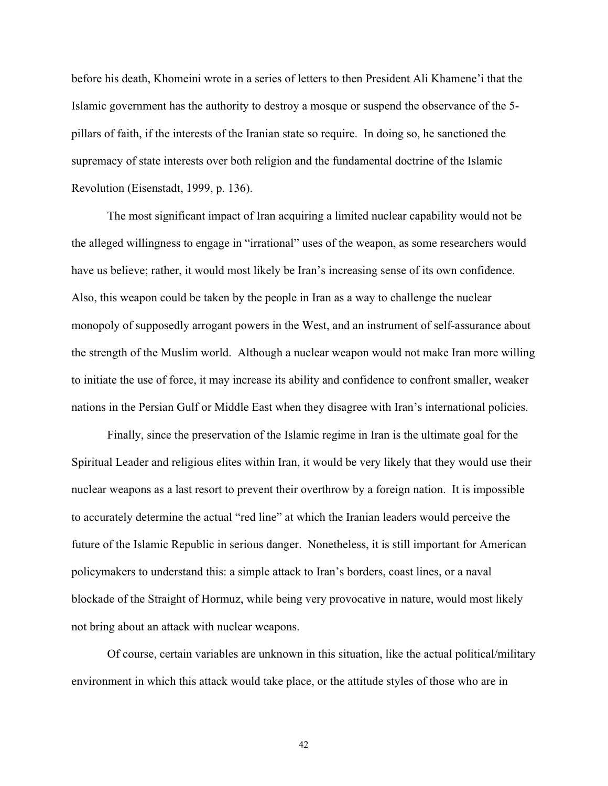before his death, Khomeini wrote in a series of letters to then President Ali Khamene'i that the Islamic government has the authority to destroy a mosque or suspend the observance of the 5 pillars of faith, if the interests of the Iranian state so require. In doing so, he sanctioned the supremacy of state interests over both religion and the fundamental doctrine of the Islamic Revolution (Eisenstadt, 1999, p. 136).

The most significant impact of Iran acquiring a limited nuclear capability would not be the alleged willingness to engage in "irrational" uses of the weapon, as some researchers would have us believe; rather, it would most likely be Iran's increasing sense of its own confidence. Also, this weapon could be taken by the people in Iran as a way to challenge the nuclear monopoly of supposedly arrogant powers in the West, and an instrument of self-assurance about the strength of the Muslim world. Although a nuclear weapon would not make Iran more willing to initiate the use of force, it may increase its ability and confidence to confront smaller, weaker nations in the Persian Gulf or Middle East when they disagree with Iran's international policies.

Finally, since the preservation of the Islamic regime in Iran is the ultimate goal for the Spiritual Leader and religious elites within Iran, it would be very likely that they would use their nuclear weapons as a last resort to prevent their overthrow by a foreign nation. It is impossible to accurately determine the actual "red line" at which the Iranian leaders would perceive the future of the Islamic Republic in serious danger. Nonetheless, it is still important for American policymakers to understand this: a simple attack to Iran's borders, coast lines, or a naval blockade of the Straight of Hormuz, while being very provocative in nature, would most likely not bring about an attack with nuclear weapons.

Of course, certain variables are unknown in this situation, like the actual political/military environment in which this attack would take place, or the attitude styles of those who are in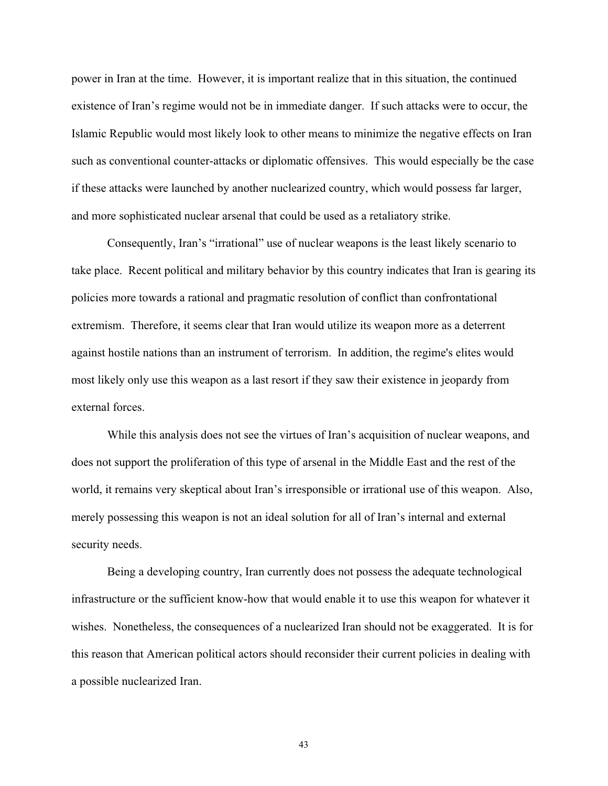power in Iran at the time. However, it is important realize that in this situation, the continued existence of Iran's regime would not be in immediate danger. If such attacks were to occur, the Islamic Republic would most likely look to other means to minimize the negative effects on Iran such as conventional counter-attacks or diplomatic offensives. This would especially be the case if these attacks were launched by another nuclearized country, which would possess far larger, and more sophisticated nuclear arsenal that could be used as a retaliatory strike.

Consequently, Iran's "irrational" use of nuclear weapons is the least likely scenario to take place. Recent political and military behavior by this country indicates that Iran is gearing its policies more towards a rational and pragmatic resolution of conflict than confrontational extremism. Therefore, it seems clear that Iran would utilize its weapon more as a deterrent against hostile nations than an instrument of terrorism. In addition, the regime's elites would most likely only use this weapon as a last resort if they saw their existence in jeopardy from external forces.

While this analysis does not see the virtues of Iran's acquisition of nuclear weapons, and does not support the proliferation of this type of arsenal in the Middle East and the rest of the world, it remains very skeptical about Iran's irresponsible or irrational use of this weapon. Also, merely possessing this weapon is not an ideal solution for all of Iran's internal and external security needs.

Being a developing country, Iran currently does not possess the adequate technological infrastructure or the sufficient know-how that would enable it to use this weapon for whatever it wishes. Nonetheless, the consequences of a nuclearized Iran should not be exaggerated. It is for this reason that American political actors should reconsider their current policies in dealing with a possible nuclearized Iran.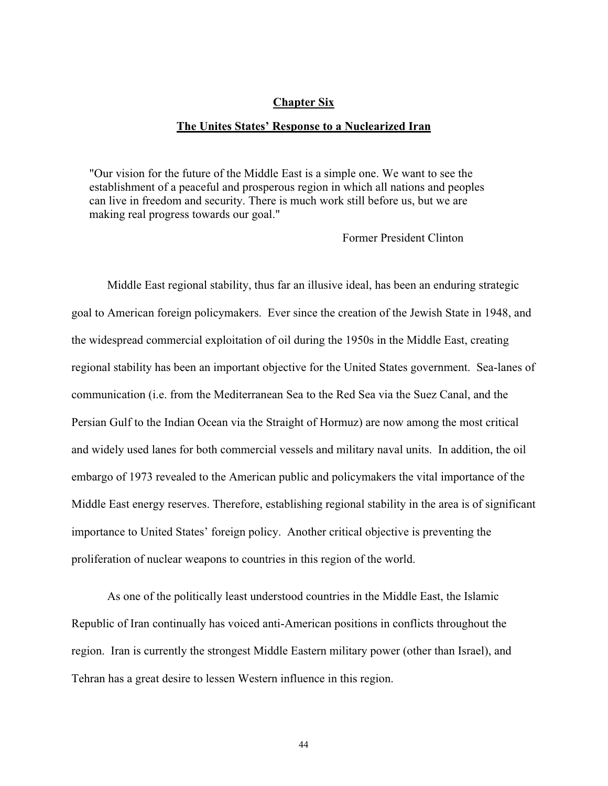#### **Chapter Six**

#### **The Unites States' Response to a Nuclearized Iran**

"Our vision for the future of the Middle East is a simple one. We want to see the establishment of a peaceful and prosperous region in which all nations and peoples can live in freedom and security. There is much work still before us, but we are making real progress towards our goal."

Former President Clinton

Middle East regional stability, thus far an illusive ideal, has been an enduring strategic goal to American foreign policymakers. Ever since the creation of the Jewish State in 1948, and the widespread commercial exploitation of oil during the 1950s in the Middle East, creating regional stability has been an important objective for the United States government. Sea-lanes of communication (i.e. from the Mediterranean Sea to the Red Sea via the Suez Canal, and the Persian Gulf to the Indian Ocean via the Straight of Hormuz) are now among the most critical and widely used lanes for both commercial vessels and military naval units. In addition, the oil embargo of 1973 revealed to the American public and policymakers the vital importance of the Middle East energy reserves. Therefore, establishing regional stability in the area is of significant importance to United States' foreign policy. Another critical objective is preventing the proliferation of nuclear weapons to countries in this region of the world.

As one of the politically least understood countries in the Middle East, the Islamic Republic of Iran continually has voiced anti-American positions in conflicts throughout the region. Iran is currently the strongest Middle Eastern military power (other than Israel), and Tehran has a great desire to lessen Western influence in this region.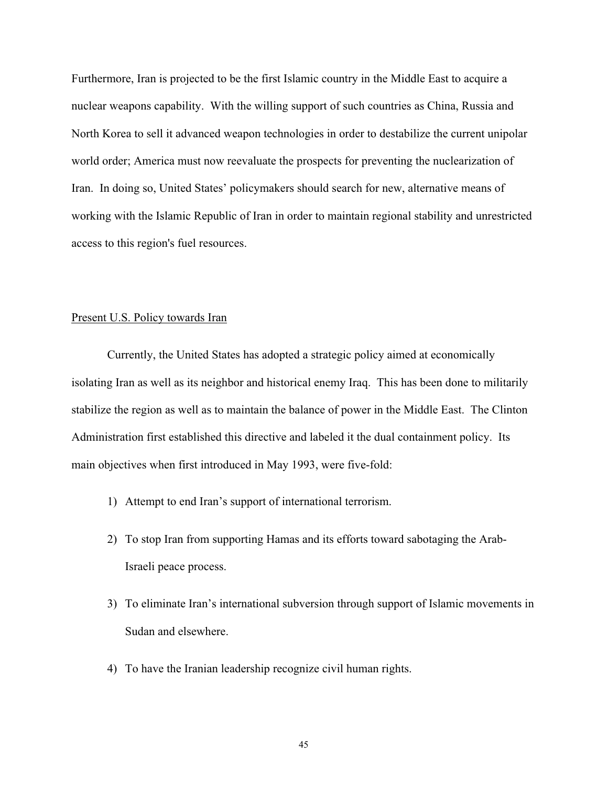Furthermore, Iran is projected to be the first Islamic country in the Middle East to acquire a nuclear weapons capability. With the willing support of such countries as China, Russia and North Korea to sell it advanced weapon technologies in order to destabilize the current unipolar world order; America must now reevaluate the prospects for preventing the nuclearization of Iran. In doing so, United States' policymakers should search for new, alternative means of working with the Islamic Republic of Iran in order to maintain regional stability and unrestricted access to this region's fuel resources.

### Present U.S. Policy towards Iran

Currently, the United States has adopted a strategic policy aimed at economically isolating Iran as well as its neighbor and historical enemy Iraq. This has been done to militarily stabilize the region as well as to maintain the balance of power in the Middle East. The Clinton Administration first established this directive and labeled it the dual containment policy. Its main objectives when first introduced in May 1993, were five-fold:

- 1) Attempt to end Iran's support of international terrorism.
- 2) To stop Iran from supporting Hamas and its efforts toward sabotaging the Arab-Israeli peace process.
- 3) To eliminate Iran's international subversion through support of Islamic movements in Sudan and elsewhere.
- 4) To have the Iranian leadership recognize civil human rights.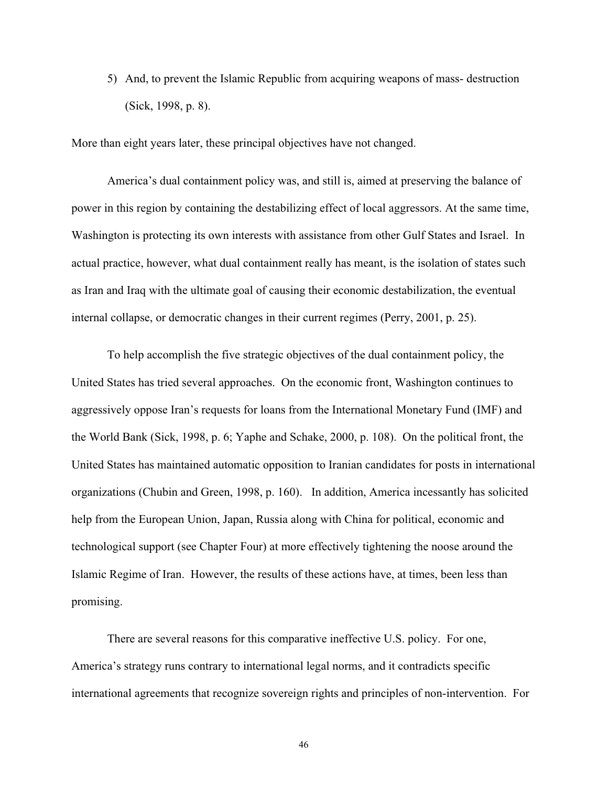5) And, to prevent the Islamic Republic from acquiring weapons of mass- destruction (Sick, 1998, p. 8).

More than eight years later, these principal objectives have not changed.

America's dual containment policy was, and still is, aimed at preserving the balance of power in this region by containing the destabilizing effect of local aggressors. At the same time, Washington is protecting its own interests with assistance from other Gulf States and Israel. In actual practice, however, what dual containment really has meant, is the isolation of states such as Iran and Iraq with the ultimate goal of causing their economic destabilization, the eventual internal collapse, or democratic changes in their current regimes (Perry, 2001, p. 25).

To help accomplish the five strategic objectives of the dual containment policy, the United States has tried several approaches. On the economic front, Washington continues to aggressively oppose Iran's requests for loans from the International Monetary Fund (IMF) and the World Bank (Sick, 1998, p. 6; Yaphe and Schake, 2000, p. 108). On the political front, the United States has maintained automatic opposition to Iranian candidates for posts in international organizations (Chubin and Green, 1998, p. 160). In addition, America incessantly has solicited help from the European Union, Japan, Russia along with China for political, economic and technological support (see Chapter Four) at more effectively tightening the noose around the Islamic Regime of Iran. However, the results of these actions have, at times, been less than promising.

There are several reasons for this comparative ineffective U.S. policy. For one, America's strategy runs contrary to international legal norms, and it contradicts specific international agreements that recognize sovereign rights and principles of non-intervention. For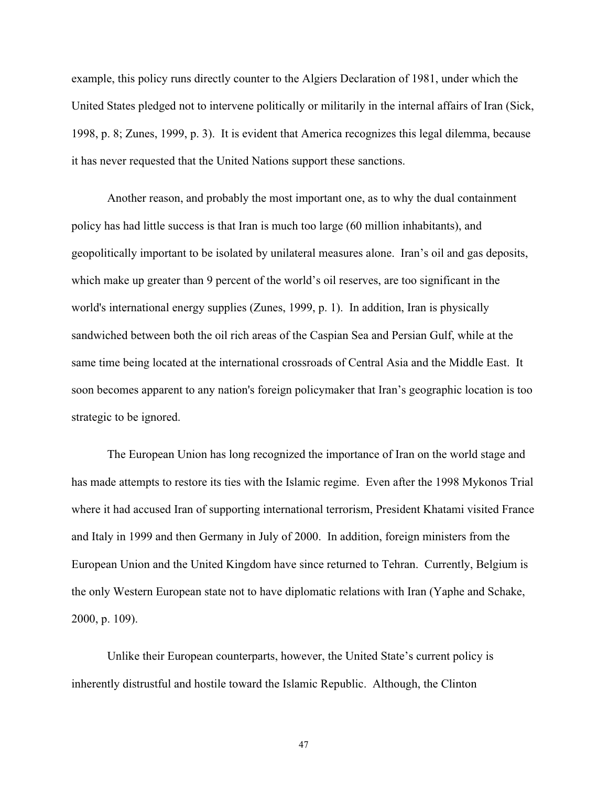example, this policy runs directly counter to the Algiers Declaration of 1981, under which the United States pledged not to intervene politically or militarily in the internal affairs of Iran (Sick, 1998, p. 8; Zunes, 1999, p. 3). It is evident that America recognizes this legal dilemma, because it has never requested that the United Nations support these sanctions.

Another reason, and probably the most important one, as to why the dual containment policy has had little success is that Iran is much too large (60 million inhabitants), and geopolitically important to be isolated by unilateral measures alone. Iran's oil and gas deposits, which make up greater than 9 percent of the world's oil reserves, are too significant in the world's international energy supplies (Zunes, 1999, p. 1). In addition, Iran is physically sandwiched between both the oil rich areas of the Caspian Sea and Persian Gulf, while at the same time being located at the international crossroads of Central Asia and the Middle East. It soon becomes apparent to any nation's foreign policymaker that Iran's geographic location is too strategic to be ignored.

The European Union has long recognized the importance of Iran on the world stage and has made attempts to restore its ties with the Islamic regime. Even after the 1998 Mykonos Trial where it had accused Iran of supporting international terrorism, President Khatami visited France and Italy in 1999 and then Germany in July of 2000. In addition, foreign ministers from the European Union and the United Kingdom have since returned to Tehran. Currently, Belgium is the only Western European state not to have diplomatic relations with Iran (Yaphe and Schake, 2000, p. 109).

Unlike their European counterparts, however, the United State's current policy is inherently distrustful and hostile toward the Islamic Republic. Although, the Clinton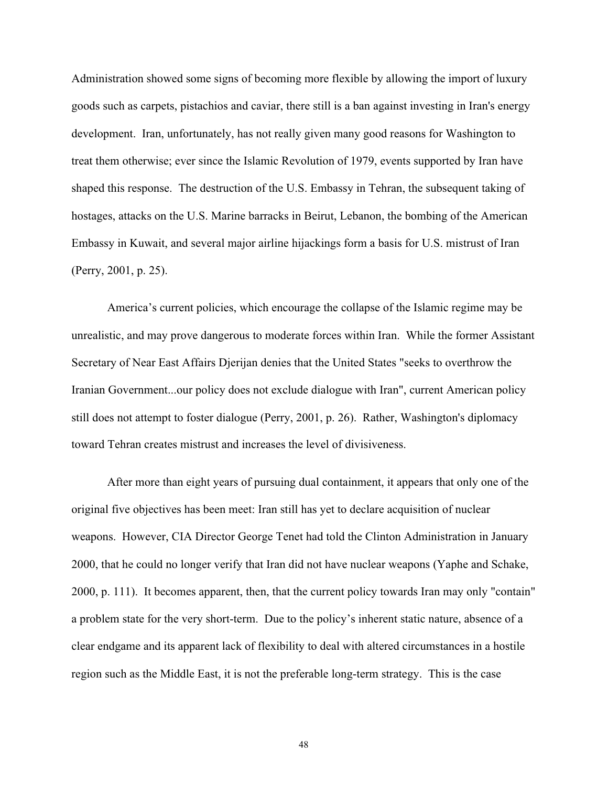Administration showed some signs of becoming more flexible by allowing the import of luxury goods such as carpets, pistachios and caviar, there still is a ban against investing in Iran's energy development. Iran, unfortunately, has not really given many good reasons for Washington to treat them otherwise; ever since the Islamic Revolution of 1979, events supported by Iran have shaped this response. The destruction of the U.S. Embassy in Tehran, the subsequent taking of hostages, attacks on the U.S. Marine barracks in Beirut, Lebanon, the bombing of the American Embassy in Kuwait, and several major airline hijackings form a basis for U.S. mistrust of Iran (Perry, 2001, p. 25).

America's current policies, which encourage the collapse of the Islamic regime may be unrealistic, and may prove dangerous to moderate forces within Iran. While the former Assistant Secretary of Near East Affairs Djerijan denies that the United States "seeks to overthrow the Iranian Government...our policy does not exclude dialogue with Iran", current American policy still does not attempt to foster dialogue (Perry, 2001, p. 26). Rather, Washington's diplomacy toward Tehran creates mistrust and increases the level of divisiveness.

After more than eight years of pursuing dual containment, it appears that only one of the original five objectives has been meet: Iran still has yet to declare acquisition of nuclear weapons. However, CIA Director George Tenet had told the Clinton Administration in January 2000, that he could no longer verify that Iran did not have nuclear weapons (Yaphe and Schake, 2000, p. 111). It becomes apparent, then, that the current policy towards Iran may only "contain" a problem state for the very short-term. Due to the policy's inherent static nature, absence of a clear endgame and its apparent lack of flexibility to deal with altered circumstances in a hostile region such as the Middle East, it is not the preferable long-term strategy. This is the case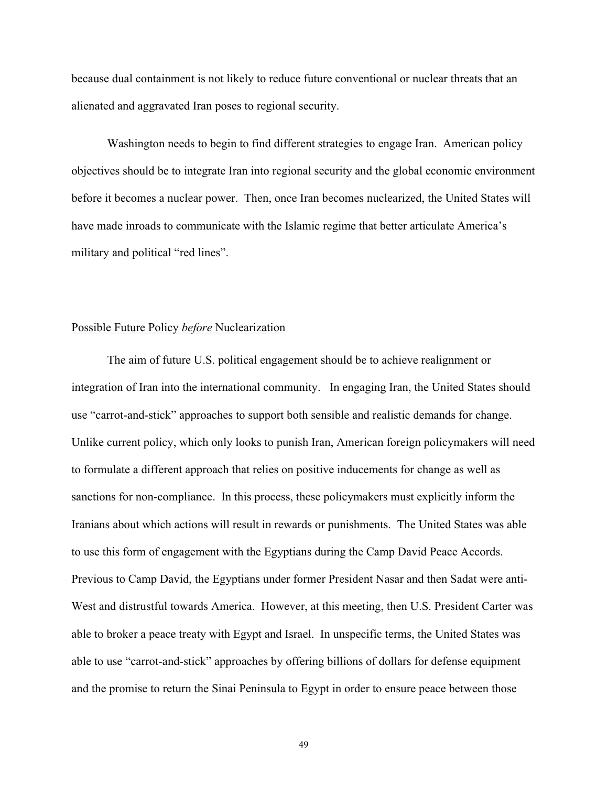because dual containment is not likely to reduce future conventional or nuclear threats that an alienated and aggravated Iran poses to regional security.

Washington needs to begin to find different strategies to engage Iran. American policy objectives should be to integrate Iran into regional security and the global economic environment before it becomes a nuclear power. Then, once Iran becomes nuclearized, the United States will have made inroads to communicate with the Islamic regime that better articulate America's military and political "red lines".

# Possible Future Policy *before* Nuclearization

The aim of future U.S. political engagement should be to achieve realignment or integration of Iran into the international community. In engaging Iran, the United States should use "carrot-and-stick" approaches to support both sensible and realistic demands for change. Unlike current policy, which only looks to punish Iran, American foreign policymakers will need to formulate a different approach that relies on positive inducements for change as well as sanctions for non-compliance. In this process, these policymakers must explicitly inform the Iranians about which actions will result in rewards or punishments. The United States was able to use this form of engagement with the Egyptians during the Camp David Peace Accords. Previous to Camp David, the Egyptians under former President Nasar and then Sadat were anti-West and distrustful towards America. However, at this meeting, then U.S. President Carter was able to broker a peace treaty with Egypt and Israel. In unspecific terms, the United States was able to use "carrot-and-stick" approaches by offering billions of dollars for defense equipment and the promise to return the Sinai Peninsula to Egypt in order to ensure peace between those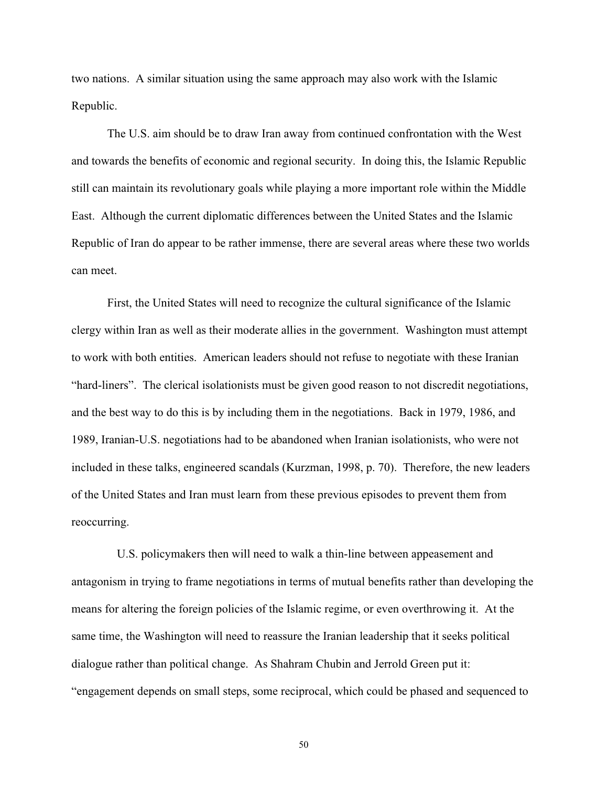two nations. A similar situation using the same approach may also work with the Islamic Republic.

The U.S. aim should be to draw Iran away from continued confrontation with the West and towards the benefits of economic and regional security. In doing this, the Islamic Republic still can maintain its revolutionary goals while playing a more important role within the Middle East. Although the current diplomatic differences between the United States and the Islamic Republic of Iran do appear to be rather immense, there are several areas where these two worlds can meet.

First, the United States will need to recognize the cultural significance of the Islamic clergy within Iran as well as their moderate allies in the government. Washington must attempt to work with both entities. American leaders should not refuse to negotiate with these Iranian "hard-liners". The clerical isolationists must be given good reason to not discredit negotiations, and the best way to do this is by including them in the negotiations. Back in 1979, 1986, and 1989, Iranian-U.S. negotiations had to be abandoned when Iranian isolationists, who were not included in these talks, engineered scandals (Kurzman, 1998, p. 70). Therefore, the new leaders of the United States and Iran must learn from these previous episodes to prevent them from reoccurring.

U.S. policymakers then will need to walk a thin-line between appeasement and antagonism in trying to frame negotiations in terms of mutual benefits rather than developing the means for altering the foreign policies of the Islamic regime, or even overthrowing it. At the same time, the Washington will need to reassure the Iranian leadership that it seeks political dialogue rather than political change. As Shahram Chubin and Jerrold Green put it: "engagement depends on small steps, some reciprocal, which could be phased and sequenced to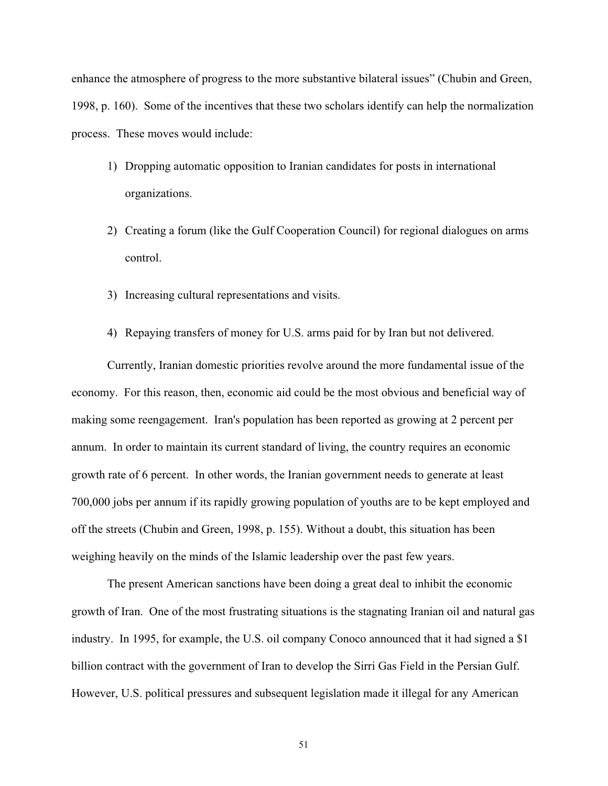enhance the atmosphere of progress to the more substantive bilateral issues" (Chubin and Green, 1998, p. 160). Some of the incentives that these two scholars identify can help the normalization process. These moves would include:

- 1) Dropping automatic opposition to Iranian candidates for posts in international organizations.
- 2) Creating a forum (like the Gulf Cooperation Council) for regional dialogues on arms control.
- 3) Increasing cultural representations and visits.
- 4) Repaying transfers of money for U.S. arms paid for by Iran but not delivered.

Currently, Iranian domestic priorities revolve around the more fundamental issue of the economy. For this reason, then, economic aid could be the most obvious and beneficial way of making some reengagement. Iran's population has been reported as growing at 2 percent per annum. In order to maintain its current standard of living, the country requires an economic growth rate of 6 percent. In other words, the Iranian government needs to generate at least 700,000 jobs per annum if its rapidly growing population of youths are to be kept employed and off the streets (Chubin and Green, 1998, p. 155). Without a doubt, this situation has been weighing heavily on the minds of the Islamic leadership over the past few years.

The present American sanctions have been doing a great deal to inhibit the economic growth of Iran. One of the most frustrating situations is the stagnating Iranian oil and natural gas industry. In 1995, for example, the U.S. oil company Conoco announced that it had signed a \$1 billion contract with the government of Iran to develop the Sirri Gas Field in the Persian Gulf. However, U.S. political pressures and subsequent legislation made it illegal for any American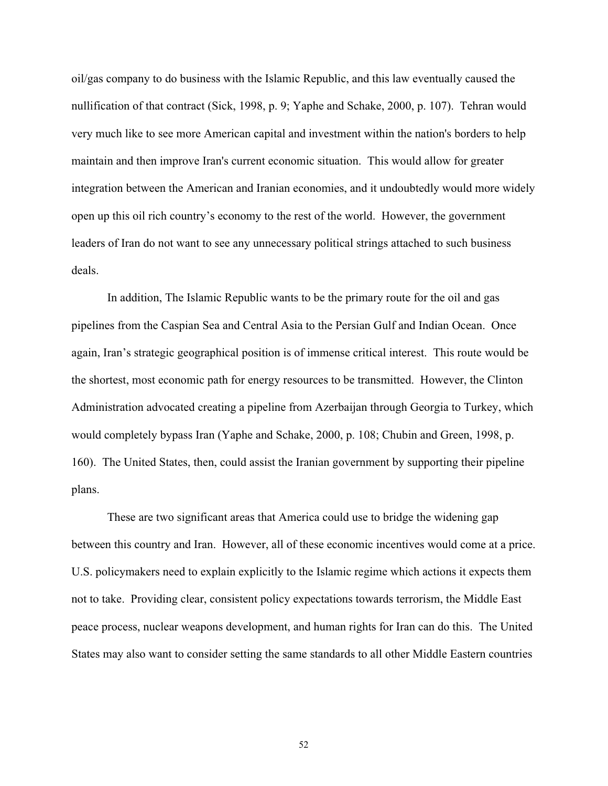oil/gas company to do business with the Islamic Republic, and this law eventually caused the nullification of that contract (Sick, 1998, p. 9; Yaphe and Schake, 2000, p. 107). Tehran would very much like to see more American capital and investment within the nation's borders to help maintain and then improve Iran's current economic situation. This would allow for greater integration between the American and Iranian economies, and it undoubtedly would more widely open up this oil rich country's economy to the rest of the world. However, the government leaders of Iran do not want to see any unnecessary political strings attached to such business deals.

In addition, The Islamic Republic wants to be the primary route for the oil and gas pipelines from the Caspian Sea and Central Asia to the Persian Gulf and Indian Ocean. Once again, Iran's strategic geographical position is of immense critical interest. This route would be the shortest, most economic path for energy resources to be transmitted. However, the Clinton Administration advocated creating a pipeline from Azerbaijan through Georgia to Turkey, which would completely bypass Iran (Yaphe and Schake, 2000, p. 108; Chubin and Green, 1998, p. 160). The United States, then, could assist the Iranian government by supporting their pipeline plans.

These are two significant areas that America could use to bridge the widening gap between this country and Iran. However, all of these economic incentives would come at a price. U.S. policymakers need to explain explicitly to the Islamic regime which actions it expects them not to take. Providing clear, consistent policy expectations towards terrorism, the Middle East peace process, nuclear weapons development, and human rights for Iran can do this. The United States may also want to consider setting the same standards to all other Middle Eastern countries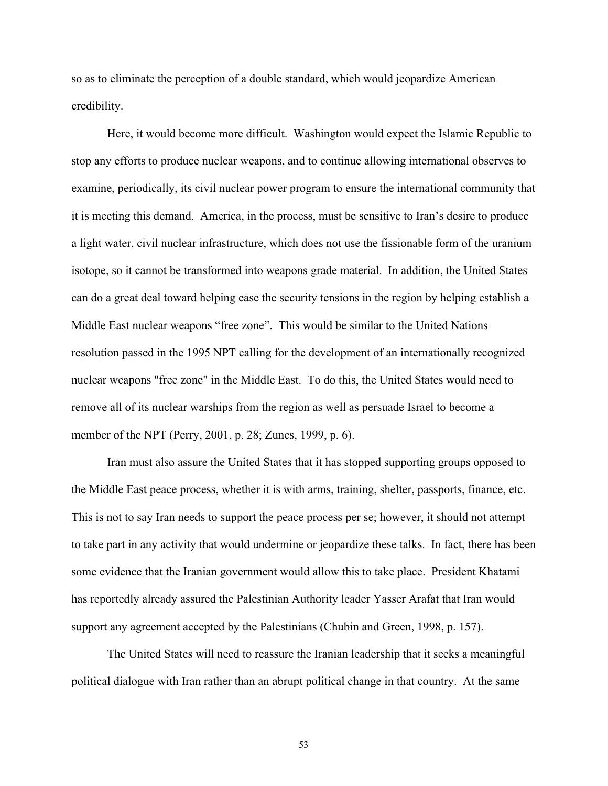so as to eliminate the perception of a double standard, which would jeopardize American credibility.

Here, it would become more difficult. Washington would expect the Islamic Republic to stop any efforts to produce nuclear weapons, and to continue allowing international observes to examine, periodically, its civil nuclear power program to ensure the international community that it is meeting this demand. America, in the process, must be sensitive to Iran's desire to produce a light water, civil nuclear infrastructure, which does not use the fissionable form of the uranium isotope, so it cannot be transformed into weapons grade material. In addition, the United States can do a great deal toward helping ease the security tensions in the region by helping establish a Middle East nuclear weapons "free zone". This would be similar to the United Nations resolution passed in the 1995 NPT calling for the development of an internationally recognized nuclear weapons "free zone" in the Middle East. To do this, the United States would need to remove all of its nuclear warships from the region as well as persuade Israel to become a member of the NPT (Perry, 2001, p. 28; Zunes, 1999, p. 6).

Iran must also assure the United States that it has stopped supporting groups opposed to the Middle East peace process, whether it is with arms, training, shelter, passports, finance, etc. This is not to say Iran needs to support the peace process per se; however, it should not attempt to take part in any activity that would undermine or jeopardize these talks. In fact, there has been some evidence that the Iranian government would allow this to take place. President Khatami has reportedly already assured the Palestinian Authority leader Yasser Arafat that Iran would support any agreement accepted by the Palestinians (Chubin and Green, 1998, p. 157).

The United States will need to reassure the Iranian leadership that it seeks a meaningful political dialogue with Iran rather than an abrupt political change in that country. At the same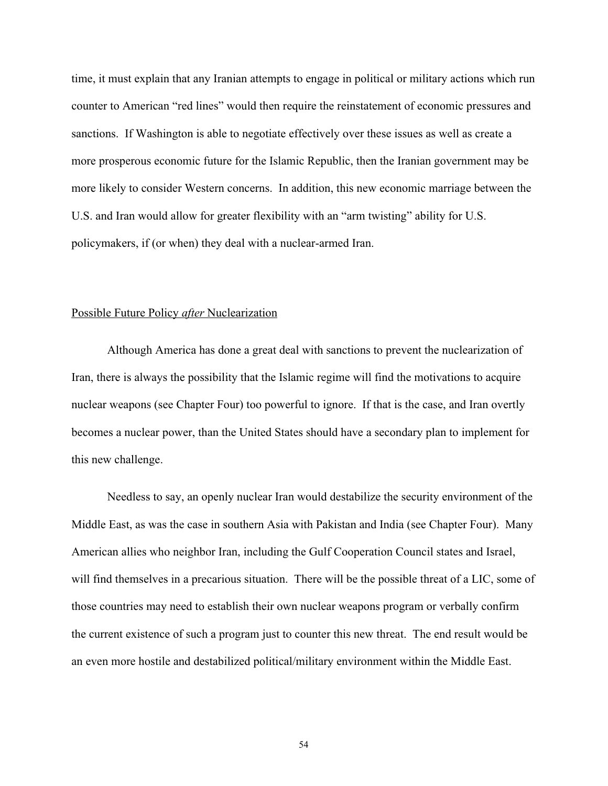time, it must explain that any Iranian attempts to engage in political or military actions which run counter to American "red lines" would then require the reinstatement of economic pressures and sanctions. If Washington is able to negotiate effectively over these issues as well as create a more prosperous economic future for the Islamic Republic, then the Iranian government may be more likely to consider Western concerns. In addition, this new economic marriage between the U.S. and Iran would allow for greater flexibility with an "arm twisting" ability for U.S. policymakers, if (or when) they deal with a nuclear-armed Iran.

## Possible Future Policy *after* Nuclearization

Although America has done a great deal with sanctions to prevent the nuclearization of Iran, there is always the possibility that the Islamic regime will find the motivations to acquire nuclear weapons (see Chapter Four) too powerful to ignore. If that is the case, and Iran overtly becomes a nuclear power, than the United States should have a secondary plan to implement for this new challenge.

Needless to say, an openly nuclear Iran would destabilize the security environment of the Middle East, as was the case in southern Asia with Pakistan and India (see Chapter Four). Many American allies who neighbor Iran, including the Gulf Cooperation Council states and Israel, will find themselves in a precarious situation. There will be the possible threat of a LIC, some of those countries may need to establish their own nuclear weapons program or verbally confirm the current existence of such a program just to counter this new threat. The end result would be an even more hostile and destabilized political/military environment within the Middle East.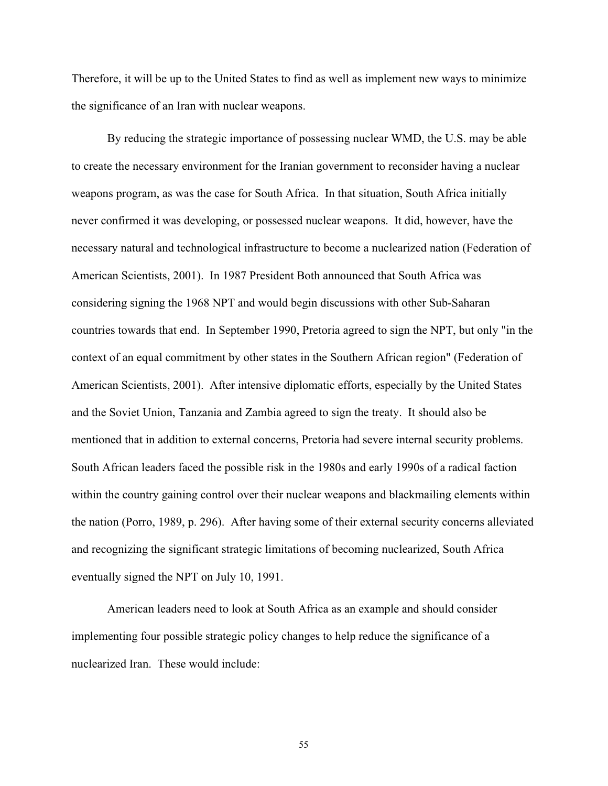Therefore, it will be up to the United States to find as well as implement new ways to minimize the significance of an Iran with nuclear weapons.

By reducing the strategic importance of possessing nuclear WMD, the U.S. may be able to create the necessary environment for the Iranian government to reconsider having a nuclear weapons program, as was the case for South Africa. In that situation, South Africa initially never confirmed it was developing, or possessed nuclear weapons. It did, however, have the necessary natural and technological infrastructure to become a nuclearized nation (Federation of American Scientists, 2001). In 1987 President Both announced that South Africa was considering signing the 1968 NPT and would begin discussions with other Sub-Saharan countries towards that end. In September 1990, Pretoria agreed to sign the NPT, but only "in the context of an equal commitment by other states in the Southern African region" (Federation of American Scientists, 2001). After intensive diplomatic efforts, especially by the United States and the Soviet Union, Tanzania and Zambia agreed to sign the treaty. It should also be mentioned that in addition to external concerns, Pretoria had severe internal security problems. South African leaders faced the possible risk in the 1980s and early 1990s of a radical faction within the country gaining control over their nuclear weapons and blackmailing elements within the nation (Porro, 1989, p. 296). After having some of their external security concerns alleviated and recognizing the significant strategic limitations of becoming nuclearized, South Africa eventually signed the NPT on July 10, 1991.

American leaders need to look at South Africa as an example and should consider implementing four possible strategic policy changes to help reduce the significance of a nuclearized Iran. These would include: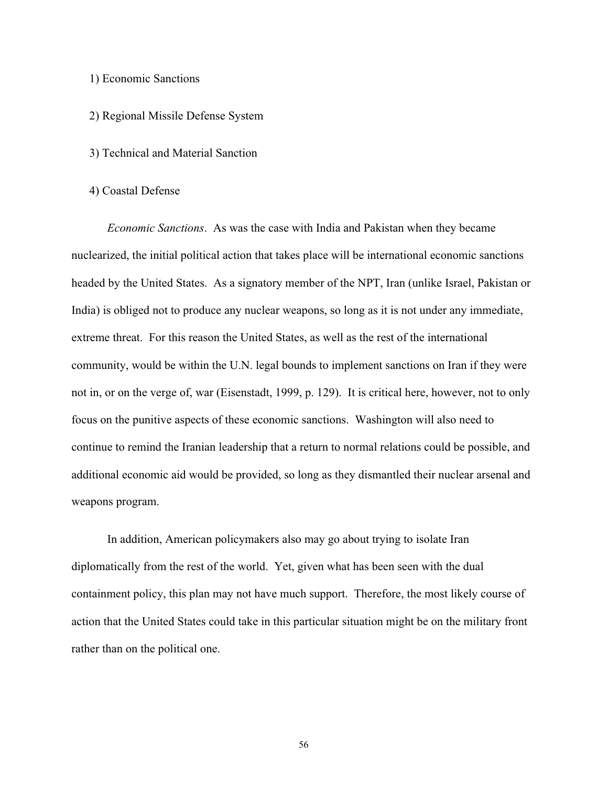## 1) Economic Sanctions

## 2) Regional Missile Defense System

# 3) Technical and Material Sanction

#### 4) Coastal Defense

*Economic Sanctions*. As was the case with India and Pakistan when they became nuclearized, the initial political action that takes place will be international economic sanctions headed by the United States. As a signatory member of the NPT, Iran (unlike Israel, Pakistan or India) is obliged not to produce any nuclear weapons, so long as it is not under any immediate, extreme threat. For this reason the United States, as well as the rest of the international community, would be within the U.N. legal bounds to implement sanctions on Iran if they were not in, or on the verge of, war (Eisenstadt, 1999, p. 129). It is critical here, however, not to only focus on the punitive aspects of these economic sanctions. Washington will also need to continue to remind the Iranian leadership that a return to normal relations could be possible, and additional economic aid would be provided, so long as they dismantled their nuclear arsenal and weapons program.

In addition, American policymakers also may go about trying to isolate Iran diplomatically from the rest of the world. Yet, given what has been seen with the dual containment policy, this plan may not have much support. Therefore, the most likely course of action that the United States could take in this particular situation might be on the military front rather than on the political one.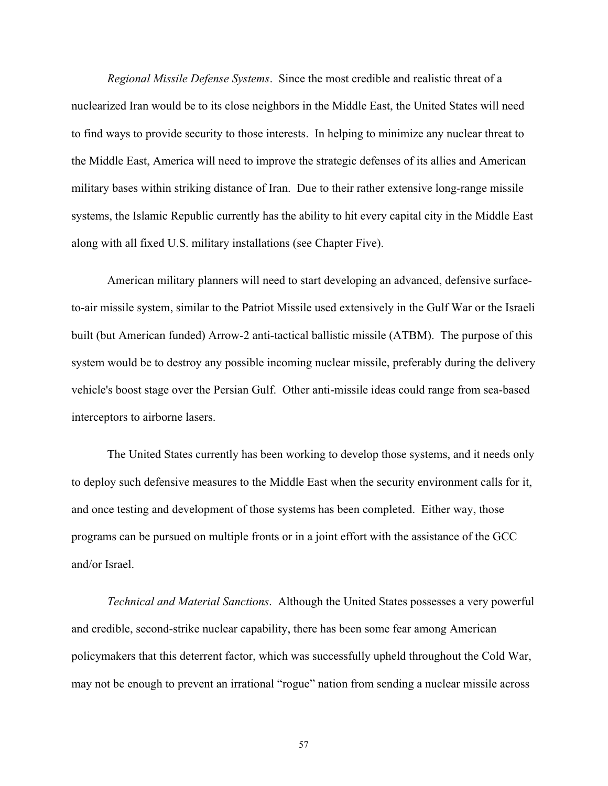*Regional Missile Defense Systems*. Since the most credible and realistic threat of a nuclearized Iran would be to its close neighbors in the Middle East, the United States will need to find ways to provide security to those interests. In helping to minimize any nuclear threat to the Middle East, America will need to improve the strategic defenses of its allies and American military bases within striking distance of Iran. Due to their rather extensive long-range missile systems, the Islamic Republic currently has the ability to hit every capital city in the Middle East along with all fixed U.S. military installations (see Chapter Five).

American military planners will need to start developing an advanced, defensive surfaceto-air missile system, similar to the Patriot Missile used extensively in the Gulf War or the Israeli built (but American funded) Arrow-2 anti-tactical ballistic missile (ATBM). The purpose of this system would be to destroy any possible incoming nuclear missile, preferably during the delivery vehicle's boost stage over the Persian Gulf. Other anti-missile ideas could range from sea-based interceptors to airborne lasers.

The United States currently has been working to develop those systems, and it needs only to deploy such defensive measures to the Middle East when the security environment calls for it, and once testing and development of those systems has been completed. Either way, those programs can be pursued on multiple fronts or in a joint effort with the assistance of the GCC and/or Israel.

*Technical and Material Sanctions*. Although the United States possesses a very powerful and credible, second-strike nuclear capability, there has been some fear among American policymakers that this deterrent factor, which was successfully upheld throughout the Cold War, may not be enough to prevent an irrational "rogue" nation from sending a nuclear missile across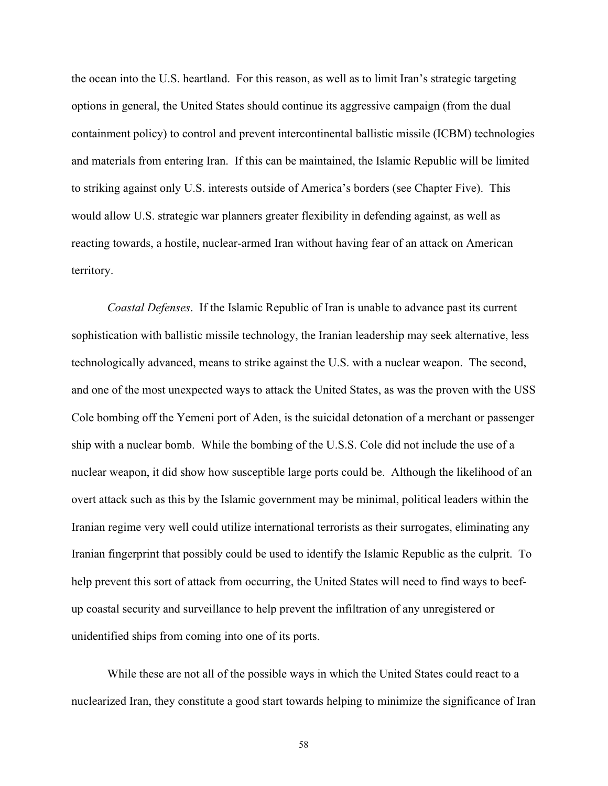the ocean into the U.S. heartland. For this reason, as well as to limit Iran's strategic targeting options in general, the United States should continue its aggressive campaign (from the dual containment policy) to control and prevent intercontinental ballistic missile (ICBM) technologies and materials from entering Iran. If this can be maintained, the Islamic Republic will be limited to striking against only U.S. interests outside of America's borders (see Chapter Five). This would allow U.S. strategic war planners greater flexibility in defending against, as well as reacting towards, a hostile, nuclear-armed Iran without having fear of an attack on American territory.

*Coastal Defenses*. If the Islamic Republic of Iran is unable to advance past its current sophistication with ballistic missile technology, the Iranian leadership may seek alternative, less technologically advanced, means to strike against the U.S. with a nuclear weapon. The second, and one of the most unexpected ways to attack the United States, as was the proven with the USS Cole bombing off the Yemeni port of Aden, is the suicidal detonation of a merchant or passenger ship with a nuclear bomb. While the bombing of the U.S.S. Cole did not include the use of a nuclear weapon, it did show how susceptible large ports could be. Although the likelihood of an overt attack such as this by the Islamic government may be minimal, political leaders within the Iranian regime very well could utilize international terrorists as their surrogates, eliminating any Iranian fingerprint that possibly could be used to identify the Islamic Republic as the culprit. To help prevent this sort of attack from occurring, the United States will need to find ways to beefup coastal security and surveillance to help prevent the infiltration of any unregistered or unidentified ships from coming into one of its ports.

While these are not all of the possible ways in which the United States could react to a nuclearized Iran, they constitute a good start towards helping to minimize the significance of Iran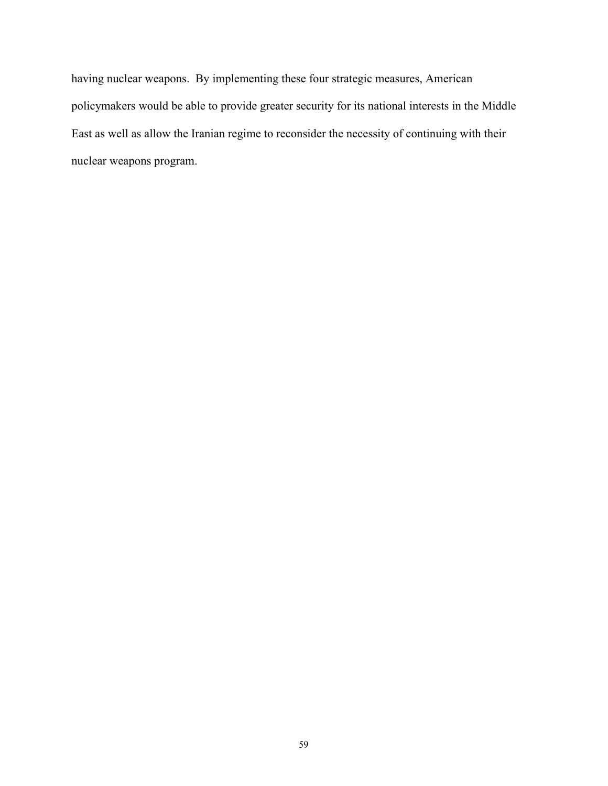having nuclear weapons. By implementing these four strategic measures, American policymakers would be able to provide greater security for its national interests in the Middle East as well as allow the Iranian regime to reconsider the necessity of continuing with their nuclear weapons program.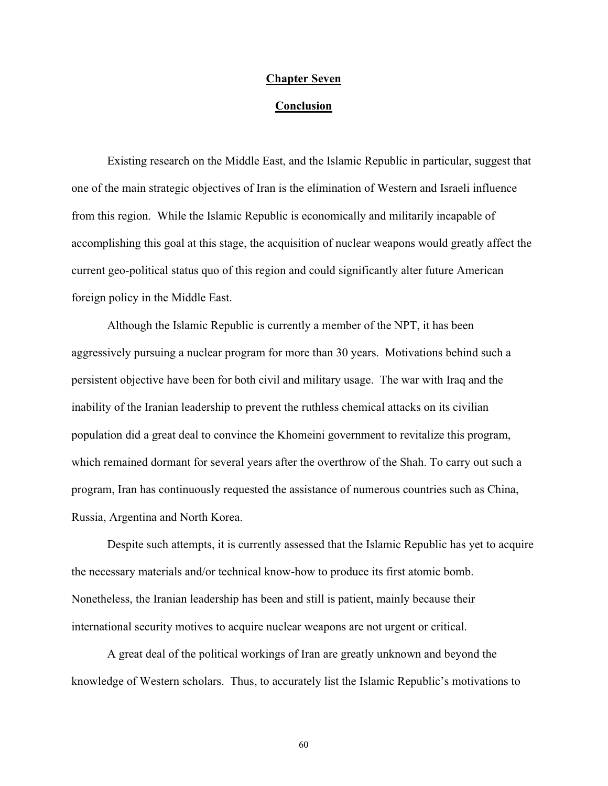#### **Chapter Seven**

## **Conclusion**

Existing research on the Middle East, and the Islamic Republic in particular, suggest that one of the main strategic objectives of Iran is the elimination of Western and Israeli influence from this region. While the Islamic Republic is economically and militarily incapable of accomplishing this goal at this stage, the acquisition of nuclear weapons would greatly affect the current geo-political status quo of this region and could significantly alter future American foreign policy in the Middle East.

Although the Islamic Republic is currently a member of the NPT, it has been aggressively pursuing a nuclear program for more than 30 years. Motivations behind such a persistent objective have been for both civil and military usage. The war with Iraq and the inability of the Iranian leadership to prevent the ruthless chemical attacks on its civilian population did a great deal to convince the Khomeini government to revitalize this program, which remained dormant for several years after the overthrow of the Shah. To carry out such a program, Iran has continuously requested the assistance of numerous countries such as China, Russia, Argentina and North Korea.

Despite such attempts, it is currently assessed that the Islamic Republic has yet to acquire the necessary materials and/or technical know-how to produce its first atomic bomb. Nonetheless, the Iranian leadership has been and still is patient, mainly because their international security motives to acquire nuclear weapons are not urgent or critical.

A great deal of the political workings of Iran are greatly unknown and beyond the knowledge of Western scholars. Thus, to accurately list the Islamic Republic's motivations to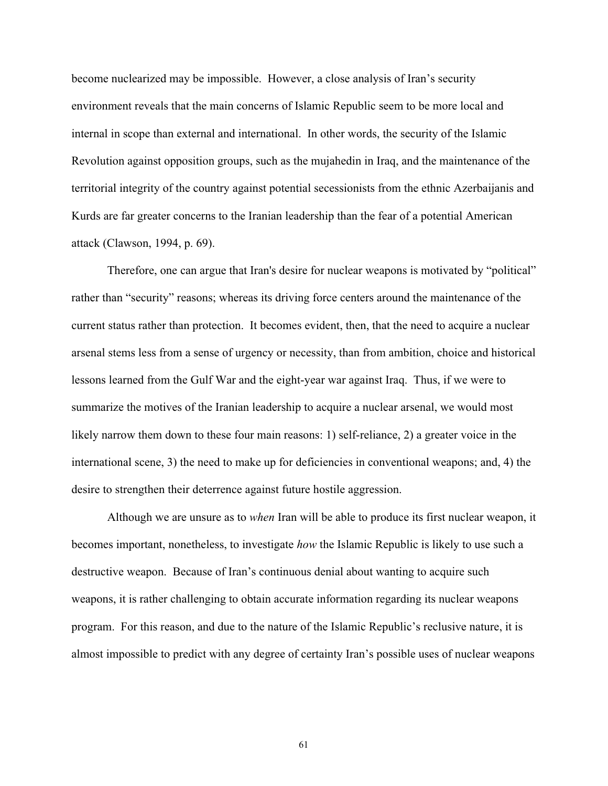become nuclearized may be impossible. However, a close analysis of Iran's security environment reveals that the main concerns of Islamic Republic seem to be more local and internal in scope than external and international. In other words, the security of the Islamic Revolution against opposition groups, such as the mujahedin in Iraq, and the maintenance of the territorial integrity of the country against potential secessionists from the ethnic Azerbaijanis and Kurds are far greater concerns to the Iranian leadership than the fear of a potential American attack (Clawson, 1994, p. 69).

Therefore, one can argue that Iran's desire for nuclear weapons is motivated by "political" rather than "security" reasons; whereas its driving force centers around the maintenance of the current status rather than protection. It becomes evident, then, that the need to acquire a nuclear arsenal stems less from a sense of urgency or necessity, than from ambition, choice and historical lessons learned from the Gulf War and the eight-year war against Iraq. Thus, if we were to summarize the motives of the Iranian leadership to acquire a nuclear arsenal, we would most likely narrow them down to these four main reasons: 1) self-reliance, 2) a greater voice in the international scene, 3) the need to make up for deficiencies in conventional weapons; and, 4) the desire to strengthen their deterrence against future hostile aggression.

Although we are unsure as to *when* Iran will be able to produce its first nuclear weapon, it becomes important, nonetheless, to investigate *how* the Islamic Republic is likely to use such a destructive weapon. Because of Iran's continuous denial about wanting to acquire such weapons, it is rather challenging to obtain accurate information regarding its nuclear weapons program. For this reason, and due to the nature of the Islamic Republic's reclusive nature, it is almost impossible to predict with any degree of certainty Iran's possible uses of nuclear weapons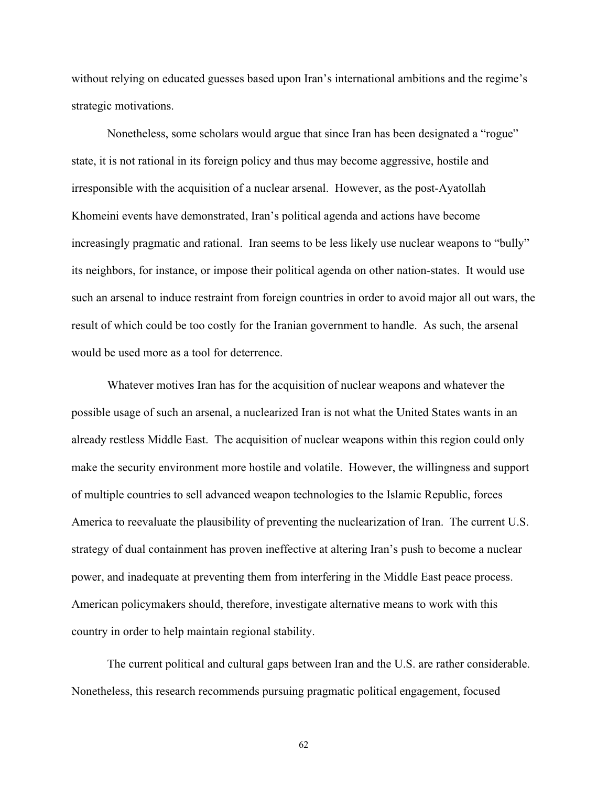without relying on educated guesses based upon Iran's international ambitions and the regime's strategic motivations.

Nonetheless, some scholars would argue that since Iran has been designated a "rogue" state, it is not rational in its foreign policy and thus may become aggressive, hostile and irresponsible with the acquisition of a nuclear arsenal. However, as the post-Ayatollah Khomeini events have demonstrated, Iran's political agenda and actions have become increasingly pragmatic and rational. Iran seems to be less likely use nuclear weapons to "bully" its neighbors, for instance, or impose their political agenda on other nation-states. It would use such an arsenal to induce restraint from foreign countries in order to avoid major all out wars, the result of which could be too costly for the Iranian government to handle. As such, the arsenal would be used more as a tool for deterrence.

Whatever motives Iran has for the acquisition of nuclear weapons and whatever the possible usage of such an arsenal, a nuclearized Iran is not what the United States wants in an already restless Middle East. The acquisition of nuclear weapons within this region could only make the security environment more hostile and volatile. However, the willingness and support of multiple countries to sell advanced weapon technologies to the Islamic Republic, forces America to reevaluate the plausibility of preventing the nuclearization of Iran. The current U.S. strategy of dual containment has proven ineffective at altering Iran's push to become a nuclear power, and inadequate at preventing them from interfering in the Middle East peace process. American policymakers should, therefore, investigate alternative means to work with this country in order to help maintain regional stability.

The current political and cultural gaps between Iran and the U.S. are rather considerable. Nonetheless, this research recommends pursuing pragmatic political engagement, focused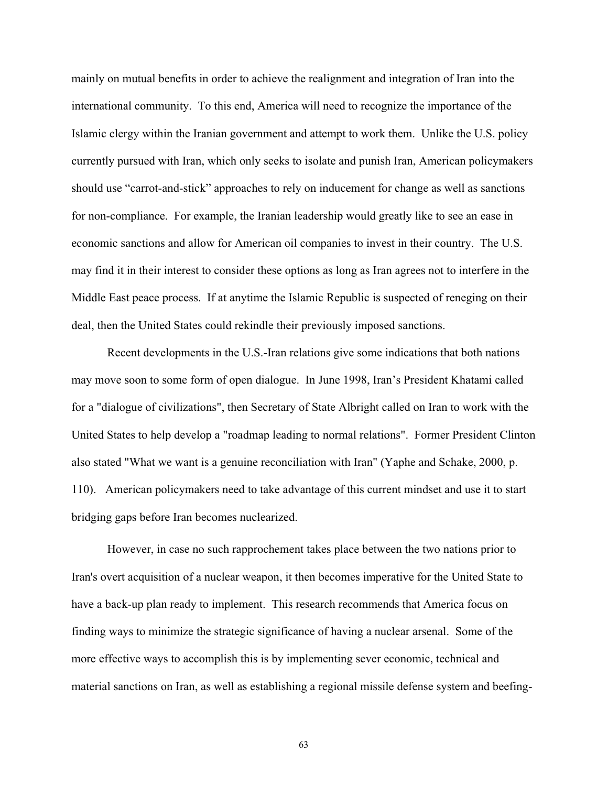mainly on mutual benefits in order to achieve the realignment and integration of Iran into the international community. To this end, America will need to recognize the importance of the Islamic clergy within the Iranian government and attempt to work them. Unlike the U.S. policy currently pursued with Iran, which only seeks to isolate and punish Iran, American policymakers should use "carrot-and-stick" approaches to rely on inducement for change as well as sanctions for non-compliance. For example, the Iranian leadership would greatly like to see an ease in economic sanctions and allow for American oil companies to invest in their country. The U.S. may find it in their interest to consider these options as long as Iran agrees not to interfere in the Middle East peace process. If at anytime the Islamic Republic is suspected of reneging on their deal, then the United States could rekindle their previously imposed sanctions.

Recent developments in the U.S.-Iran relations give some indications that both nations may move soon to some form of open dialogue. In June 1998, Iran's President Khatami called for a "dialogue of civilizations", then Secretary of State Albright called on Iran to work with the United States to help develop a "roadmap leading to normal relations". Former President Clinton also stated "What we want is a genuine reconciliation with Iran" (Yaphe and Schake, 2000, p. 110). American policymakers need to take advantage of this current mindset and use it to start bridging gaps before Iran becomes nuclearized.

However, in case no such rapprochement takes place between the two nations prior to Iran's overt acquisition of a nuclear weapon, it then becomes imperative for the United State to have a back-up plan ready to implement. This research recommends that America focus on finding ways to minimize the strategic significance of having a nuclear arsenal. Some of the more effective ways to accomplish this is by implementing sever economic, technical and material sanctions on Iran, as well as establishing a regional missile defense system and beefing-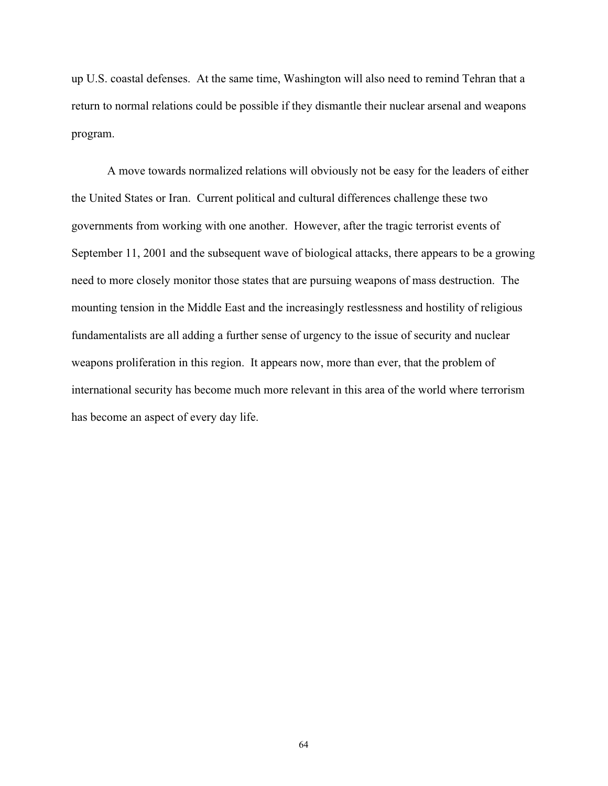up U.S. coastal defenses. At the same time, Washington will also need to remind Tehran that a return to normal relations could be possible if they dismantle their nuclear arsenal and weapons program.

A move towards normalized relations will obviously not be easy for the leaders of either the United States or Iran. Current political and cultural differences challenge these two governments from working with one another. However, after the tragic terrorist events of September 11, 2001 and the subsequent wave of biological attacks, there appears to be a growing need to more closely monitor those states that are pursuing weapons of mass destruction. The mounting tension in the Middle East and the increasingly restlessness and hostility of religious fundamentalists are all adding a further sense of urgency to the issue of security and nuclear weapons proliferation in this region. It appears now, more than ever, that the problem of international security has become much more relevant in this area of the world where terrorism has become an aspect of every day life.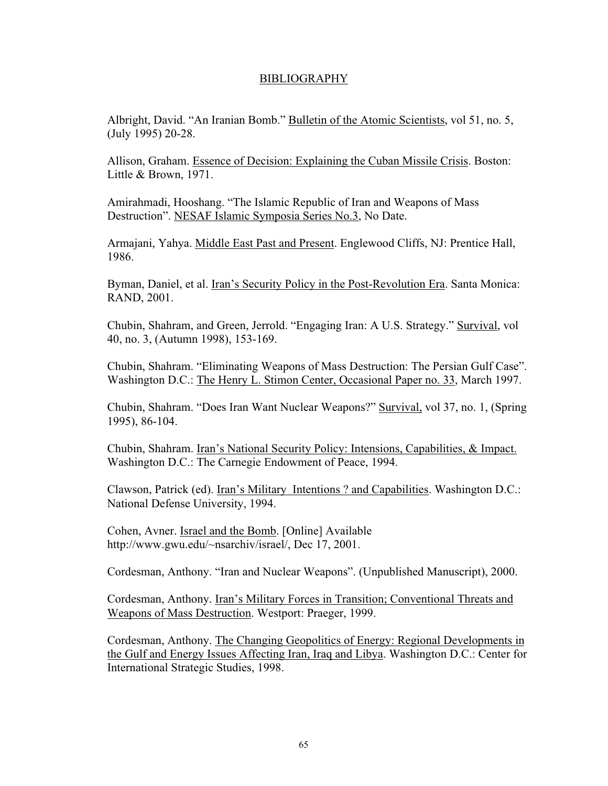# BIBLIOGRAPHY

Albright, David. "An Iranian Bomb." Bulletin of the Atomic Scientists, vol 51, no. 5, (July 1995) 20-28.

Allison, Graham. Essence of Decision: Explaining the Cuban Missile Crisis. Boston: Little & Brown, 1971.

Amirahmadi, Hooshang. "The Islamic Republic of Iran and Weapons of Mass Destruction". NESAF Islamic Symposia Series No.3, No Date.

Armajani, Yahya. Middle East Past and Present. Englewood Cliffs, NJ: Prentice Hall, 1986.

Byman, Daniel, et al. Iran's Security Policy in the Post-Revolution Era. Santa Monica: RAND, 2001.

Chubin, Shahram, and Green, Jerrold. "Engaging Iran: A U.S. Strategy." Survival, vol 40, no. 3, (Autumn 1998), 153-169.

Chubin, Shahram. "Eliminating Weapons of Mass Destruction: The Persian Gulf Case". Washington D.C.: The Henry L. Stimon Center, Occasional Paper no. 33, March 1997.

Chubin, Shahram. "Does Iran Want Nuclear Weapons?" Survival, vol 37, no. 1, (Spring 1995), 86-104.

Chubin, Shahram. Iran's National Security Policy: Intensions, Capabilities, & Impact. Washington D.C.: The Carnegie Endowment of Peace, 1994.

Clawson, Patrick (ed). Iran's Military Intentions ? and Capabilities. Washington D.C.: National Defense University, 1994.

Cohen, Avner. Israel and the Bomb. [Online] Available http://www.gwu.edu/~nsarchiv/israel/, Dec 17, 2001.

Cordesman, Anthony. "Iran and Nuclear Weapons". (Unpublished Manuscript), 2000.

Cordesman, Anthony. Iran's Military Forces in Transition; Conventional Threats and Weapons of Mass Destruction. Westport: Praeger, 1999.

Cordesman, Anthony. The Changing Geopolitics of Energy: Regional Developments in the Gulf and Energy Issues Affecting Iran, Iraq and Libya. Washington D.C.: Center for International Strategic Studies, 1998.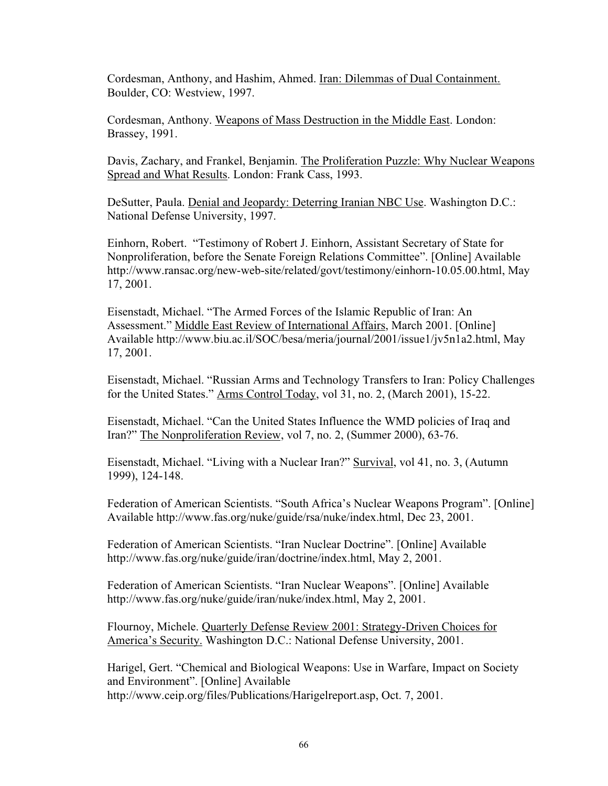Cordesman, Anthony, and Hashim, Ahmed. Iran: Dilemmas of Dual Containment. Boulder, CO: Westview, 1997.

Cordesman, Anthony. Weapons of Mass Destruction in the Middle East. London: Brassey, 1991.

Davis, Zachary, and Frankel, Benjamin. The Proliferation Puzzle: Why Nuclear Weapons Spread and What Results. London: Frank Cass, 1993.

DeSutter, Paula. Denial and Jeopardy: Deterring Iranian NBC Use. Washington D.C.: National Defense University, 1997.

Einhorn, Robert. "Testimony of Robert J. Einhorn, Assistant Secretary of State for Nonproliferation, before the Senate Foreign Relations Committee". [Online] Available http://www.ransac.org/new-web-site/related/govt/testimony/einhorn-10.05.00.html, May 17, 2001.

Eisenstadt, Michael. "The Armed Forces of the Islamic Republic of Iran: An Assessment." Middle East Review of International Affairs, March 2001. [Online] Available http://www.biu.ac.il/SOC/besa/meria/journal/2001/issue1/jv5n1a2.html, May 17, 2001.

Eisenstadt, Michael. "Russian Arms and Technology Transfers to Iran: Policy Challenges for the United States." Arms Control Today, vol 31, no. 2, (March 2001), 15-22.

Eisenstadt, Michael. "Can the United States Influence the WMD policies of Iraq and Iran?" The Nonproliferation Review, vol 7, no. 2, (Summer 2000), 63-76.

Eisenstadt, Michael. "Living with a Nuclear Iran?" Survival, vol 41, no. 3, (Autumn 1999), 124-148.

Federation of American Scientists. "South Africa's Nuclear Weapons Program". [Online] Available http://www.fas.org/nuke/guide/rsa/nuke/index.html, Dec 23, 2001.

Federation of American Scientists. "Iran Nuclear Doctrine". [Online] Available http://www.fas.org/nuke/guide/iran/doctrine/index.html, May 2, 2001.

Federation of American Scientists. "Iran Nuclear Weapons". [Online] Available http://www.fas.org/nuke/guide/iran/nuke/index.html, May 2, 2001.

Flournoy, Michele. Quarterly Defense Review 2001: Strategy-Driven Choices for America's Security. Washington D.C.: National Defense University, 2001.

Harigel, Gert. "Chemical and Biological Weapons: Use in Warfare, Impact on Society and Environment". [Online] Available http://www.ceip.org/files/Publications/Harigelreport.asp, Oct. 7, 2001.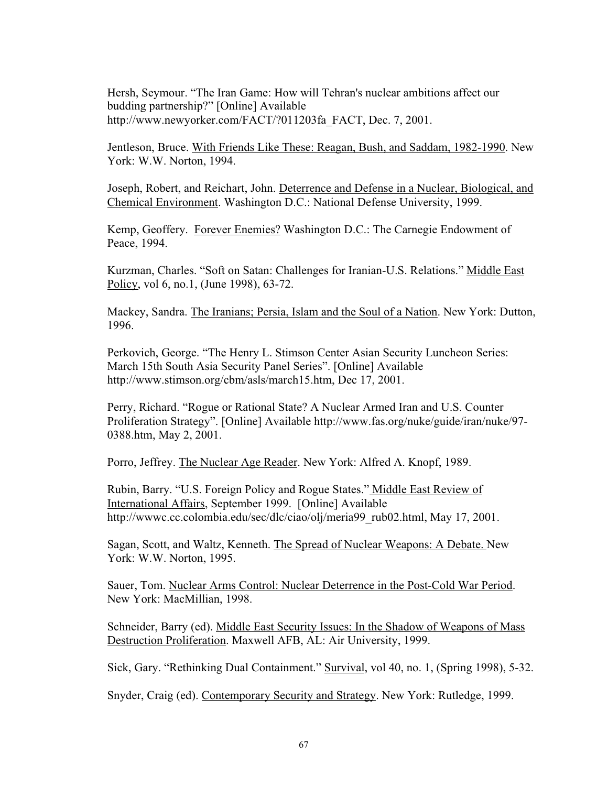Hersh, Seymour. "The Iran Game: How will Tehran's nuclear ambitions affect our budding partnership?" [Online] Available http://www.newyorker.com/FACT/?011203fa\_FACT, Dec. 7, 2001.

Jentleson, Bruce. With Friends Like These: Reagan, Bush, and Saddam, 1982-1990. New York: W.W. Norton, 1994.

Joseph, Robert, and Reichart, John. Deterrence and Defense in a Nuclear, Biological, and Chemical Environment. Washington D.C.: National Defense University, 1999.

Kemp, Geoffery. Forever Enemies? Washington D.C.: The Carnegie Endowment of Peace, 1994.

Kurzman, Charles. "Soft on Satan: Challenges for Iranian-U.S. Relations." Middle East Policy, vol 6, no.1, (June 1998), 63-72.

Mackey, Sandra. The Iranians; Persia, Islam and the Soul of a Nation. New York: Dutton, 1996.

Perkovich, George. "The Henry L. Stimson Center Asian Security Luncheon Series: March 15th South Asia Security Panel Series". [Online] Available http://www.stimson.org/cbm/asls/march15.htm, Dec 17, 2001.

Perry, Richard. "Rogue or Rational State? A Nuclear Armed Iran and U.S. Counter Proliferation Strategy". [Online] Available http://www.fas.org/nuke/guide/iran/nuke/97- 0388.htm, May 2, 2001.

Porro, Jeffrey. The Nuclear Age Reader. New York: Alfred A. Knopf, 1989.

Rubin, Barry. "U.S. Foreign Policy and Rogue States." Middle East Review of International Affairs, September 1999. [Online] Available http://wwwc.cc.colombia.edu/sec/dlc/ciao/olj/meria99\_rub02.html, May 17, 2001.

Sagan, Scott, and Waltz, Kenneth. The Spread of Nuclear Weapons: A Debate. New York: W.W. Norton, 1995.

Sauer, Tom. Nuclear Arms Control: Nuclear Deterrence in the Post-Cold War Period. New York: MacMillian, 1998.

Schneider, Barry (ed). Middle East Security Issues: In the Shadow of Weapons of Mass Destruction Proliferation. Maxwell AFB, AL: Air University, 1999.

Sick, Gary. "Rethinking Dual Containment." Survival, vol 40, no. 1, (Spring 1998), 5-32.

Snyder, Craig (ed). Contemporary Security and Strategy. New York: Rutledge, 1999.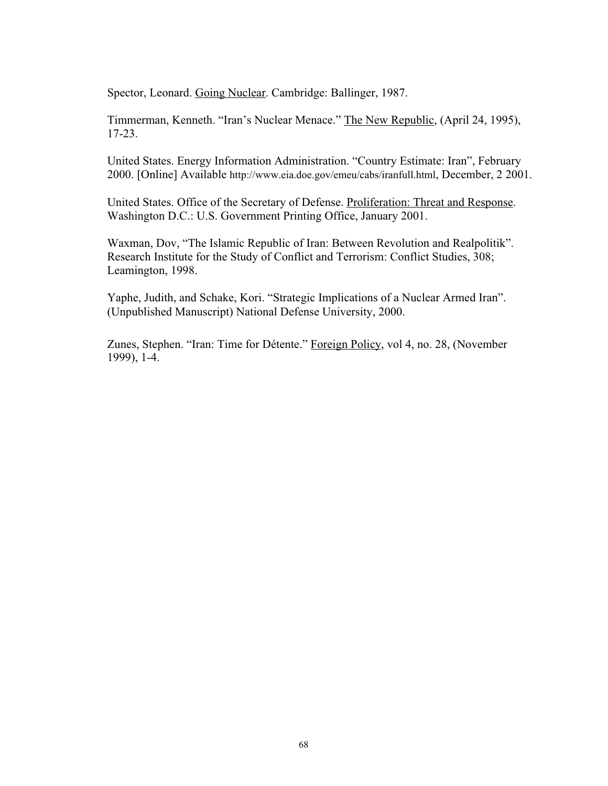Spector, Leonard. Going Nuclear. Cambridge: Ballinger, 1987.

Timmerman, Kenneth. "Iran's Nuclear Menace." The New Republic, (April 24, 1995), 17-23.

United States. Energy Information Administration. "Country Estimate: Iran", February 2000. [Online] Available http://www.eia.doe.gov/emeu/cabs/iranfull.html, December, 2 2001.

United States. Office of the Secretary of Defense. Proliferation: Threat and Response. Washington D.C.: U.S. Government Printing Office, January 2001.

Waxman, Dov, "The Islamic Republic of Iran: Between Revolution and Realpolitik". Research Institute for the Study of Conflict and Terrorism: Conflict Studies, 308; Leamington, 1998.

Yaphe, Judith, and Schake, Kori. "Strategic Implications of a Nuclear Armed Iran". (Unpublished Manuscript) National Defense University, 2000.

Zunes, Stephen. "Iran: Time for Détente." Foreign Policy, vol 4, no. 28, (November 1999), 1-4.